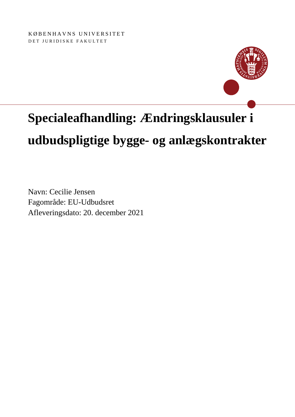KØBENHAVNS UNIVERSITET DET JURIDISKE FAKULTET



# **Specialeafhandling: Ændringsklausuler i**

# **udbudspligtige bygge- og anlægskontrakter**

Navn: Cecilie Jensen Fagområde: EU-Udbudsret Afleveringsdato: 20. december 2021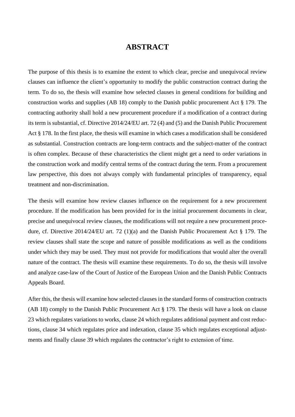## **ABSTRACT**

The purpose of this thesis is to examine the extent to which clear, precise and unequivocal review clauses can influence the client's opportunity to modify the public construction contract during the term. To do so, the thesis will examine how selected clauses in general conditions for building and construction works and supplies (AB 18) comply to the Danish public procurement Act § 179. The contracting authority shall hold a new procurement procedure if a modification of a contract during its term is substantial, cf. Directive 2014/24/EU art. 72 (4) and (5) and the Danish Public Procurement Act § 178. In the first place, the thesis will examine in which cases a modification shall be considered as substantial. Construction contracts are long-term contracts and the subject-matter of the contract is often complex. Because of these characteristics the client might get a need to order variations in the construction work and modify central terms of the contract during the term. From a procurement law perspective, this does not always comply with fundamental principles of transparency, equal treatment and non-discrimination.

The thesis will examine how review clauses influence on the requirement for a new procurement procedure. If the modification has been provided for in the initial procurement documents in clear, precise and unequivocal review clauses, the modifications will not require a new procurement procedure, cf. Directive 2014/24/EU art. 72 (1)(a) and the Danish Public Procurement Act § 179. The review clauses shall state the scope and nature of possible modifications as well as the conditions under which they may be used. They must not provide for modifications that would alter the overall nature of the contract. The thesis will examine these requirements. To do so, the thesis will involve and analyze case-law of the Court of Justice of the European Union and the Danish Public Contracts Appeals Board.

After this, the thesis will examine how selected clauses in the standard forms of construction contracts (AB 18) comply to the Danish Public Procurement Act § 179. The thesis will have a look on clause 23 which regulates variations to works, clause 24 which regulates additional payment and cost reductions, clause 34 which regulates price and indexation, clause 35 which regulates exceptional adjustments and finally clause 39 which regulates the contractor's right to extension of time.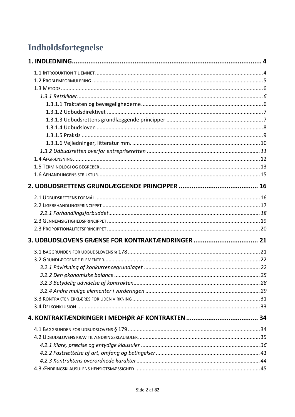# Indholdsfortegnelse

| 3. UDBUDSLOVENS GRÆNSE FOR KONTRAKTÆNDRINGER  21 |  |
|--------------------------------------------------|--|
|                                                  |  |
|                                                  |  |
|                                                  |  |
|                                                  |  |
|                                                  |  |
|                                                  |  |
|                                                  |  |
|                                                  |  |
|                                                  |  |
|                                                  |  |
|                                                  |  |
|                                                  |  |
|                                                  |  |
|                                                  |  |
|                                                  |  |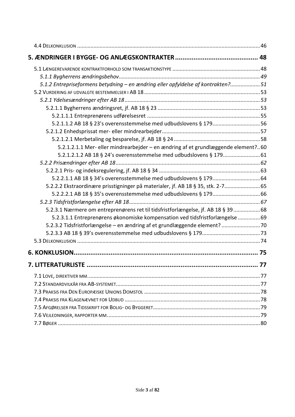| 5.1.2 Entrepriseformens betydning - en ændring eller opfyldelse af kontrakten?51  |  |
|-----------------------------------------------------------------------------------|--|
|                                                                                   |  |
|                                                                                   |  |
|                                                                                   |  |
|                                                                                   |  |
| 5.2.1.1.2 AB 18 § 23's overensstemmelse med udbudslovens § 17956                  |  |
|                                                                                   |  |
|                                                                                   |  |
| 5.2.1.2.1.1 Mer- eller mindrearbejder - en ændring af et grundlæggende element?60 |  |
|                                                                                   |  |
|                                                                                   |  |
|                                                                                   |  |
|                                                                                   |  |
| 5.2.2.2 Ekstraordinære prisstigninger på materialer, jf. AB 18 § 35, stk. 2-7 65  |  |
|                                                                                   |  |
|                                                                                   |  |
| 5.2.3.1 Nærmere om entreprenørens ret til tidsfristforlængelse, jf. AB 18 § 3968  |  |
| 5.2.3.1.1 Entreprenørens økonomiske kompensation ved tidsfristforlængelse 69      |  |
| 5.2.3.2 Tidsfristforlængelse - en ændring af et grundlæggende element?70          |  |
|                                                                                   |  |
|                                                                                   |  |
|                                                                                   |  |
|                                                                                   |  |
|                                                                                   |  |
|                                                                                   |  |
|                                                                                   |  |
|                                                                                   |  |
|                                                                                   |  |
|                                                                                   |  |
|                                                                                   |  |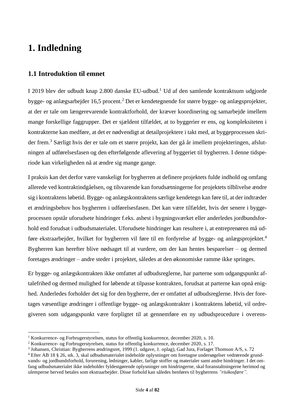# <span id="page-4-0"></span>**1. Indledning**

### <span id="page-4-1"></span>**1.1 Introduktion til emnet**

I 2019 blev der udbudt knap 2.800 danske EU-udbud.<sup>1</sup> Ud af den samlende kontraktsum udgjorde bygge- og anlægsarbejder 16,5 procent.<sup>2</sup> Det er kendetegnende for større bygge- og anlægsprojekter, at der er tale om længerevarende kontraktforhold, der kræver koordinering og samarbejde imellem mange forskellige faggrupper. Det er sjældent tilfældet, at to byggerier er ens, og kompleksiteten i kontrakterne kan medføre, at det er nødvendigt at detailprojektere i takt med, at byggeprocessen skrider frem.<sup>3</sup> Særligt hvis der er tale om et større projekt, kan der gå år imellem projekteringen, afslutningen af udførelsesfasen og den efterfølgende aflevering af byggeriet til bygherren. I denne tidsperiode kan virkeligheden nå at ændre sig mange gange.

I praksis kan det derfor være vanskeligt for bygherren at definere projektets fulde indhold og omfang allerede ved kontraktindgåelsen, og tilsvarende kan forudsætningerne for projektets tilblivelse ændre sig i kontraktens løbetid. Bygge- og anlægskontraktens særlige kendetegn kan føre til, at der indtræder et ændringsbehov hos bygherren i udførelsesfasen. Det kan være tilfældet, hvis der senere i byggeprocessen opstår uforudsete hindringer f.eks. asbest i bygningsværket eller anderledes jordbundsforhold end forudsat i udbudsmaterialet. Uforudsete hindringer kan resultere i, at entreprenøren må udføre ekstraarbejder, hvilket for bygherren vil føre til en fordyrelse af bygge- og anlægsprojektet.<sup>4</sup> Bygherren kan herefter blive nødsaget til at vurdere, om der kan hentes besparelser – og dermed foretages ændringer – andre steder i projektet, således at den økonomiske ramme ikke springes.

Er bygge- og anlægskontrakten ikke omfattet af udbudsreglerne, har parterne som udgangspunkt aftalefrihed og dermed mulighed for løbende at tilpasse kontrakten, forudsat at parterne kan opnå enighed. Anderledes forholder det sig for den bygherre, der er omfattet af udbudsreglerne. Hvis der foretages væsentlige ændringer i offentlige bygge- og anlægskontrakter i kontraktens løbetid, vil ordregiveren som udgangspunkt være forpligtet til at gennemføre en ny udbudsprocedure i overens-

<sup>1</sup> Konkurrence- og Forbrugerstyrelsen, status for offentlig konkurrence, december 2020, s. 10.

<sup>2</sup> Konkurrence- og Forbrugerstyrelsen, status for offentlig konkurrence, december 2020, s. 17.

<sup>&</sup>lt;sup>3</sup> Johansen, Christian: Bygherrens ændringsret, 1999 (1. udgave, 1. oplag), Gad Jura, Forlaget Thomson A/S, s. 72

<sup>4</sup> Efter AB 18 § 26, stk. 3, skal udbudsmaterialet indeholde oplysninger om foretagne undersøgelser vedrørende grundvands- og jordbundsforhold, forurening, ledninger, kabler, farlige stoffer og materialer samt andre hindringer. I det omfang udbudsmaterialet ikke indeholder fyldestgørende oplysninger om hindringerne, skal foranstaltningerne herimod og ulemperne herved betales som ekstraarbejder. Disse forhold kan således henføres til bygherrens *"risikosfære".*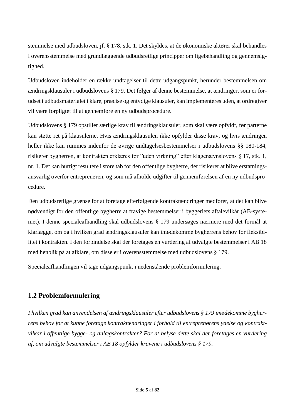stemmelse med udbudsloven, jf. § 178, stk. 1. Det skyldes, at de økonomiske aktører skal behandles i overensstemmelse med grundlæggende udbudsretlige principper om ligebehandling og gennemsigtighed.

Udbudsloven indeholder en række undtagelser til dette udgangspunkt, herunder bestemmelsen om ændringsklausuler i udbudslovens § 179. Det følger af denne bestemmelse, at ændringer, som er forudset i udbudsmaterialet i klare, præcise og entydige klausuler, kan implementeres uden, at ordregiver vil være forpligtet til at gennemføre en ny udbudsprocedure.

Udbudslovens § 179 opstiller særlige krav til ændringsklausuler, som skal være opfyldt, før parterne kan støtte ret på klausulerne. Hvis ændringsklausulen ikke opfylder disse krav, og hvis ændringen heller ikke kan rummes indenfor de øvrige undtagelsesbestemmelser i udbudslovens §§ 180-184, risikerer bygherren, at kontrakten erklæres for "uden virkning" efter klagenævnslovens § 17, stk. 1, nr. 1. Det kan hurtigt resultere i store tab for den offentlige bygherre, der risikerer at blive erstatningsansvarlig overfor entreprenøren, og som må afholde udgifter til gennemførelsen af en ny udbudsprocedure.

Den udbudsretlige grænse for at foretage efterfølgende kontraktændringer medfører, at det kan blive nødvendigt for den offentlige bygherre at fravige bestemmelser i byggeriets aftalevilkår (AB-systemet). I denne specialeafhandling skal udbudslovens § 179 undersøges nærmere med det formål at klarlægge, om og i hvilken grad ændringsklausuler kan imødekomme bygherrens behov for fleksibilitet i kontrakten. I den forbindelse skal der foretages en vurdering af udvalgte bestemmelser i AB 18 med henblik på at afklare, om disse er i overensstemmelse med udbudslovens § 179.

Specialeafhandlingen vil tage udgangspunkt i nedenstående problemformulering.

## <span id="page-5-0"></span>**1.2 Problemformulering**

*I hvilken grad kan anvendelsen af ændringsklausuler efter udbudslovens § 179 imødekomme bygherrens behov for at kunne foretage kontraktændringer i forhold til entreprenørens ydelse og kontraktvilkår i offentlige bygge- og anlægskontrakter? For at belyse dette skal der foretages en vurdering af, om udvalgte bestemmelser i AB 18 opfylder kravene i udbudslovens § 179.*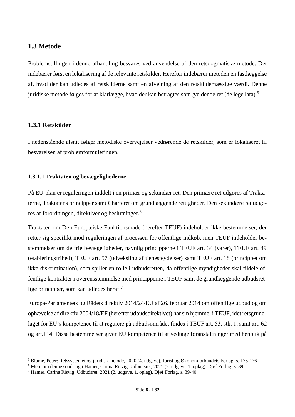#### <span id="page-6-0"></span>**1.3 Metode**

Problemstillingen i denne afhandling besvares ved anvendelse af den retsdogmatiske metode. Det indebærer først en lokalisering af de relevante retskilder. Herefter indebærer metoden en fastlæggelse af, hvad der kan udledes af retskilderne samt en afvejning af den retskildemæssige værdi. Denne juridiske metode følges for at klarlægge, hvad der kan betragtes som gældende ret (de lege lata).<sup>5</sup>

#### <span id="page-6-1"></span>**1.3.1 Retskilder**

I nedenstående afsnit følger metodiske overvejelser vedrørende de retskilder, som er lokaliseret til besvarelsen af problemformuleringen.

#### <span id="page-6-2"></span>**1.3.1.1 Traktaten og bevægelighederne**

På EU-plan er reguleringen inddelt i en primær og sekundær ret. Den primære ret udgøres af Traktaterne, Traktatens principper samt Charteret om grundlæggende rettigheder. Den sekundære ret udgøres af forordningen, direktiver og beslutninger.<sup>6</sup>

Traktaten om Den Europæiske Funktionsmåde (herefter TEUF) indeholder ikke bestemmelser, der retter sig specifikt mod reguleringen af processen for offentlige indkøb, men TEUF indeholder bestemmelser om de frie bevægeligheder, navnlig principperne i TEUF art. 34 (varer), TEUF art. 49 (etableringsfrihed), TEUF art. 57 (udveksling af tjenesteydelser) samt TEUF art. 18 (princippet om ikke-diskrimination), som spiller en rolle i udbudsretten, da offentlige myndigheder skal tildele offentlige kontrakter i overensstemmelse med principperne i TEUF samt de grundlæggende udbudsretlige principper, som kan udledes heraf. 7

Europa-Parlamentets og Rådets direktiv 2014/24/EU af 26. februar 2014 om offentlige udbud og om ophævelse af direktiv 2004/18/EF (herefter udbudsdirektivet) har sin hjemmel i TEUF, idet retsgrundlaget for EU's kompetence til at regulere på udbudsområdet findes i TEUF art. 53, stk. 1, samt art. 62 og art.114. Disse bestemmelser giver EU kompetence til at vedtage foranstaltninger med henblik på

<sup>5</sup> Blume, Peter: Retssystemet og juridisk metode, 2020 (4. udgave), Jurist og Økonomforbundets Forlag, s. 175-176

<sup>6</sup> Mere om denne sondring i Hamer, Carina Risvig: Udbudsret, 2021 (2. udgave, 1. oplag), Djøf Forlag, s. 39

 $^7$  Hamer, Carina Risvig: Udbudsret, 2021 (2. udgave, 1. oplag), Djøf Forlag, s. 39-40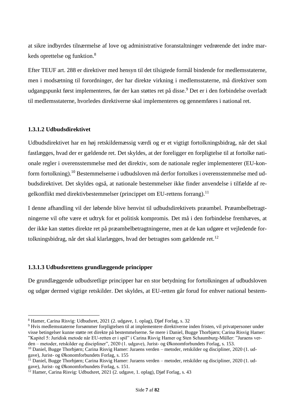at sikre indbyrdes tilnærmelse af love og administrative foranstaltninger vedrørende det indre markeds oprettelse og funktion. 8

Efter TEUF art. 288 er direktiver med hensyn til det tilsigtede formål bindende for medlemsstaterne, men i modsætning til forordninger, der har direkte virkning i medlemsstaterne, må direktiver som udgangspunkt først implementeres, før der kan støttes ret på disse.<sup>9</sup> Det er i den forbindelse overladt til medlemsstaterne, hvorledes direktiverne skal implementeres og gennemføres i national ret.

#### <span id="page-7-0"></span>**1.3.1.2 Udbudsdirektivet**

Udbudsdirektivet har en høj retskildemæssig værdi og er et vigtigt fortolkningsbidrag, når det skal fastlægges, hvad der er gældende ret. Det skyldes, at der foreligger en forpligtelse til at fortolke nationale regler i overensstemmelse med det direktiv, som de nationale regler implementerer (EU-konform fortolkning).<sup>10</sup> Bestemmelserne i udbudsloven må derfor fortolkes i overensstemmelse med udbudsdirektivet. Det skyldes også, at nationale bestemmelser ikke finder anvendelse i tilfælde af regelkonflikt med direktivbestemmelser (princippet om EU-rettens forrang).<sup>11</sup>

I denne afhandling vil der løbende blive henvist til udbudsdirektivets præambel. Præambelbetragtningerne vil ofte være et udtryk for et politisk kompromis. Det må i den forbindelse fremhæves, at der ikke kan støttes direkte ret på præambelbetragtningerne, men at de kan udgøre et vejledende fortolkningsbidrag, når det skal klarlægges, hvad der betragtes som gældende ret.<sup>12</sup>

#### <span id="page-7-1"></span>**1.3.1.3 Udbudsrettens grundlæggende principper**

De grundlæggende udbudsretlige principper har en stor betydning for fortolkningen af udbudsloven og udgør dermed vigtige retskilder. Det skyldes, at EU-retten går forud for enhver national bestem-

<sup>8</sup> Hamer, Carina Risvig: Udbudsret, 2021 (2. udgave, 1. oplag), Djøf Forlag, s. 32

<sup>9</sup> Hvis medlemsstaterne forsømmer forpligtelsen til at implementere direktiverne inden fristen, vil privatpersoner under visse betingelser kunne støtte ret direkte på bestemmelserne. Se mere i Daniel, Bugge Thorbjørn; Carina Risvig Hamer: "Kapitel 5: Juridisk metode når EU-retten er i spil" i Carina Risvig Hamer og Sten Schaumburg-Müller: "Juraens verden – metoder, retskilder og discipliner", 2020 (1. udgave), Jurist- og Økonomforbundets Forlag, s. 153.

<sup>10</sup> Daniel, Bugge Thorbjørn; Carina Risvig Hamer: Juraens verden – metoder, retskilder og discipliner, 2020 (1. udgave), Jurist- og Økonomforbundets Forlag, s. 155

 $^{11}$  Daniel, Bugge Thorbjørn; Carina Risvig Hamer: Juraens verden – metoder, retskilder og discipliner, 2020 (1. udgave), Jurist- og Økonomforbundets Forlag, s. 151.

<sup>&</sup>lt;sup>12</sup> Hamer, Carina Risvig: Udbudsret, 2021 (2. udgave, 1. oplag), Djøf Forlag, s. 43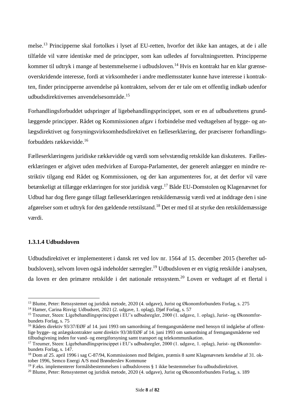melse. <sup>13</sup> Principperne skal fortolkes i lyset af EU-retten, hvorfor det ikke kan antages, at de i alle tilfælde vil være identiske med de principper, som kan udledes af forvaltningsretten. Principperne kommer til udtryk i mange af bestemmelserne i udbudsloven.<sup>14</sup> Hvis en kontrakt har en klar grænseoverskridende interesse, fordi at virksomheder i andre medlemsstater kunne have interesse i kontrakten, finder principperne anvendelse på kontrakten, selvom der er tale om et offentlig indkøb udenfor udbudsdirektivernes anvendelsesområde.<sup>15</sup>

Forhandlingsforbuddet udspringer af ligebehandlingsprincippet, som er en af udbudsrettens grundlæggende principper. Rådet og Kommissionen afgav i forbindelse med vedtagelsen af bygge- og anlægsdirektivet og forsyningsvirksomhedsdirektivet en fælleserklæring, der præciserer forhandlingsforbuddets rækkevidde.<sup>16</sup>

Fælleserklæringens juridiske rækkevidde og værdi som selvstændig retskilde kan diskuteres. Fælleserklæringen er afgivet uden medvirken af Europa-Parlamentet, der generelt anlægger en mindre restriktiv tilgang end Rådet og Kommissionen, og der kan argumenteres for, at det derfor vil være betænkeligt at tillægge erklæringen for stor juridisk vægt.<sup>17</sup> Både EU-Domstolen og Klagenævnet for Udbud har dog flere gange tillagt fælleserklæringen retskildemæssig værdi ved at inddrage den i sine afgørelser som et udtryk for den gældende retstilstand.<sup>18</sup> Det er med til at styrke den retskildemæssige værdi.

#### <span id="page-8-0"></span>**1.3.1.4 Udbudsloven**

Udbudsdirektivet er implementeret i dansk ret ved lov nr. 1564 af 15. december 2015 (herefter udbudsloven), selvom loven også indeholder særregler.<sup>19</sup> Udbudsloven er en vigtig retskilde i analysen, da loven er den primære retskilde i det nationale retssystem. <sup>20</sup> Loven er vedtaget af et flertal i

<sup>13</sup> Blume, Peter: Retssystemet og juridisk metode, 2020 (4. udgave), Jurist og Økonomforbundets Forlag, s. 275

<sup>14</sup> Hamer, Carina Risvig: Udbudsret, 2021 (2. udgave, 1. oplag), Djøf Forlag, s. 57

<sup>&</sup>lt;sup>15</sup> Treumer, Steen: Ligebehandlingsprincippet i EU's udbudsregler, 2000 (1. udgave, 1. oplag), Jurist- og Økonomforbundets Forlag, s. 75

<sup>16</sup> Rådets direktiv 93/37/EØF af 14. juni 1993 om samordning af fremgangsmåderne med hensyn til indgåelse af offentlige bygge- og anlægskontrakter *samt* direktiv 93/38/EØF af 14. juni 1993 om samordning af fremgangsmåderne ved tilbudsgivning inden for vand- og energiforsyning samt transport og telekommunikation.

<sup>&</sup>lt;sup>17</sup> Treumer, Steen: Ligebehandlingsprincippet i EU's udbudsregler, 2000 (1. udgave, 1. oplag), Jurist- og Økonomforbundets Forlag, s. 147.

<sup>18</sup> Dom af 25. april 1996 i sag C-87/94, Kommissionen mod Belgien, præmis 8 *samt* Klagenævnets kendelse af 31. oktober 1996, Semco Energi A/S mod Brønderslev Kommune

<sup>19</sup> F.eks. implementerer formålsbestemmelsen i udbudslovens § 1 ikke bestemmelser fra udbudsdirektivet.

<sup>&</sup>lt;sup>20</sup> Blume, Peter: Retssystemet og juridisk metode, 2020 (4. udgave), Jurist og Økonomforbundets Forlag, s. 189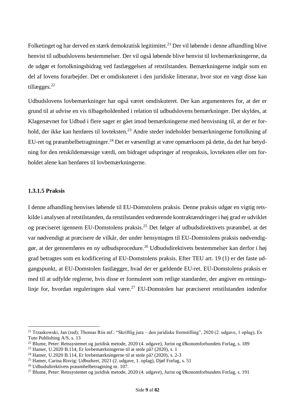Folketinget og har derved en stærk demokratisk legitimitet.<sup>21</sup> Der vil løbende i denne afhandling blive henvist til udbudslovens bestemmelser. Der vil også løbende blive henvist til lovbemærkningerne, da de udgør et fortolkningsbidrag ved fastlæggelsen af retstilstanden. Bemærkningerne indgår som en del af lovens forarbejder. Det er omdiskuteret i den juridiske litteratur, hvor stor en vægt disse kan tillægges.<sup>22</sup>

Udbudslovens lovbemærkninger har også været omdiskuteret. Der kan argumenteres for, at der er grund til at udvise en vis tilbageholdenhed i relation til udbudslovens bemærkninger. Det skyldes, at Klagenævnet for Udbud i flere sager er gået imod bemærkningerne med henvisning til, at der er forhold, der ikke kan henføres til lovteksten.<sup>23</sup> Andre steder indeholder bemærkningerne fortolkning af EU-ret og præambelbetragtninger.<sup>24</sup> Det er væsentligt at være opmærksom på dette, da det har betydning for den retskildemæssige værdi, om bidraget udspringer af retspraksis, lovteksten eller om forholdet alene kan henføres til lovbemærkningerne.

#### <span id="page-9-0"></span>**1.3.1.5 Praksis**

I denne afhandling henvises løbende til EU-Domstolens praksis. Denne praksis udgør en vigtig retskilde i analysen af retstilstanden, da retstilstanden vedrørende kontraktændringer i høj grad er udviklet og præciseret igennem EU-Domstolens praksis.<sup>25</sup> Det følger af udbudsdirektivets præambel, at det var nødvendigt at præcisere de vilkår, der under hensyntagen til EU-Domstolens praksis nødvendiggør, at der gennemføres en ny udbudsprocedure.<sup>26</sup> Udbudsdirektivets bestemmelser kan derfor i høj grad betragtes som en kodificering af EU-Domstolens praksis. Efter TEU art. 19 (1) er det faste udgangspunkt, at EU-Domstolen fastlægger, hvad der er gældende EU-ret. EU-Domstolens praksis er med til at udfylde reglerne, hvis disse er formuleret som retlige standarder, der angiver en retningslinje for, hvordan reguleringen skal være.<sup>27</sup> EU-Domstolen har præciseret retstilstanden indenfor

<sup>&</sup>lt;sup>21</sup> Trzaskowski, Jan (red); Thomas Riis mf.: "Skriftlig jura – den juridiske fremstilling", 2020 (2. udgave, 1 oplag), Ex Tuto Publishing A/S, s. 13

<sup>22</sup> Blume, Peter: Retssystemet og juridisk metode, 2020 (4. udgave), Jurist og Økonomforbundets Forlag, s. 189

 $23$  Hamer, U.2020 B.114, Er lovbemærkningerne til at stole på? (2020), s. 1

<sup>&</sup>lt;sup>24</sup> Hamer, U.2020 B.114, Er lovbemærkningerne til at stole på? (2020), s. 2-3

<sup>&</sup>lt;sup>25</sup> Hamer, Carina Risvig: Udbudsret, 2021 (2. udgave, 1. oplag), Djøf Forlag, s. 51

<sup>26</sup> Udbudsdirektivets præambelbetragtning nr. 107.

<sup>27</sup> Blume, Peter: Retssystemet og juridisk metode, 2020 (4. udgave), Jurist og Økonomforbundets Forlag, s. 191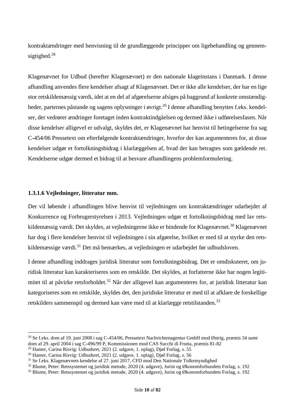kontraktændringer med henvisning til de grundlæggende principper om ligebehandling og gennemsigtighed.<sup>28</sup>

Klagenævnet for Udbud (herefter Klagenævnet) er den nationale klageinstans i Danmark. I denne afhandling anvendes flere kendelser afsagt af Klagenævnet. Det er ikke alle kendelser, der har en lige stor retskildemæssig værdi, idet at en del af afgørelserne afsiges på baggrund af konkrete omstændigheder, parternes påstande og sagens oplysninger i øvrigt.<sup>29</sup> I denne afhandling benyttes f.eks. kendelser, der vedrører ændringer foretaget inden kontraktindgåelsen og dermed ikke i udførelsesfasen. Når disse kendelser alligevel er udvalgt, skyldes det, er Klagenævnet har henvist til betingelserne fra sag C-454/06 Pressetext om efterfølgende kontraktændringer, hvorfor der kan argumenteres for, at disse kendelser udgør et fortolkningsbidrag i klarlæggelsen af, hvad der kan betragtes som gældende ret. Kendelserne udgør dermed et bidrag til at besvare afhandlingens problemformulering.

#### <span id="page-10-0"></span>**1.3.1.6 Vejledninger, litteratur mm.**

Der vil løbende i afhandlingen blive henvist til vejledningen om kontraktændringer udarbejdet af Konkurrence og Forbrugerstyrelsen i 2013. Vejledningen udgør et fortolkningsbidrag med lav retskildemæssig værdi. Det skyldes, at vejledningerne ikke er bindende for Klagenævnet.<sup>30</sup> Klagenævnet har dog i flere kendelser henvist til vejledningen i sin afgørelse, hvilket er med til at styrke den retskildemæssige værdi.<sup>31</sup> Det må bemærkes, at vejledningen er udarbejdet før udbudsloven.

I denne afhandling inddrages juridisk litteratur som fortolkningsbidrag. Det er omdiskuteret, om juridisk litteratur kan karakteriseres som en retskilde. Det skyldes, at forfatterne ikke har nogen legitimitet til at påvirke retsforholdet.<sup>32</sup> Når der alligevel kan argumenteres for, at juridisk litteratur kan kategoriseres som en retskilde, skyldes det, den juridiske litteratur er med til at afklare de forskellige retskilders sammenspil og dermed kan være med til at klarlægge retstilstanden.<sup>33</sup>

<sup>28</sup> Se f.eks. dom af 19. juni 2008 i sag C-454/06, Pressetext Nachrichtenagentur GmbH mod Østrig, præmis 34 *samt* dom af 29. april 2004 i sag C-496/99 P, Kommissionen mod CAS Succhi di Frutta, præmis 81-82

<sup>29</sup> Hamer, Carina Risvig: Udbudsret, 2021 (2. udgave, 1. oplag), Djøf Forlag, s. 55

<sup>30</sup> Hamer, Carina Risvig: Udbudsret, 2021 (2. udgave, 1. oplag), Djøf Forlag, s. 56

 $31$  Se f.eks. Klagenævnets kendelse af 27. juni 2017, CFD mod Den Nationale Tolkemyndighed

<sup>32</sup> Blume, Peter: Retssystemet og juridisk metode, 2020 (4. udgave), Jurist og Økonomforbundets Forlag, s. 192

<sup>33</sup> Blume, Peter: Retssystemet og juridisk metode, 2020 (4. udgave), Jurist og Økonomforbundets Forlag, s. 192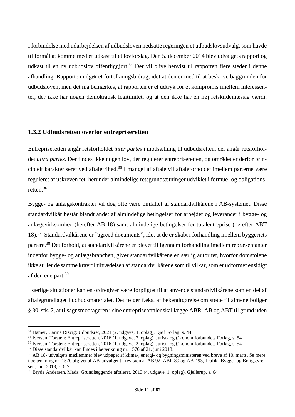I forbindelse med udarbejdelsen af udbudsloven nedsatte regeringen et udbudslovsudvalg, som havde til formål at komme med et udkast til et lovforslag. Den 5. december 2014 blev udvalgets rapport og udkast til en ny udbudslov offentliggjort.<sup>34</sup> Der vil blive henvist til rapporten flere steder i denne afhandling. Rapporten udgør et fortolkningsbidrag, idet at den er med til at beskrive baggrunden for udbudsloven, men det må bemærkes, at rapporten er et udtryk for et kompromis imellem interessenter, der ikke har nogen demokratisk legitimitet, og at den ikke har en høj retskildemæssig værdi.

#### <span id="page-11-0"></span>**1.3.2 Udbudsretten overfor entrepriseretten**

Entrepriseretten angår retsforholdet *inter partes* i modsætning til udbudsretten, der angår retsforholdet *ultra partes.* Der findes ikke nogen lov, der regulerer entrepriseretten, og området er derfor principielt karakteriseret ved aftalefrihed.<sup>35</sup> I mangel af aftale vil aftaleforholdet imellem parterne være reguleret af uskreven ret, herunder almindelige retsgrundsætninger udviklet i formue- og obligationsretten. 36

Bygge- og anlægskontrakter vil dog ofte være omfattet af standardvilkårene i AB-systemet. Disse standardvilkår består blandt andet af almindelige betingelser for arbejder og leverancer i bygge- og anlægsvirksomhed (herefter AB 18) samt almindelige betingelser for totalentreprise (herefter ABT 18).<sup>37</sup> Standardvilkårene er "agreed documents", idet at de er skabt i forhandling imellem byggeriets partere.<sup>38</sup> Det forhold, at standardvilkårene er blevet til igennem forhandling imellem repræsentanter indenfor bygge- og anlægsbranchen, giver standardvilkårene en særlig autoritet, hvorfor domstolene ikke stiller de samme krav til tiltrædelsen af standardvilkårene som til vilkår, som er udformet ensidigt af den ene part.<sup>39</sup>

I særlige situationer kan en ordregiver være forpligtet til at anvende standardvilkårene som en del af aftalegrundlaget i udbudsmaterialet. Det følger f.eks. af bekendtgørelse om støtte til almene boliger § 30, stk. 2, at tilsagnsmodtageren i sine entrepriseaftaler skal lægge ABR, AB og ABT til grund uden

<sup>34</sup> Hamer, Carina Risvig: Udbudsret, 2021 (2. udgave, 1. oplag), Djøf Forlag, s. 44

<sup>35</sup> Iversen, Torsten: Entrepriseretten, 2016 (1. udgave, 2. oplag), Jurist- og Økonomiforbundets Forlag, s. 54

<sup>36</sup> Iversen, Torsten: Entrepriseretten, 2016 (1. udgave, 2. oplag), Jurist- og Økonomiforbundets Forlag, s. 54

<sup>37</sup> Disse standardvilkår kan findes i betænkning nr. 1570 af 21. juni 2018.

<sup>38</sup> AB 18- udvalgets medlemmer blev udpeget af klima-, energi- og bygningsministeren ved breve af 10. marts. Se mere i betænkning nr. 1570 afgivet af AB-udvalget til revision af AB 92, ABR 89 og ABT 93, Trafik- Bygge- og Boligstyrelsen, juni 2018, s. 6-7.

<sup>39</sup> Bryde Andersen, Mads: Grundlæggende aftaleret, 2013 (4. udgave, 1. oplag), Gjellerup, s. 64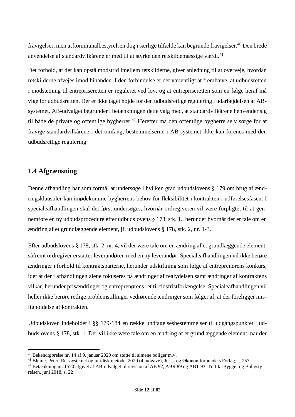fravigelser, men at kommunalbestyrelsen dog i særlige tilfælde kan begrunde fravigelser.<sup>40</sup> Den brede anvendelse af standardvilkårene er med til at styrke den retskildemæssige værdi. 41

Det forhold, at der kan opstå modstrid imellem retskilderne, giver anledning til at overveje, hvordan retskilderne afvejes imod hinanden. I den forbindelse er det væsentligt at fremhæve, at udbudsretten i modsætning til entrepriseretten er reguleret ved lov, og at entrepriseretten som en følge heraf må vige for udbudsretten. Der er ikke taget højde for den udbudsretlige regulering i udarbejdelsen af ABsystemet. AB-udvalget begrunder i betænkningen dette valg med, at standardvilkårene henvender sig til både de private og offentlige bygherrer.<sup>42</sup> Herefter må den offentlige bygherre selv sørge for at fravige standardvilkårene i det omfang, bestemmelserne i AB-systemet ikke kan forenes med den udbudsretlige regulering.

### <span id="page-12-0"></span>**1.4 Afgrænsning**

Denne afhandling har som formål at undersøge i hvilken grad udbudslovens § 179 om brug af ændringsklausuler kan imødekomme bygherrens behov for fleksibilitet i kontrakten i udførelsesfasen. I specialeafhandlingen skal det først undersøges, hvornår ordregiveren vil være forpligtet til at gennemføre en ny udbudsprocedure efter udbudslovens § 178, stk. 1., herunder hvornår der er tale om en ændring af et grundlæggende element, jf. udbudslovens § 178, stk. 2, nr. 1-3.

Efter udbudslovens § 178, stk. 2, nr. 4, vil der være tale om en ændring af et grundlæggende element, såfremt ordregiver erstatter leverandøren med en ny leverandør. Specialeafhandlingen vil ikke berøre ændringer i forhold til kontraktsparterne, herunder udskiftning som følge af entreprenørens konkurs, idet at der i afhandlingen alene fokuseres på ændringer af realydelsen samt ændringer af kontraktens vilkår, herunder prisændringer og entreprenørens ret til tidsfristforlængelse. Specialeafhandlingen vil heller ikke berøre retlige problemstillinger vedrørende ændringer som følger af, at der foreligger misligholdelse af kontrakten.

Udbudsloven indeholder i §§ 179-184 en række undtagelsesbestemmelser til udgangspunktet i udbudslovens § 178, stk. 1. Der vil ikke være tale om en ændring af et grundlæggende element, når der

<sup>40</sup> Bekendtgørelse nr. 14 af 9. januar 2020 om støtte til almene boliger m.v.

<sup>41</sup> Blume, Peter: Retssystemet og juridisk metode, 2020 (4. udgave), Jurist og Økonomforbundets Forlag, s. 257

<sup>42</sup> Betænkning nr. 1570 afgivet af AB-udvalget til revision af AB 92, ABR 89 og ABT 93, Trafik- Bygge- og Boligstyrelsen, juni 2018, s. 22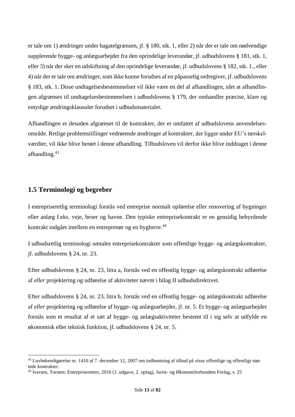er tale om 1) ændringer under bagatelgrænsen, jf. § 180, stk. 1, eller 2) når der er tale om nødvendige supplerende bygge- og anlægsarbejder fra den oprindelige leverandør, jf. udbudslovens § 181, stk. 1, eller 3) når der sker en udskiftning af den oprindelige leverandør, jf. udbudslovens § 182, stk. 1., eller 4) når der er tale om ændringer, som ikke kunne forudses af en påpasselig ordregiver, jf. udbudslovens § 183, stk. 1. Disse undtagelsesbestemmelser vil ikke være en del af afhandlingen, idet at afhandlingen afgrænses til undtagelsesbestemmelsen i udbudslovens § 179, der omhandler præcise, klare og entydige ændringsklausuler forudset i udbudsmaterialet.

Afhandlingen er desuden afgrænset til de kontrakter, der er omfattet af udbudslovens anvendelsesområde. Retlige problemstillinger vedrørende ændringer af kontrakter, der ligger under EU's tærskelværdier, vil ikke blive berørt i denne afhandling. Tilbudsloven vil derfor ikke blive inddraget i denne afhandling. 43

#### <span id="page-13-0"></span>**1.5 Terminologi og begreber**

I entrepriseretlig terminologi forstås ved entreprise normalt opførelse eller renovering af bygninger eller anlæg f.eks. veje, broer og havne. Den typiske entreprisekontrakt er en gensidig bebyrdende kontrakt indgået imellem en entreprenør og en bygherre. 44

I udbudsretlig terminologi omtales entreprisekontrakter som offentlige bygge- og anlægskontrakter, jf. udbudslovens § 24, nr. 23.

Efter udbudslovens § 24, nr. 23, litra a, forstås ved en offentlig bygge- og anlægskontrakt udførelse af *eller* projektering og udførelse af aktiviteter nævnt i bilag II udbudsdirektivet.

Efter udbudslovens § 24, nr. 23, litra b, forstås ved en offentlig bygge- og anlægskontrakt udførelse af *eller* projektering og udførelse af bygge- og anlægsarbejder, jf. nr. 5. Et bygge- og anlægsarbejder forstås som et resultat af et sæt af bygge- og anlægsaktiviteter bestemt til i sig selv at udfylde en økonomisk eller teknisk funktion, jf. udbudslovens § 24, nr. 5.

<sup>43</sup> Lovbekendtgørelse nr. 1410 af 7. december 12, 2007 om indhentning af tilbud på visse offentlige og offentligt støttede kontrakter.

<sup>44</sup> Iversen, Torsten: Entrepriseretten, 2016 (1. udgave, 2. oplag), Jurist- og Økonomiforbundets Forlag, s. 25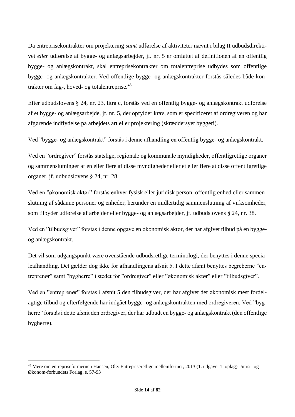Da entreprisekontrakter om projektering *samt* udførelse af aktiviteter nævnt i bilag II udbudsdirektivet *eller* udførelse af bygge- og anlægsarbejder, jf. nr. 5 er omfattet af definitionen af en offentlig bygge- og anlægskontrakt, skal entreprisekontrakter om totalentreprise udbydes som offentlige bygge- og anlægskontrakter. Ved offentlige bygge- og anlægskontrakter forstås således både kontrakter om fag-, hoved- og totalentreprise.<sup>45</sup>

Efter udbudslovens § 24, nr. 23, litra c, forstås ved en offentlig bygge- og anlægskontrakt udførelse af et bygge- og anlægsarbejde, jf. nr. 5, der opfylder krav, som er specificeret af ordregiveren og har afgørende indflydelse på arbejdets art eller projektering (skræddersyet byggeri).

Ved "bygge- og anlægskontrakt" forstås i denne afhandling en offentlig bygge- og anlægskontrakt.

Ved en "ordregiver" forstås statslige, regionale og kommunale myndigheder, offentligretlige organer og sammenslutninger af en eller flere af disse myndigheder eller et eller flere at disse offentligretlige organer, jf. udbudslovens § 24, nr. 28.

Ved en "økonomisk aktør" forstås enhver fysisk eller juridisk person, offentlig enhed eller sammenslutning af sådanne personer og enheder, herunder en midlertidig sammenslutning af virksomheder, som tilbyder udførelse af arbejder eller bygge- og anlægsarbejder, jf. udbudslovens § 24, nr. 38.

Ved en "tilbudsgiver" forstås i denne opgave en økonomisk aktør, der har afgivet tilbud på en byggeog anlægskontrakt.

Det vil som udgangspunkt være ovenstående udbudsretlige terminologi, der benyttes i denne specialeafhandling. Det gælder dog ikke for afhandlingens afsnit 5. I dette afsnit benyttes begreberne "entreprenør" samt "bygherre" i stedet for "ordregiver" eller "økonomisk aktør" eller "tilbudsgiver".

Ved en "entreprenør" forstås i afsnit 5 den tilbudsgiver, der har afgivet det økonomisk mest fordelagtige tilbud og efterfølgende har indgået bygge- og anlægskontrakten med ordregiveren. Ved "bygherre" forstås i dette afsnit den ordregiver, der har udbudt en bygge- og anlægskontrakt (den offentlige bygherre).

<sup>45</sup> Mere om entrepriseformerne i Hansen, Ole: Entrepriseretlige mellemformer, 2013 (1. udgave, 1. oplag), Jurist- og Økonom-forbundets Forlag, s. 57-93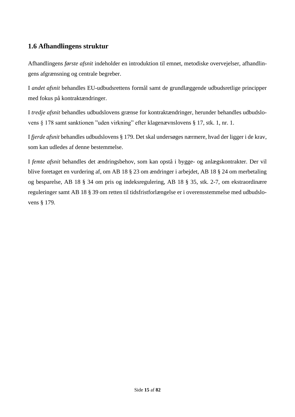## <span id="page-15-0"></span>**1.6 Afhandlingens struktur**

Afhandlingens *første afsnit* indeholder en introduktion til emnet, metodiske overvejelser, afhandlingens afgrænsning og centrale begreber.

I *andet afsnit* behandles EU-udbudsrettens formål samt de grundlæggende udbudsretlige principper med fokus på kontraktændringer.

I *tredje afsnit* behandles udbudslovens grænse for kontraktændringer, herunder behandles udbudslovens § 178 samt sanktionen "uden virkning" efter klagenævnslovens § 17, stk. 1, nr. 1.

I *fjerde afsnit* behandles udbudslovens § 179. Det skal undersøges nærmere, hvad der ligger i de krav, som kan udledes af denne bestemmelse.

I *femte afsnit* behandles det ændringsbehov, som kan opstå i bygge- og anlægskontrakter. Der vil blive foretaget en vurdering af, om AB 18 § 23 om ændringer i arbejdet, AB 18 § 24 om merbetaling og besparelse, AB 18 § 34 om pris og indeksregulering, AB 18 § 35, stk. 2-7, om ekstraordinære reguleringer samt AB 18 § 39 om retten til tidsfristforlængelse er i overensstemmelse med udbudslovens § 179.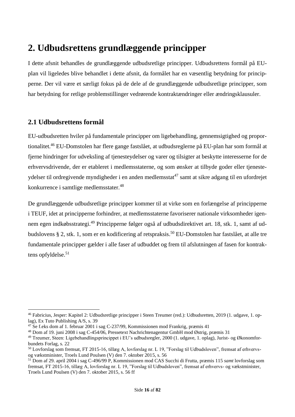# <span id="page-16-0"></span>**2. Udbudsrettens grundlæggende principper**

I dette afsnit behandles de grundlæggende udbudsretlige principper. Udbudsrettens formål på EUplan vil ligeledes blive behandlet i dette afsnit, da formålet har en væsentlig betydning for principperne. Der vil være et særligt fokus på de dele af de grundlæggende udbudsretlige principper, som har betydning for retlige problemstillinger vedrørende kontraktændringer eller ændringsklausuler.

### <span id="page-16-1"></span>**2.1 Udbudsrettens formål**

EU-udbudsretten hviler på fundamentale principper om ligebehandling, gennemsigtighed og proportionalitet.<sup>46</sup> EU-Domstolen har flere gange fastslået, at udbudsreglerne på EU-plan har som formål at fjerne hindringer for udveksling af tjenesteydelser og varer og tilsigter at beskytte interesserne for de erhvervsdrivende, der er etableret i medlemsstaterne, og som ønsker at tilbyde goder eller tjenesteydelser til ordregivende myndigheder i en anden medlemsstat<sup>47</sup> samt at sikre adgang til en ufordrejet konkurrence i samtlige medlemsstater.<sup>48</sup>

De grundlæggende udbudsretlige principper kommer til at virke som en forlængelse af principperne i TEUF, idet at principperne forhindrer, at medlemsstaterne favoriserer nationale virksomheder igennem egen indkøbsstrategi.<sup>49</sup> Principperne følger også af udbudsdirektivet art. 18, stk. 1, samt af udbudslovens § 2, stk. 1, som er en kodificering af retspraksis. <sup>50</sup> EU-Domstolen har fastslået, at alle tre fundamentale principper gælder i alle faser af udbuddet og frem til afslutningen af fasen for kontraktens opfyldelse. 51

<sup>46</sup> Fabricius, Jesper: Kapitel 2: Udbudsretlige principper i Steen Treumer (red.): Udbudsretten, 2019 (1. udgave, 1. oplag), Ex Tuto Publishing A/S, s. 39

 $47$  Se f.eks dom af 1. februar 2001 i sag C-237/99, Kommissionen mod Frankrig, præmis 41

<sup>48</sup> Dom af 19. juni 2008 i sag C-454/06, Pressetext Nachrichtenagentur GmbH mod Østrig, præmis 31

<sup>49</sup> Treumer, Steen: Ligebehandlingsprincippet i EU's udbudsregler, 2000 (1. udgave, 1. oplag), Jurist- og Økonomforbundets Forlag, s. 22

<sup>50</sup> Lovforslag som fremsat, FT 2015-16, tillæg A, lovforslag nr. L 19, "Forslag til Udbudsloven", fremsat af erhvervsog vækstminister, Troels Lund Poulsen (V) den 7. oktober 2015, s. 56

<sup>51</sup> Dom af 29. april 2004 i sag C-496/99 P, Kommissionen mod CAS Succhi di Frutta, præmis 115 *samt* lovforslag som fremsat, FT 2015-16, tillæg A, lovforslag nr. L 19, "Forslag til Udbudsloven", fremsat af erhvervs- og vækstminister, Troels Lund Poulsen (V) den 7. oktober 2015, s. 56 ff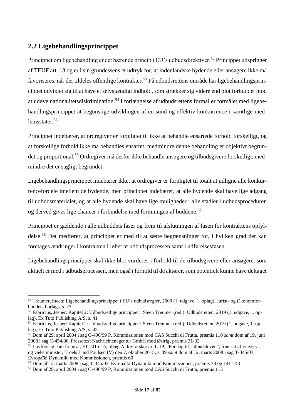## <span id="page-17-0"></span>**2.2 Ligebehandlingsprincippet**

Princippet om ligebehandling er det bærende princip i EU's udbudsdirektiver.<sup>52</sup> Princippet udspringer af TEUF art. 18 og er i sin grundessens et udtryk for, at indenlandske bydende eller ansøgere ikke må favoriseres, når der tildeles offentlige kontrakter. <sup>53</sup> På udbudsrettens område har ligebehandlingsprincippet udviklet sig til at have et selvstændigt indhold, som strækker sig videre end blot forbuddet mod at udøve nationalitetsdiskrimination.<sup>54</sup> I forlængelse af udbudsrettens formål er formålet med ligebehandlingsprincippet at begunstige udviklingen af en sund og effektiv konkurrence i samtlige medlemsstater. 55

Princippet indebærer, at ordregiver er forpligtet til ikke at behandle ensartede forhold forskelligt, og at forskellige forhold ikke må behandles ensartet, medmindre denne behandling er objektivt begrundet og proportional.<sup>56</sup> Ordregiver må derfor ikke behandle ansøgere og tilbudsgivere forskelligt, medmindre det er sagligt begrundet.

Ligebehandlingsprincippet indebærer ikke, at ordregiver er forpligtet til totalt at udligne alle konkurrencefordele imellem de bydende, men princippet indebærer, at alle bydende skal have lige adgang til udbudsmaterialet, og at alle bydende skal have lige muligheder i alle stadier i udbudsproceduren og derved gives lige chancer i forbindelse med formningen af buddene.<sup>57</sup>

Princippet er gældende i alle udbuddets faser og frem til afslutningen af fasen for kontraktens opfyldelse.<sup>58</sup> Det medfører, at princippet er med til at sætte begrænsninger for, i hvilken grad der kan foretages ændringer i kontrakten i løbet af udbudsprocessen samt i udførelsesfasen.

Ligebehandlingsprincippet skal ikke blot vurderes i forhold til de tilbudsgivere eller ansøgere, som aktuelt er med i udbudsprocessen, men også i forhold til de aktører, som potentielt kunne have deltaget

<sup>52</sup> Treumer, Steen: Ligebehandlingsprincippet i EU's udbudsregler, 2000 (1. udgave, 1. oplag), Jurist- og Økonomforbundets Forlags, s. 23

<sup>53</sup> Fabricius, Jesper: Kapitel 2: Udbudsretlige principper i Steen Treumer (red.): Udbudsretten, 2019 (1. udgave, 1. oplag), Ex Tuto Publishing A/S, s. 41

<sup>54</sup> Fabricius, Jesper: Kapitel 2: Udbudsretlige principper i Steen Treumer (red.): Udbudsretten, 2019 (1. udgave, 1. oplag), Ex Tuto Publishing A/S, s. 42

<sup>55</sup> Dom af 29. april 2004 i sag C-496/99 P, Kommissionen mod CAS Succhi di Frutta, præmis 110 *samt* dom af 19. juni 2008 i sag C-454/06, Pressetext Nachrichtenagentur GmbH mod Østrig, præmis 31-32

<sup>56</sup> Lovforslag som fremsat, FT 2015-16, tillæg A, lovforslag nr. L 19, "Forslag til Udbudsloven", fremsat af erhvervsog vækstminister, Troels Lund Poulsen (V) den 7. oktober 2015, s. 39 *samt* dom af 12. marts 2008 i sag T-345/03, Evropaïki Dynamiki mod Kommissionen, præmis 60

<sup>57</sup> Dom af 12. marts 2008 i sag T-345/03, Evropaïki Dynamiki mod Kommissionen, præmis 73 og 141-143

<sup>58</sup> Dom af 29. april 2004 i sag C-496/99 P, Kommissionen mod CAS Succhi di Frutta, præmis 115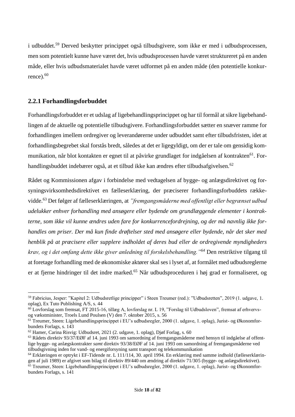i udbuddet.<sup>59</sup> Derved beskytter princippet også tilbudsgivere, som ikke er med i udbudsprocessen, men som potentielt kunne have været det, hvis udbudsprocessen havde været struktureret på en anden måde, eller hvis udbudsmaterialet havde været udformet på en anden måde (den potentielle konkurrence). $60$ 

#### <span id="page-18-0"></span>**2.2.1 Forhandlingsforbuddet**

Forhandlingsforbuddet er et udslag af ligebehandlingsprincippet og har til formål at sikre ligebehandlingen af de aktuelle og potentielle tilbudsgivere. Forhandlingsforbuddet sætter en snæver ramme for forhandlingen imellem ordregiver og leverandørerne under udbuddet samt efter tilbudsfristen, idet at forhandlingsbegrebet skal forstås bredt, således at det er ligegyldigt, om der er tale om gensidig kommunikation, når blot kontakten er egnet til at påvirke grundlaget for indgåelsen af kontrakten<sup>61</sup>. Forhandlingsbuddet indebærer også, at et tilbud ikke kan ændres efter tilbudsafgivelsen.<sup>62</sup>

Rådet og Kommissionen afgav i forbindelse med vedtagelsen af bygge- og anlægsdirektivet og forsyningsvirksomhedsdirektivet en fælleserklæring, der præciserer forhandlingsforbuddets rækkevidde.<sup>63</sup> Det følger af fælleserklæringen, at *"fremgangsmåderne med offentligt eller begrænset udbud udelukker enhver forhandling med ansøgere eller bydende om grundlæggende elementer i kontrakterne, som ikke vil kunne ændres uden fare for konkurrencefordrejning, og der må navnlig ikke forhandles om priser. Der må kun finde drøftelser sted med ansøgere eller bydende, når det sker med henblik på at præcisere eller supplere indholdet af deres bud eller de ordregivende myndigheders krav, og i det omfang dette ikke giver anledning til forskelsbehandling."<sup>64</sup>* Den restriktive tilgang til at foretage forhandling med de økonomiske aktører skal ses i lyset af, at formålet med udbudsreglerne er at fjerne hindringer til det indre marked.<sup>65</sup> Når udbudsproceduren i høj grad er formaliseret, og

<sup>&</sup>lt;sup>59</sup> Fabricius, Jesper: "Kapitel 2: Udbudsretlige principper" i Steen Treumer (red.): "Udbudsretten", 2019 (1. udgave, 1. oplag), Ex Tuto Publishing A/S, s. 44

<sup>60</sup> Lovforslag som fremsat, FT 2015-16, tillæg A, lovforslag nr. L 19, "Forslag til Udbudsloven", fremsat af erhvervsog vækstminister, Troels Lund Poulsen (V) den 7. oktober 2015, s. 56

<sup>&</sup>lt;sup>61</sup> Treumer, Steen: Ligebehandlingsprincippet i EU's udbudsregler, 2000 (1. udgave, 1. oplag), Jurist- og Økonomforbundets Forlags, s. 143

<sup>62</sup> Hamer, Carina Risvig: Udbudsret, 2021 (2. udgave, 1. oplag), Djøf Forlag, s. 60

<sup>63</sup> Rådets direktiv 93/37/EØF af 14. juni 1993 om samordning af fremgangsmåderne med hensyn til indgåelse af offentlige bygge- og anlægskontrakter *samt* direktiv 93/38/EØF af 14. juni 1993 om samordning af fremgangsmåderne ved tilbudsgivning inden for vand- og energiforsyning samt transport og telekommunikation

<sup>64</sup> Erklæringen er optrykt i EF-Tidende nr. L 111/114, 30. april 1994. En erklæring med samme indhold (fælleserklæringen af juli 1989) er afgivet som bilag til direktiv 89/440 om ændring af direktiv 71/305 (bygge- og anlægsdirektivet).  $\frac{65}{12}$  Treumer, Steen: Ligebehandlingsprincippet i EU's udbudsregler, 2000 (1. udgave, 1. oplag), Jurist- og Økonomfor-

bundets Forlags, s. 141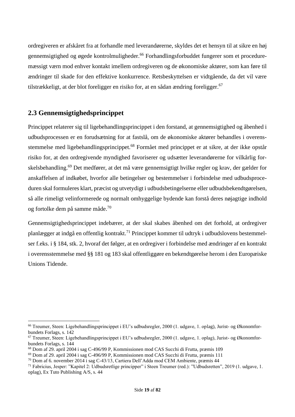ordregiveren er afskåret fra at forhandle med leverandørerne, skyldes det et hensyn til at sikre en høj gennemsigtighed og øgede kontrolmuligheder.<sup>66</sup> Forhandlingsforbuddet fungerer som et proceduremæssigt værn mod enhver kontakt imellem ordregiveren og de økonomiske aktører, som kan føre til ændringer til skade for den effektive konkurrence. Retsbeskyttelsen er vidtgående, da det vil være tilstrækkeligt, at der blot foreligger en risiko for, at en sådan ændring foreligger.<sup>67</sup>

## <span id="page-19-0"></span>**2.3 Gennemsigtighedsprincippet**

Princippet relaterer sig til ligebehandlingsprincippet i den forstand, at gennemsigtighed og åbenhed i udbudsprocessen er en forudsætning for at fastslå, om de økonomiske aktører behandles i overensstemmelse med ligebehandlingsprincippet.<sup>68</sup> Formået med princippet er at sikre, at der ikke opstår risiko for, at den ordregivende myndighed favoriserer og udsætter leverandørerne for vilkårlig forskelsbehandling.<sup>69</sup> Det medfører, at det må være gennemsigtigt hvilke regler og krav, der gælder for anskaffelsen af indkøbet, hvorfor alle betingelser og bestemmelser i forbindelse med udbudsproceduren skal formuleres klart, præcist og utvetydigt i udbudsbetingelserne eller udbudsbekendtgørelsen, så alle rimeligt velinformerede og normalt omhyggelige bydende kan forstå deres nøjagtige indhold og fortolke dem på samme måde.<sup>70</sup>

Gennemsigtighedsprincippet indebærer, at der skal skabes åbenhed om det forhold, at ordregiver planlægger at indgå en offentlig kontrakt.<sup>71</sup> Princippet kommer til udtryk i udbudslovens bestemmelser f.eks. i § 184, stk. 2, hvoraf det følger, at en ordregiver i forbindelse med ændringer af en kontrakt i overensstemmelse med §§ 181 og 183 skal offentliggøre en bekendtgørelse herom i den Europæiske Unions Tidende.

<sup>66</sup> Treumer, Steen: Ligebehandlingsprincippet i EU's udbudsregler, 2000 (1. udgave, 1. oplag), Jurist- og Økonomforbundets Forlags, s. 142

<sup>67</sup> Treumer, Steen: Ligebehandlingsprincippet i EU's udbudsregler, 2000 (1. udgave, 1. oplag), Jurist- og Økonomforbundets Forlags, s. 144

<sup>68</sup> Dom af 29. april 2004 i sag C-496/99 P, Kommissionen mod CAS Succhi di Frutta, præmis 109

<sup>69</sup> Dom af 29. april 2004 i sag C-496/99 P, Kommissionen mod CAS Succhi di Frutta, præmis 111

<sup>70</sup> Dom af 6. november 2014 i sag C-43/13, Cartiera Dell'Adda mod CEM Ambiente, præmis 44

<sup>71</sup> Fabricius, Jesper: "Kapitel 2: Udbudsretlige principper" i Steen Treumer (red.): "Udbudsretten", 2019 (1. udgave, 1. oplag), Ex Tuto Publishing A/S, s. 44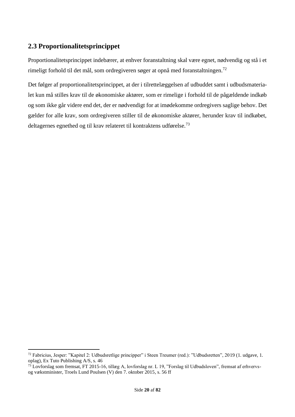## <span id="page-20-0"></span>**2.3 Proportionalitetsprincippet**

Proportionalitetsprincippet indebærer, at enhver foranstaltning skal være egnet, nødvendig og stå i et rimeligt forhold til det mål, som ordregiveren søger at opnå med foranstaltningen.<sup>72</sup>

Det følger af proportionalitetsprincippet, at der i tilrettelæggelsen af udbuddet samt i udbudsmaterialet kun må stilles krav til de økonomiske aktører, som er rimelige i forhold til de pågældende indkøb og som ikke går videre end det, der er nødvendigt for at imødekomme ordregivers saglige behov. Det gælder for alle krav, som ordregiveren stiller til de økonomiske aktører, herunder krav til indkøbet, deltagernes egnethed og til krav relateret til kontraktens udførelse.<sup>73</sup>

<sup>72</sup> Fabricius, Jesper: "Kapitel 2: Udbudsretlige principper" i Steen Treumer (red.): "Udbudsretten", 2019 (1. udgave, 1. oplag), Ex Tuto Publishing A/S, s. 46

<sup>73</sup> Lovforslag som fremsat, FT 2015-16, tillæg A, lovforslag nr. L 19, "Forslag til Udbudsloven", fremsat af erhvervsog vækstminister, Troels Lund Poulsen (V) den 7. oktober 2015, s. 56 ff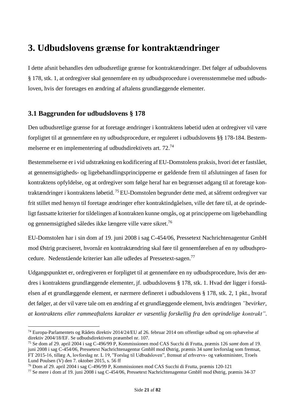## <span id="page-21-0"></span>**3. Udbudslovens grænse for kontraktændringer**

I dette afsnit behandles den udbudsretlige grænse for kontraktændringer. Det følger af udbudslovens § 178, stk. 1, at ordregiver skal gennemføre en ny udbudsprocedure i overensstemmelse med udbudsloven, hvis der foretages en ændring af aftalens grundlæggende elementer.

## <span id="page-21-1"></span>**3.1 Baggrunden for udbudslovens § 178**

Den udbudsretlige grænse for at foretage ændringer i kontraktens løbetid uden at ordregiver vil være forpligtet til at gennemføre en ny udbudsprocedure, er reguleret i udbudslovens §§ 178-184. Bestemmelserne er en implementering af udbudsdirektivets art. 72.<sup>74</sup>

Bestemmelserne er i vid udstrækning en kodificering af EU-Domstolens praksis, hvori det er fastslået, at gennemsigtigheds- og ligebehandlingsprincipperne er gældende frem til afslutningen af fasen for kontraktens opfyldelse, og at ordregiver som følge heraf har en begrænset adgang til at foretage kontraktændringer i kontraktens løbetid. <sup>75</sup> EU-Domstolen begrunder dette med, at såfremt ordregiver var frit stillet med hensyn til foretage ændringer efter kontraktindgåelsen, ville det føre til, at de oprindeligt fastsatte kriterier for tildelingen af kontrakten kunne omgås, og at principperne om ligebehandling og gennemsigtighed således ikke længere ville være sikret.<sup>76</sup>

EU-Domstolen har i sin dom af 19. juni 2008 i sag C-454/06, Pressetext Nachrichtenagentur GmbH mod Østrig præciseret, hvornår en kontraktændring skal føre til gennemførelsen af en ny udbudsprocedure. Nedenstående kriterier kan alle udledes af Pressetext-sagen.<sup>77</sup>

Udgangspunktet er, ordregiveren er forpligtet til at gennemføre en ny udbudsprocedure, hvis der ændres i kontraktens grundlæggende elementer, jf. udbudslovens § 178, stk. 1. Hvad der ligger i forståelsen af et grundlæggende element, er nærmere defineret i udbudslovens § 178, stk. 2, 1 pkt., hvoraf det følger, at der vil være tale om en ændring af et grundlæggende element, hvis ændringen *"bevirker, at kontraktens eller rammeaftalens karakter er væsentlig forskellig fra den oprindelige kontrakt"*.

<sup>74</sup> Europa-Parlamentets og Rådets direktiv 2014/24/EU af 26. februar 2014 om offentlige udbud og om ophævelse af direktiv 2004/18/EF. Se udbudsdirektivets præambel nr. 107.

<sup>75</sup> Se dom af 29. april 2004 i sag C-496/99 P, Kommissionen mod CAS Succhi di Frutta, præmis 126 *samt* dom af 19. juni 2008 i sag C-454/06, Pressetext Nachrichtenagentur GmbH mod Østrig, præmis 34 *samt* lovforslag som fremsat, FT 2015-16, tillæg A, lovforslag nr. L 19, "Forslag til Udbudsloven", fremsat af erhvervs- og vækstminister, Troels Lund Poulsen (V) den 7. oktober 2015, s. 56 ff

<sup>76</sup> Dom af 29. april 2004 i sag C-496/99 P, Kommissionen mod CAS Succhi di Frutta, præmis 120-121

<sup>77</sup> Se mere i dom af 19. juni 2008 i sag C-454/06, Pressetext Nachrichtenagentur GmbH mod Østrig, præmis 34-37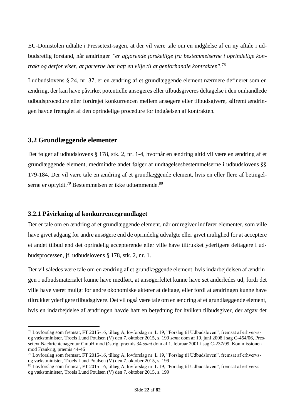EU-Domstolen udtalte i Pressetext-sagen, at der vil være tale om en indgåelse af en ny aftale i udbudsretlig forstand, når ændringer *"er afgørende forskellige fra bestemmelserne i oprindelige kontrakt og derfor viser, at parterne har haft en vilje til at genforhandle kontrakten*". 78

I udbudslovens § 24, nr. 37, er en ændring af et grundlæggende element nærmere defineret som en ændring, der kan have påvirket potentielle ansøgeres eller tilbudsgiveres deltagelse i den omhandlede udbudsprocedure eller fordrejet konkurrencen mellem ansøgere eller tilbudsgivere, såfremt ændringen havde fremgået af den oprindelige procedure for indgåelsen af kontrakten*.*

#### <span id="page-22-0"></span>**3.2 Grundlæggende elementer**

Det følger af udbudslovens § 178, stk. 2, nr. 1-4, hvornår en ændring altid vil være en ændring af et grundlæggende element, medmindre andet følger af undtagelsesbestemmelserne i udbudslovens §§ 179-184. Der vil være tale en ændring af et grundlæggende element, hvis en eller flere af betingelserne er opfyldt.<sup>79</sup> Bestemmelsen er ikke udtømmende. $80$ 

#### <span id="page-22-1"></span>**3.2.1 Påvirkning af konkurrencegrundlaget**

Der er tale om en ændring af et grundlæggende element, når ordregiver indfører elementer, som ville have givet adgang for andre ansøgere end de oprindelig udvalgte eller givet mulighed for at acceptere et andet tilbud end det oprindelig accepterende eller ville have tiltrukket yderligere deltagere i udbudsprocessen, jf. udbudslovens § 178, stk. 2, nr. 1.

Der vil således være tale om en ændring af et grundlæggende element, hvis indarbejdelsen af ændringen i udbudsmaterialet kunne have medført, at ansøgerfeltet kunne have set anderledes ud, fordi det ville have været muligt for andre økonomiske aktører at deltage, eller fordi at ændringen kunne have tiltrukket yderligere tilbudsgivere. Det vil også være tale om en ændring af et grundlæggende element, hvis en indarbejdelse af ændringen havde haft en betydning for hvilken tilbudsgiver, der afgav det

<sup>78</sup> Lovforslag som fremsat, FT 2015-16, tillæg A, lovforslag nr. L 19, "Forslag til Udbudsloven", fremsat af erhvervsog vækstminister, Troels Lund Poulsen (V) den 7. oktober 2015, s. 199 *samt* dom af 19. juni 2008 i sag C-454/06, Pressetext Nachrichtenagentur GmbH mod Østrig, præmis 34 *samt* dom af 1. februar 2001 i sag C-237/99, Kommissionen mod Frankrig, præmis 44-46

<sup>79</sup> Lovforslag som fremsat, FT 2015-16, tillæg A, lovforslag nr. L 19, "Forslag til Udbudsloven", fremsat af erhvervsog vækstminister, Troels Lund Poulsen (V) den 7. oktober 2015, s. 199

<sup>80</sup> Lovforslag som fremsat, FT 2015-16, tillæg A, lovforslag nr. L 19, "Forslag til Udbudsloven", fremsat af erhvervsog vækstminister, Troels Lund Poulsen (V) den 7. oktober 2015, s. 199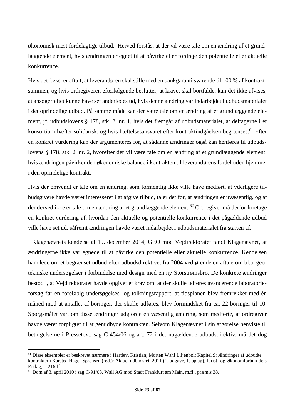økonomisk mest fordelagtige tilbud. Herved forstås, at der vil være tale om en ændring af et grundlæggende element, hvis ændringen er egnet til at påvirke eller fordreje den potentielle eller aktuelle konkurrence.

Hvis det f.eks. er aftalt, at leverandøren skal stille med en bankgaranti svarende til 100 % af kontraktsummen, og hvis ordregiveren efterfølgende beslutter, at kravet skal bortfalde, kan det ikke afvises, at ansøgerfeltet kunne have set anderledes ud, hvis denne ændring var indarbejdet i udbudsmaterialet i det oprindelige udbud. På samme måde kan der være tale om en ændring af et grundlæggende element, jf. udbudslovens § 178, stk. 2, nr. 1, hvis det fremgår af udbudsmaterialet, at deltagerne i et konsortium hæfter solidarisk, og hvis hæftelsesansvaret efter kontraktindgåelsen begrænses. <sup>81</sup> Efter en konkret vurdering kan der argumenteres for, at sådanne ændringer også kan henføres til udbudslovens § 178, stk. 2, nr. 2, hvorefter der vil være tale om en ændring af et grundlæggende element, hvis ændringen påvirker den økonomiske balance i kontrakten til leverandørens fordel uden hjemmel i den oprindelige kontrakt.

Hvis der omvendt er tale om en ændring, som formentlig ikke ville have medført, at yderligere tilbudsgivere havde været interesseret i at afgive tilbud, taler det for, at ændringen er uvæsentlig, og at der derved ikke er tale om en ændring af et grundlæggende element. <sup>82</sup> Ordregiver må derfor foretage en konkret vurdering af, hvordan den aktuelle og potentielle konkurrence i det pågældende udbud ville have set ud, såfremt ændringen havde været indarbejdet i udbudsmaterialet fra starten af.

I Klagenævnets kendelse af 19. december 2014, GEO mod Vejdirektoratet fandt Klagenævnet, at ændringerne ikke var egnede til at påvirke den potentielle eller aktuelle konkurrence. Kendelsen handlede om et begrænset udbud efter udbudsdirektivet fra 2004 vedrørende en aftale om bl.a. geotekniske undersøgelser i forbindelse med design med en ny Storstrømsbro. De konkrete ændringer bestod i, at Vejdirektoratet havde opgivet et krav om, at der skulle udføres avancerende laboratorieforsøg før en foreløbig undersøgelses- og tolkningsrapport, at tidsplanen blev fremrykket med én måned mod at antallet af boringer, der skulle udføres, blev formindsket fra ca. 22 boringer til 10. Spørgsmålet var, om disse ændringer udgjorde en væsentlig ændring, som medførte, at ordregiver havde været forpligtet til at genudbyde kontrakten. Selvom Klagenævnet i sin afgørelse henviste til betingelserne i Pressetext, sag C-454/06 og art. 72 i det nugældende udbudsdirektiv, må det dog

<sup>81</sup> Disse eksempler er beskrevet nærmere i Hartlev, Kristian; Morten Wahl Liljenbøl: Kapitel 9: Ændringer af udbudte kontrakter i Karsted Hagel-Sørensen (red.): Aktuel udbudsret, 2011 (1. udgave, 1. oplag), Jurist- og Økonomforbun-dets Forlag, s. 216 ff

<sup>82</sup> Dom af 3. april 2010 i sag C-91/08, Wall AG mod Stadt Frankfurt am Main, m.fl., præmis 38.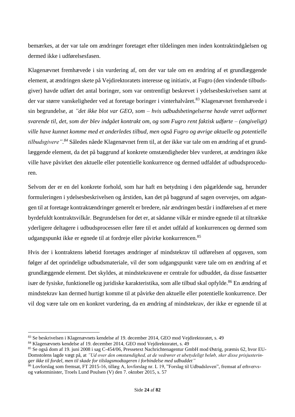bemærkes, at der var tale om ændringer foretaget efter tildelingen men inden kontraktindgåelsen og dermed ikke i udførelsesfasen.

Klagenævnet fremhævede i sin vurdering af, om der var tale om en ændring af et grundlæggende element, at ændringen skete på Vejdirektoratets interesse og initiativ, at Fugro (den vindende tilbudsgiver) havde udført det antal boringer, som var omtrentligt beskrevet i ydelsesbeskrivelsen samt at der var større vanskeligheder ved at foretage boringer i vinterhalvåret.<sup>83</sup> Klagenævnet fremhævede i sin begrundelse, at *"det ikke blot var GEO, som – hvis udbudsbetingelserne havde været udformet svarende til, det, som der blev indgået kontrakt om, og som Fugro rent faktisk udførte – (angiveligt) ville have kunnet komme med et anderledes tilbud, men også Fugro og øvrige aktuelle og potentielle tilbudsgivere". <sup>84</sup>* Således nåede Klagenævnet frem til, at der ikke var tale om en ændring af et grundlæggende element, da det på baggrund af konkrete omstændigheder blev vurderet, at ændringen ikke ville have påvirket den aktuelle eller potentielle konkurrence og dermed udfaldet af udbudsproceduren.

Selvom der er en del konkrete forhold, som har haft en betydning i den pågældende sag, herunder formuleringen i ydelsesbeskrivelsen og årstiden, kan det på baggrund af sagen overvejes, om adgangen til at foretage kontraktændringer generelt er bredere, når ændringen består i indførelsen af et mere byrdefuldt kontraktsvilkår. Begrundelsen for det er, at sådanne vilkår er mindre egnede til at tiltrække yderligere deltagere i udbudsprocessen eller føre til et andet udfald af konkurrencen og dermed som udgangspunkt ikke er egnede til at fordreje eller påvirke konkurrencen.<sup>85</sup>

Hvis der i kontraktens løbetid foretages ændringer af mindstekrav til udførelsen af opgaven, som følger af det oprindelige udbudsmateriale, vil der som udgangspunkt være tale om en ændring af et grundlæggende element. Det skyldes, at mindstekravene er centrale for udbuddet, da disse fastsætter især de fysiske, funktionelle og juridiske karakteristika, som alle tilbud skal opfylde.<sup>86</sup> En ændring af mindstekrav kan dermed hurtigt komme til at påvirke den aktuelle eller potentielle konkurrence. Der vil dog være tale om en konkret vurdering, da en ændring af mindstekrav, der ikke er egnende til at

<sup>83</sup> Se beskrivelsen i Klagenævnets kendelse af 19. december 2014, GEO mod Vejdirektoratet, s. 49

<sup>84</sup> Klagenævnets kendelse af 19. december 2014, GEO mod Vejdirektoratet, s. 49

<sup>85</sup> Se også dom af 19. juni 2008 i sag C-454/06, Pressetext Nachrichtenagentur GmbH mod Østrig, præmis 62, hvor EU-Domstolens lagde vægt på, at *"Ud over den omstændighed, at de vedrører et ubetydeligt beløb, sker disse prisjusteringer ikke til fordel, men til skade for tilslagsmodtageren i forbindelse med udbuddet"*

<sup>86</sup> Lovforslag som fremsat, FT 2015-16, tillæg A, lovforslag nr. L 19, "Forslag til Udbudsloven", fremsat af erhvervsog vækstminister, Troels Lund Poulsen (V) den 7. oktober 2015, s. 57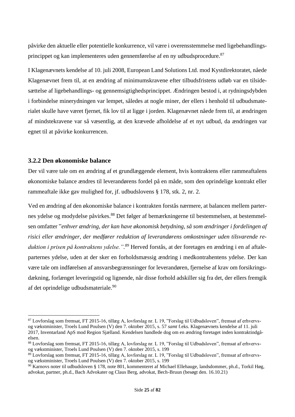påvirke den aktuelle eller potentielle konkurrence, vil være i overensstemmelse med ligebehandlingsprincippet og kan implementeres uden gennemførelse af en ny udbudsprocedure.<sup>87</sup>

I Klagenævnets kendelse af 10. juli 2008, European Land Solutions Ltd. mod Kystdirektoratet, nåede Klagenævnet frem til, at en ændring af minimumskravene efter tilbudsfristens udløb var en tilsidesættelse af ligebehandlings- og gennemsigtighedsprincippet. Ændringen bestod i, at rydningsdybden i forbindelse minerydningen var lempet, således at nogle miner, der ellers i henhold til udbudsmaterialet skulle have været fjernet, fik lov til at ligge i jorden. Klagenævnet nåede frem til, at ændringen af mindstekravene var så væsentlig, at den krævede afholdelse af et nyt udbud, da ændringen var egnet til at påvirke konkurrencen.

#### <span id="page-25-0"></span>**3.2.2 Den økonomiske balance**

Der vil være tale om en ændring af et grundlæggende element, hvis kontraktens eller rammeaftalens økonomiske balance ændres til leverandørens fordel på en måde, som den oprindelige kontrakt eller rammeaftale ikke gav mulighed for, jf. udbudslovens § 178, stk. 2, nr. 2.

Ved en ændring af den økonomiske balance i kontrakten forstås nærmere, at balancen mellem parternes ydelse og modydelse påvirkes.<sup>88</sup> Det følger af bemærkningerne til bestemmelsen, at bestemmelsen omfatter "*enhver ændring, der kan have økonomisk betydning, så som ændringer i fordelingen af risici eller ændringer, der medfører reduktion af leverandørens omkostninger uden tilsvarende reduktion i prisen på kontraktens ydelse.". <sup>89</sup>* Herved forstås, at der foretages en ændring i en af aftaleparternes ydelse, uden at der sker en forholdsmæssig ændring i medkontrahentens ydelse. Der kan være tale om indførelsen af ansvarsbegrænsninger for leverandøren, fjernelse af krav om forsikringsdækning, forlænget leveringstid og lignende, når disse forhold adskiller sig fra det, der ellers fremgik af det oprindelige udbudsmateriale.<sup>90</sup>

<sup>87</sup> Lovforslag som fremsat, FT 2015-16, tillæg A, lovforslag nr. L 19, "Forslag til Udbudsloven", fremsat af erhvervsog vækstminister, Troels Lund Poulsen (V) den 7. oktober 2015, s. 57 *samt* f.eks. Klagenævnets kendelse af 11. juli 2017, Inventarland ApS mod Region Sjælland. Kendelsen handlede dog om en ændring foretaget inden kontraktindgåelsen.

<sup>88</sup> Lovforslag som fremsat, FT 2015-16, tillæg A, lovforslag nr. L 19, "Forslag til Udbudsloven", fremsat af erhvervsog vækstminister, Troels Lund Poulsen (V) den 7. oktober 2015, s. 199

<sup>89</sup> Lovforslag som fremsat, FT 2015-16, tillæg A, lovforslag nr. L 19, "Forslag til Udbudsloven", fremsat af erhvervsog vækstminister, Troels Lund Poulsen (V) den 7. oktober 2015, s. 199

 $90$  Karnovs noter til udbudsloven § 178, note 801, kommenteret af Michael Ellehauge, landsdommer, ph.d., Torkil Høg, advokat, partner, ph.d., Bach Advokater og Claus Berg, advokat, Bech-Bruun (besøgt den. 16.10.21)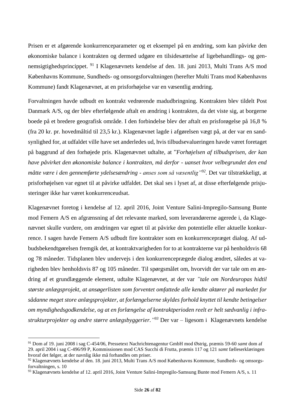Prisen er et afgørende konkurrenceparameter og et eksempel på en ændring, som kan påvirke den økonomiske balance i kontrakten og dermed udgøre en tilsidesættelse af ligebehandlings- og gennemsigtighedsprincippet. <sup>91</sup> I Klagenævnets kendelse af den. 18. juni 2013, Multi Trans A/S mod Københavns Kommune, Sundheds- og omsorgsforvaltningen (herefter Multi Trans mod Københavns Kommune) fandt Klagenævnet, at en prisforhøjelse var en væsentlig ændring.

Forvaltningen havde udbudt en kontrakt vedrørende madudbringning. Kontrakten blev tildelt Post Danmark A/S, og der blev efterfølgende aftalt en ændring i kontrakten, da det viste sig, at borgerne boede på et bredere geografisk område. I den forbindelse blev der aftalt en prisforøgelse på 16,8 % (fra 20 kr. pr. hovedmåltid til 23,5 kr.). Klagenævnet lagde i afgørelsen vægt på, at der var en sandsynlighed for, at udfaldet ville have set anderledes ud, hvis tilbudsevalueringen havde været foretaget på baggrund af den forhøjede pris. Klagenævnet udtalte, at "*Forhøjelsen af tilbudsprisen, der kan have påvirket den økonomiske balance i kontrakten, må derfor - uanset hvor velbegrundet den end måtte være i den gennemførte ydelsesændring - anses som så væsentlig"<sup>92</sup> .* Det var tilstrækkeligt, at prisforhøjelsen var egnet til at påvirke udfaldet. Det skal ses i lyset af, at disse efterfølgende prisjusteringer ikke har været konkurrenceudsat.

Klagenævnet foretog i kendelse af 12. april 2016, Joint Venture Salini-Impregilo-Samsung Bunte mod Femern A/S en afgrænsning af det relevante marked, som leverandørerne agerede i, da Klagenævnet skulle vurdere, om ændringen var egnet til at påvirke den potentielle eller aktuelle konkurrence. I sagen havde Femern A/S udbudt fire kontrakter som en konkurrencepræget dialog. Af udbudsbekendtgørelsen fremgik det, at kontraktvarigheden for to at kontrakterne var på henholdsvis 68 og 78 måneder. Tidsplanen blev undervejs i den konkurrenceprægede dialog ændret, således at varigheden blev henholdsvis 87 og 105 måneder. Til spørgsmålet om, hvorvidt der var tale om en ændring af et grundlæggende element, udtalte Klagenævnet, at der var *"tale om Nordeuropas hidtil største anlægsprojekt, at ansøgerlisten som forventet omfattede alle kendte aktører på markedet for sådanne meget store anlægsprojekter, at forlængelserne skyldes forhold knyttet til kendte betingelser om myndighedsgodkendelse, og at en forlængelse af kontraktperioden reelt er helt sædvanlig i infrastrukturprojekter og andre større anlægsbyggerier." <sup>93</sup>* Der var – ligesom i Klagenævnets kendelse

<sup>91</sup> Dom af 19. juni 2008 i sag C-454/06, Pressetext Nachrichtenagentur GmbH mod Østrig, præmis 59-60 *samt* dom af 29. april 2004 i sag C-496/99 P, Kommissionen mod CAS Succhi di Frutta, præmis 117 og 121 *samt* fælleserklæringen hvoraf det følger, at der navnlig ikke må forhandles om priser.

<sup>92</sup> Klagenævnets kendelse af den. 18. juni 2013, Multi Trans A/S mod Københavns Kommune, Sundheds- og omsorgsforvaltningen, s. 10

<sup>93</sup> Klagenævnets kendelse af 12. april 2016, Joint Venture Salini-Impregilo-Samsung Bunte mod Femern A/S, s. 11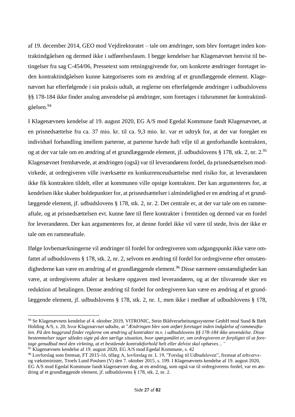af 19. december 2014, GEO mod Vejdirektoratet – tale om ændringer, som blev foretaget inden kontraktindgåelsen og dermed ikke i udførelsesfasen. I begge kendelser har Klagenævnet henvist til betingelser fra sag C-454/06, Pressetext som retningsgivende for, om konkrete ændringer foretaget inden kontraktindgåelsen kunne kategoriseres som en ændring af et grundlæggende element. Klagenævnet har efterfølgende i sin praksis udtalt, at reglerne om efterfølgende ændringer i udbudslovens §§ 178-184 ikke finder analog anvendelse på ændringer, som foretages i tidsrummet før kontraktindgåelsen.<sup>94</sup>

I Klagenævnets kendelse af 19. august 2020, EG A/S mod Egedal Kommune fandt Klagenævnet, at en prisnedsættelse fra ca. 37 mio. kr. til ca. 9,3 mio. kr. var et udtryk for, at der var foregået en individuel forhandling imellem parterne, at parterne havde haft vilje til at genforhandle kontrakten, og at der var tale om en ændring af et grundlæggende element, jf. udbudslovens § 178, stk. 2, nr. 2.95 Klagenævnet fremhævede, at ændringen (også) var til leverandørens fordel, da prisnedsættelsen modvirkede, at ordregiveren ville iværksætte en konkurrenceudsættelse med risiko for, at leverandøren ikke fik kontrakten tildelt, eller at kommunen ville opsige kontrakten. Der kan argumenteres for, at kendelsen ikke skaber holdepunkter for, at prisnedsættelser i almindelighed er en ændring af et grundlæggende element, jf. udbudslovens § 178, stk. 2, nr. 2. Det centrale er, at der var tale om en rammeaftale, og at prisnedsættelsen evt. kunne føre til flere kontrakter i fremtiden og dermed var en fordel for leverandøren. Der kan argumenteres for, at denne fordel ikke vil være til stede, hvis der ikke er tale om en rammeaftale.

Ifølge lovbemærkningerne vil ændringer til fordel for ordregiveren som udgangspunkt ikke være omfattet af udbudslovens § 178, stk. 2, nr. 2, selvom en ændring til fordel for ordregiverne efter omstændighederne kan være en ændring af et grundlæggende element. <sup>96</sup> Disse nærmere omstændigheder kan være, at ordregiveren aftaler at beskære opgaven med leverandøren, og at der tilsvarende sker en reduktion af betalingen. Denne ændring til fordel for ordregiveren kan være en ændring af et grundlæggende element, jf. udbudslovens § 178, stk. 2, nr. 1, men ikke i medhør af udbudslovens § 178,

<sup>94</sup> Se Klagenævnets kendelse af 4. oktober 2019, VITRONIC, Stein Bildverarbeitungssysteme GmbH mod Sund & Bælt Holding A/S, s. 20, hvor Klagenævnet udtalte, at "*Ændringen blev som anført foretaget inden indgåelse af rammeaftalen. På den baggrund finder reglerne om ændring af kontrakter m.v. i udbudslovens §§ 178-184 ikke anvendelse. Disse bestemmelser tager således sigte på den særlige situation, hvor spørgsmålet er, om ordregiveren er forpligtet til at foretage genudbud med den virkning, at et bestående kontraktforhold helt eller delvist skal ophæves…"*

<sup>&</sup>lt;sup>95</sup> Klagenævnets kendelse af 19. august 2020, EG A/S mod Egedal Kommune, s. 42

<sup>96</sup> Lovforslag som fremsat, FT 2015-16, tillæg A, lovforslag nr. L 19, "Forslag til Udbudsloven", fremsat af erhvervsog vækstminister, Troels Lund Poulsen (V) den 7. oktober 2015, s. 199. I Klagenævnets kendelse af 19. august 2020, EG A/S mod Egedal Kommune fandt klagenævnet dog, at en ændring, som også var til ordregiverens fordel, var en ændring af et grundlæggende element, jf. udbudslovens § 178, stk. 2, nr. 2.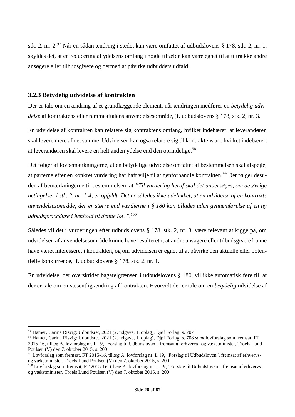stk. 2, nr. 2.<sup>97</sup> Når en sådan ændring i stedet kan være omfattet af udbudslovens § 178, stk. 2, nr. 1, skyldes det, at en reducering af ydelsens omfang i nogle tilfælde kan være egnet til at tiltrække andre ansøgere eller tilbudsgivere og dermed at påvirke udbuddets udfald.

#### <span id="page-28-0"></span>**3.2.3 Betydelig udvidelse af kontrakten**

Der er tale om en ændring af et grundlæggende element, når ændringen medfører en *betydelig udvidelse* af kontraktens eller rammeaftalens anvendelsesområde, jf. udbudslovens § 178, stk. 2, nr. 3.

En udvidelse af kontrakten kan relatere sig kontraktens omfang, hvilket indebærer, at leverandøren skal levere mere af det samme. Udvidelsen kan også relatere sig til kontraktens art, hvilket indebærer, at leverandøren skal levere en helt anden ydelse end den oprindelige.<sup>98</sup>

Det følger af lovbemærkningerne, at en betydelige udvidelse omfattet af bestemmelsen skal afspejle, at parterne efter en konkret vurdering har haft vilje til at genforhandle kontrakten.<sup>99</sup> Det følger desuden af bemærkningerne til bestemmelsen, at *"Til vurdering heraf skal det undersøges, om de øvrige betingelser i stk. 2, nr. 1-4, er opfyldt. Det er således ikke udelukket, at en udvidelse af en kontrakts anvendelsesområde, der er større end værdierne i § 180 kan tillades uden gennemførelse af en ny udbudsprocedure i henhold til denne lov."*. 100

Således vil det i vurderingen efter udbudslovens § 178, stk. 2, nr. 3, være relevant at kigge på, om udvidelsen af anvendelsesområde kunne have resulteret i, at andre ansøgere eller tilbudsgivere kunne have været interesseret i kontrakten, og om udvidelsen er egnet til at påvirke den aktuelle eller potentielle konkurrence, jf. udbudslovens § 178, stk. 2, nr. 1.

En udvidelse, der overskrider bagatelgrænsen i udbudslovens § 180, vil ikke automatisk føre til, at der er tale om en væsentlig ændring af kontrakten. Hvorvidt der er tale om en *betydelig* udvidelse af

 $97$  Hamer, Carina Risvig: Udbudsret, 2021 (2. udgave, 1. oplag), Digf Forlag, s. 707

<sup>98</sup> Hamer, Carina Risvig: Udbudsret, 2021 (2. udgave, 1. oplag), Djøf Forlag, s. 708 *samt* lovforslag som fremsat, FT 2015-16, tillæg A, lovforslag nr. L 19, "Forslag til Udbudsloven", fremsat af erhvervs- og vækstminister, Troels Lund Poulsen (V) den 7. oktober 2015, s. 200

<sup>99</sup> Lovforslag som fremsat, FT 2015-16, tillæg A, lovforslag nr. L 19, "Forslag til Udbudsloven", fremsat af erhvervsog vækstminister, Troels Lund Poulsen (V) den 7. oktober 2015, s. 200

 $100$  Lovforslag som fremsat, FT 2015-16, tillæg A, lovforslag nr. L 19, "Forslag til Udbudsloven", fremsat af erhvervsog vækstminister, Troels Lund Poulsen (V) den 7. oktober 2015, s. 200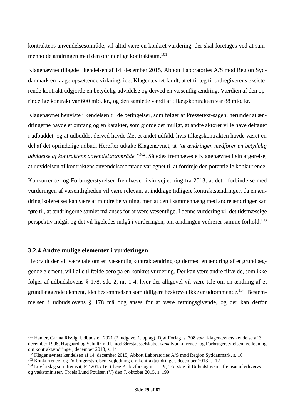kontraktens anvendelsesområde, vil altid være en konkret vurdering, der skal foretages ved at sammenholde ændringen med den oprindelige kontraktsum. 101

Klagenævnet tillagde i kendelsen af 14. december 2015, Abbott Laboratories A/S mod Region Syddanmark en klage opsættende virkning, idet Klagenævnet fandt, at et tillæg til ordregiverens eksisterende kontrakt udgjorde en betydelig udvidelse og derved en væsentlig ændring. Værdien af den oprindelige kontrakt var 600 mio. kr., og den samlede værdi af tillægskontrakten var 88 mio. kr.

Klagenævnet henviste i kendelsen til de betingelser, som følger af Pressetext-sagen, herunder at ændringerne havde et omfang og en karakter, som gjorde det muligt, at andre aktører ville have deltaget i udbuddet, og at udbuddet derved havde fået et andet udfald, hvis tillægskontrakten havde været en del af det oprindelige udbud. Herefter udtalte Klagenævnet, at "*at ændringen medfører en betydelig udvidelse af kontraktens anvendelsesområde."<sup>102</sup>*. Således fremhævede Klagenævnet i sin afgørelse, at udvidelsen af kontraktens anvendelsesområde var egnet til at fordreje den potentielle konkurrence.

Konkurrence- og Forbrugerstyrelsen fremhæver i sin vejledning fra 2013, at det i forbindelse med vurderingen af væsentligheden vil være relevant at inddrage tidligere kontraktsændringer, da en ændring isoleret set kan være af mindre betydning, men at den i sammenhæng med andre ændringer kan føre til, at ændringerne samlet må anses for at være væsentlige. I denne vurdering vil det tidsmæssige perspektiv indgå, og det vil ligeledes indgå i vurderingen, om ændringen vedrører samme forhold.<sup>103</sup>

#### <span id="page-29-0"></span>**3.2.4 Andre mulige elementer i vurderingen**

Hvorvidt der vil være tale om en væsentlig kontraktændring og dermed en ændring af et grundlæggende element, vil i alle tilfælde bero på en konkret vurdering. Der kan være andre tilfælde, som ikke følger af udbudslovens § 178, stk. 2, nr. 1-4, hvor der alligevel vil være tale om en ændring af et grundlæggende element, idet bestemmelsen som tidligere beskrevet ikke er udtømmende.<sup>104</sup> Bestemmelsen i udbudslovens § 178 må dog anses for at være retningsgivende, og der kan derfor

<sup>101</sup> Hamer, Carina Risvig: Udbudsret, 2021 (2. udgave, 1. oplag), Djøf Forlag, s. 708 *samt* klagenævnets kendelse af 3. december 1998, Højgaard og Schultz m.fl. mod Ørestadsselskabet *samt* Konkurrence- og Forbrugerstyrelsen, vejledning om kontraktændringer, december 2013, s. 14

<sup>&</sup>lt;sup>102</sup> Klagenævnets kendelsen af 14. december 2015, Abbott Laboratories A/S mod Region Syddanmark, s. 10

<sup>103</sup> Konkurrence- og Forbrugerstyrelsen, vejledning om kontraktændringer, december 2013, s. 12

<sup>104</sup> Lovforslag som fremsat, FT 2015-16, tillæg A, lovforslag nr. L 19, "Forslag til Udbudsloven", fremsat af erhvervsog vækstminister, Troels Lund Poulsen (V) den 7. oktober 2015, s. 199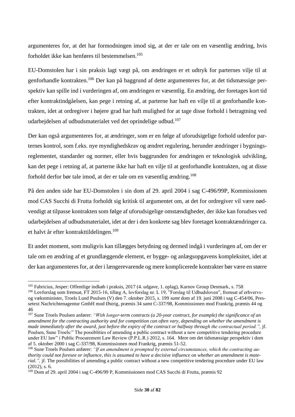argumenteres for, at det har formodningen imod sig, at der er tale om en væsentlig ændring, hvis forholdet ikke kan henføres til bestemmelsen.<sup>105</sup>

EU-Domstolen har i sin praksis lagt vægt på, om ændringen er et udtryk for parternes vilje til at genforhandle kontrakten.<sup>106</sup> Der kan på baggrund af dette argumenteres for, at det tidsmæssige perspektiv kan spille ind i vurderingen af, om ændringen er væsentlig. En ændring, der foretages kort tid efter kontraktindgåelsen, kan pege i retning af, at parterne har haft en vilje til at genforhandle kontrakten, idet at ordregiver i højere grad har haft mulighed for at tage disse forhold i betragtning ved udarbejdelsen af udbudsmaterialet ved det oprindelige udbud. 107

Der kan også argumenteres for, at ændringer, som er en følge af uforudsigelige forhold udenfor parternes kontrol, som f.eks. nye myndighedskrav og ændret regulering, herunder ændringer i bygningsreglementet, standarder og normer, eller hvis baggrunden for ændringen er teknologisk udvikling, kan det pege i retning af, at parterne ikke har haft en vilje til at genforhandle kontrakten, og at disse forhold derfor bør tale imod, at der er tale om en væsentlig ændring. 108

På den anden side har EU-Domstolen i sin dom af 29. april 2004 i sag C-496/99P, Kommissionen mod CAS Succhi di Frutta forholdt sig kritisk til argumentet om, at det for ordregiver vil være nødvendigt at tilpasse kontrakten som følge af uforudsigelige omstændigheder, der ikke kan forudses ved udarbejdelsen af udbudsmaterialet, idet at der i den konkrete sag blev foretaget kontraktændringer ca. et halvt år efter kontrakttildelingen. 109

Et andet moment, som muligvis kan tillægges betydning og dermed indgå i vurderingen af, om der er tale om en ændring af et grundlæggende element, er bygge- og anlægsopgavens kompleksitet, idet at der kan argumenteres for, at der i længerevarende og mere komplicerede kontrakter bør være en større

<sup>105</sup> Fabricius, Jesper: Offentlige indkøb i praksis, 2017 (4. udgave, 1. oplag), Karnov Group Denmark, s. 758

<sup>106</sup> Lovforslag som fremsat, FT 2015-16, tillæg A, lovforslag nr. L 19, "Forslag til Udbudsloven", fremsat af erhvervsog vækstminister, Troels Lund Poulsen (V) den 7. oktober 2015, s. 199 *samt* dom af 19. juni 2008 i sag C-454/06, Pressetext Nachrichtenagentur GmbH mod Østrig, præmis 34 *samt* C-337/98, Kommissionen mod Frankrig, præmis 44 og 46

<sup>107</sup> Sune Troels Poulsen anfører: *"With longer-term contracts (a 20-year contract, for example) the significance of an amendment for the contracting authority and for competition can often vary, depending on whether the amendment is made immediately after the award, just before the expiry of the contract or halfway through the contractual period.",* jf. Poulsen, Sune Troels:" The possiblities of amending a public contract without a new competitive tendering procedure under EU law" i Public Procurement Law Review (P.P.L.R.) 2012, s. 164. Mere om det tidsmæssige perspektiv i dom af 5. oktober 2000 i sag C-337/98, Kommissionen mod Frankrig, præmis 51-52.

<sup>108</sup> Sune Troels Poulsen anfører: *"If an amendment is prompted by external circumstances, which the contracting authority could not foresee or influence, this is assumed to have a decisive influence on whether an amendment is material."*, if. The possibilities of amending a public contract without a new competitive tendering procedure under EU law (2012), s. 6.

<sup>109</sup> Dom af 29. april 2004 i sag C-496/99 P, Kommissionen mod CAS Succhi di Frutta, præmis 92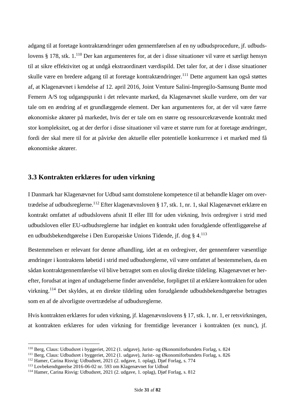adgang til at foretage kontraktændringer uden gennemførelsen af en ny udbudsprocedure, jf. udbudslovens § 178, stk. 1.<sup>110</sup> Der kan argumenteres for, at der i disse situationer vil være et særligt hensyn til at sikre effektivitet og at undgå ekstraordinært værdispild. Det taler for, at der i disse situationer skulle være en bredere adgang til at foretage kontraktændringer.<sup>111</sup> Dette argument kan også støttes af, at Klagenævnet i kendelse af 12. april 2016, Joint Venture Salini-Impregilo-Samsung Bunte mod Femern A/S tog udgangspunkt i det relevante marked, da Klagenævnet skulle vurdere, om der var tale om en ændring af et grundlæggende element. Der kan argumenteres for, at der vil være færre økonomiske aktører på markedet, hvis der er tale om en større og ressourcekrævende kontrakt med stor kompleksitet, og at der derfor i disse situationer vil være et større rum for at foretage ændringer, fordi der skal mere til for at påvirke den aktuelle eller potentielle konkurrence i et marked med få økonomiske aktører.

#### <span id="page-31-0"></span>**3.3 Kontrakten erklæres for uden virkning**

I Danmark har Klagenævnet for Udbud samt domstolene kompetence til at behandle klager om overtrædelse af udbudsreglerne.<sup>112</sup> Efter klagenævnsloven § 17, stk. 1, nr. 1, skal Klagenævnet erklære en kontrakt omfattet af udbudslovens afsnit II eller III for uden virkning, hvis ordregiver i strid med udbudsloven eller EU-udbudsreglerne har indgået en kontrakt uden forudgående offentliggørelse af en udbudsbekendtgørelse i Den Europæiske Unions Tidende, jf. dog § 4.<sup>113</sup>

Bestemmelsen er relevant for denne afhandling, idet at en ordregiver, der gennemfører væsentlige ændringer i kontraktens løbetid i strid med udbudsreglerne, vil være omfattet af bestemmelsen, da en sådan kontraktgennemførelse vil blive betragtet som en ulovlig direkte tildeling. Klagenævnet er herefter, forudsat at ingen af undtagelserne finder anvendelse, forpligtet til at erklære kontrakten for uden virkning.<sup>114</sup> Det skyldes, at en direkte tildeling uden forudgående udbudsbekendtgørelse betragtes som en af de alvorligste overtrædelse af udbudsreglerne.

Hvis kontrakten erklæres for uden virkning, jf. klagenævnslovens § 17, stk. 1, nr. 1, er retsvirkningen, at kontrakten erklæres for uden virkning for fremtidige leverancer i kontrakten (ex nunc), jf.

<sup>110</sup> Berg, Claus: Udbudsret i byggeriet, 2012 (1. udgave), Jurist- og Økonomiforbundets Forlag, s. 824

<sup>111</sup> Berg, Claus: Udbudsret i byggeriet, 2012 (1. udgave), Jurist- og Økonomiforbundets Forlag, s. 826

<sup>112</sup> Hamer, Carina Risvig: Udbudsret, 2021 (2. udgave, 1. oplag), Djøf Forlag, s. 774

<sup>113</sup> Lovbekendtgørelse 2016-06-02 nr. 593 om Klagenævnet for Udbud

<sup>114</sup> Hamer, Carina Risvig: Udbudsret, 2021 (2. udgave, 1. oplag), Djøf Forlag, s. 812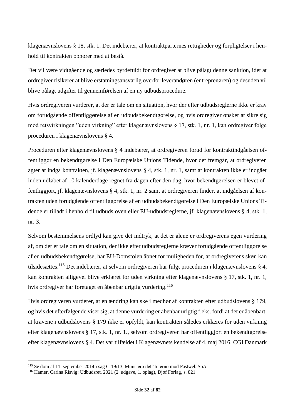klagenævnslovens § 18, stk. 1. Det indebærer, at kontraktparternes rettigheder og forpligtelser i henhold til kontrakten ophører med at bestå.

Det vil være vidtgående og særledes byrdefuldt for ordregiver at blive pålagt denne sanktion, idet at ordregiver risikerer at blive erstatningsansvarlig overfor leverandøren (entreprenøren) og desuden vil blive pålagt udgifter til gennemførelsen af en ny udbudsprocedure.

Hvis ordregiveren vurderer, at der er tale om en situation, hvor der efter udbudsreglerne ikke er krav om forudgående offentliggørelse af en udbudsbekendtgørelse, og hvis ordregiver ønsker at sikre sig mod retsvirkningen "uden virkning" efter klagenævnslovens § 17, stk. 1, nr. 1, kan ordregiver følge proceduren i klagenævnslovens § 4.

Proceduren efter klagenævnslovens § 4 indebærer, at ordregiveren forud for kontraktindgåelsen offentliggør en bekendtgørelse i Den Europæiske Unions Tidende, hvor det fremgår, at ordregiveren agter at indgå kontrakten, jf. klagenævnslovens § 4, stk. 1, nr. 1, samt at kontrakten ikke er indgået inden udløbet af 10 kalenderdage regnet fra dagen efter den dag, hvor bekendtgørelsen er blevet offentliggjort, jf. klagenævnslovens § 4, stk. 1, nr. 2 samt at ordregiveren finder, at indgåelsen af kontrakten uden forudgående offentliggørelse af en udbudsbekendtgørelse i Den Europæiske Unions Tidende er tilladt i henhold til udbudsloven eller EU-udbudsreglerne, jf. klagenævnslovens § 4, stk. 1, nr. 3.

Selvom bestemmelsens ordlyd kan give det indtryk, at det er alene er ordregiverens egen vurdering af, om der er tale om en situation, der ikke efter udbudsreglerne kræver forudgående offentliggørelse af en udbudsbekendtgørelse, har EU-Domstolen åbnet for muligheden for, at ordregiverens skøn kan tilsidesættes.<sup>115</sup> Det indebærer, at selvom ordregiveren har fulgt proceduren i klagenævnslovens § 4, kan kontrakten alligevel blive erklæret for uden virkning efter klagenævnslovens § 17, stk. 1, nr. 1, hvis ordregiver har foretaget en åbenbar urigtig vurdering.<sup>116</sup>

Hvis ordregiveren vurderer, at en ændring kan ske i medhør af kontrakten efter udbudslovens § 179, og hvis det efterfølgende viser sig, at denne vurdering er åbenbar urigtig f.eks. fordi at det er åbenbart, at kravene i udbudslovens § 179 ikke er opfyldt, kan kontrakten således erklæres for uden virkning efter klagenævnslovens § 17, stk. 1, nr. 1., selvom ordregiveren har offentliggjort en bekendtgørelse efter klagenævnslovens § 4. Det var tilfældet i Klagenævnets kendelse af 4. maj 2016, CGI Danmark

<sup>115</sup> Se dom af 11. september 2014 i sag C-19/13, Ministero dell'Interno mod Fastweb SpA

<sup>116</sup> Hamer, Carina Risvig: Udbudsret, 2021 (2. udgave, 1. oplag), Djøf Forlag, s. 821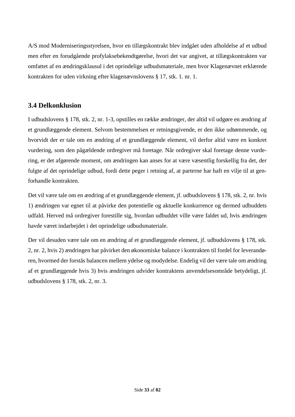A/S mod Moderniseringsstyrelsen, hvor en tillægskontrakt blev indgået uden afholdelse af et udbud men efter en forudgående profylaksebekendtgørelse, hvori det var angivet, at tillægskontrakten var omfattet af en ændringsklausul i det oprindelige udbudsmateriale, men hvor Klagenævnet erklærede kontrakten for uden virkning efter klagenævnslovens § 17, stk. 1. nr. 1.

## <span id="page-33-0"></span>**3.4 Delkonklusion**

I udbudslovens § 178, stk. 2, nr. 1-3, opstilles en række ændringer, der altid vil udgøre en ændring af et grundlæggende element. Selvom bestemmelsen er retningsgivende, er den ikke udtømmende, og hvorvidt der er tale om en ændring af et grundlæggende element, vil derfor altid være en konkret vurdering, som den pågældende ordregiver må foretage. Når ordregiver skal foretage denne vurdering, er det afgørende moment, om ændringen kan anses for at være væsentlig forskellig fra det, der fulgte af det oprindelige udbud, fordi dette peger i retning af, at parterne har haft en vilje til at genforhandle kontrakten.

Det vil være tale om en ændring af et grundlæggende element, jf. udbudslovens § 178, stk. 2, nr. hvis 1) ændringen var egnet til at påvirke den potentielle og aktuelle konkurrence og dermed udbuddets udfald. Herved må ordregiver forestille sig, hvordan udbuddet ville være faldet ud, hvis ændringen havde været indarbejdet i det oprindelige udbudsmateriale.

Der vil desuden være tale om en ændring af et grundlæggende element, jf. udbudslovens § 178, stk. 2, nr. 2, hvis 2) ændringen har påvirket den økonomiske balance i kontrakten til fordel for leverandøren, hvormed der forstås balancen mellem ydelse og modydelse. Endelig vil der være tale om ændring af et grundlæggende hvis 3) hvis ændringen udvider kontraktens anvendelsesområde betydeligt, jf. udbudslovens § 178, stk. 2, nr. 3.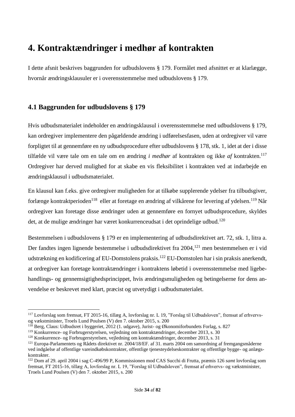## <span id="page-34-0"></span>**4. Kontraktændringer i medhør af kontrakten**

I dette afsnit beskrives baggrunden for udbudslovens § 179. Formålet med afsnittet er at klarlægge, hvornår ændringsklausuler er i overensstemmelse med udbudslovens § 179.

## <span id="page-34-1"></span>**4.1 Baggrunden for udbudslovens § 179**

Hvis udbudsmaterialet indeholder en ændringsklausul i overensstemmelse med udbudslovens § 179, kan ordregiver implementere den pågældende ændring i udførelsesfasen, uden at ordregiver vil være forpligtet til at gennemføre en ny udbudsprocedure efter udbudslovens § 178, stk. 1, idet at der i disse tilfælde vil være tale om en tale om en ændring *i medhør* af kontrakten og ikke *af* kontrakten.<sup>117</sup> Ordregiver har derved mulighed for at skabe en vis fleksibilitet i kontrakten ved at indarbejde en ændringsklausul i udbudsmaterialet.

En klausul kan f.eks. give ordregiver muligheden for at tilkøbe supplerende ydelser fra tilbudsgiver, forlænge kontraktperioden<sup>118</sup> eller at foretage en ændring af vilkårene for levering af ydelsen.<sup>119</sup> Når ordregiver kan foretage disse ændringer uden at gennemføre en fornyet udbudsprocedure, skyldes det, at de mulige ændringer har været konkurrenceudsat i det oprindelige udbud.<sup>120</sup>

Bestemmelsen i udbudslovens § 179 er en implementering af udbudsdirektivet art. 72, stk. 1, litra a. Der fandtes ingen lignende bestemmelse i udbudsdirektivet fra 2004,<sup>121</sup> men bestemmelsen er i vid udstrækning en kodificering af EU-Domstolens praksis.<sup>122</sup> EU-Domstolen har i sin praksis anerkendt, at ordregiver kan foretage kontraktændringer i kontraktens løbetid i overensstemmelse med ligebehandlings- og gennemsigtighedsprincippet, hvis ændringsmuligheden og betingelserne for dens anvendelse er beskrevet med klart, præcist og utvetydigt i udbudsmaterialet.

<sup>117</sup> Lovforslag som fremsat, FT 2015-16, tillæg A, lovforslag nr. L 19, "Forslag til Udbudsloven", fremsat af erhvervsog vækstminister, Troels Lund Poulsen (V) den 7. oktober 2015, s. 200

<sup>118</sup> Berg, Claus: Udbudsret i byggeriet, 2012 (1. udgave), Jurist- og Økonomiforbundets Forlag, s. 827

<sup>119</sup> Konkurrence- og Forbrugerstyrelsen, vejledning om kontraktændringer, december 2013, s. 30

<sup>120</sup> Konkurrence- og Forbrugerstyrelsen, vejledning om kontraktændringer, december 2013, s. 31

<sup>121</sup> Europa-Parlamentets og Rådets direktivet nr. 2004/18/EF. af 31. marts 2004 om samordning af fremgangsmåderne ved indgåelse af offentlige vareindkøbskontrakter, offentlige tjenesteydelseskontrakter og offentlige bygge- og anlægskontrakter.

<sup>122</sup> Dom af 29. april 2004 i sag C-496/99 P, Kommissionen mod CAS Succhi di Frutta, præmis 126 *samt* lovforslag som fremsat, FT 2015-16, tillæg A, lovforslag nr. L 19, "Forslag til Udbudsloven", fremsat af erhvervs- og vækstminister, Troels Lund Poulsen (V) den 7. oktober 2015, s. 200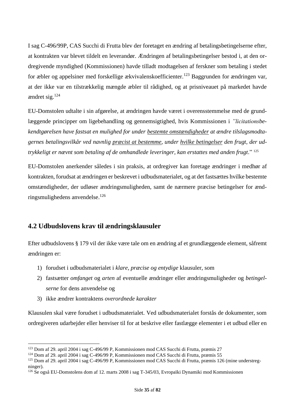I sag C-496/99P, CAS Succhi di Frutta blev der foretaget en ændring af betalingsbetingelserne efter, at kontrakten var blevet tildelt en leverandør. Ændringen af betalingsbetingelser bestod i, at den ordregivende myndighed (Kommissionen) havde tilladt modtagelsen af ferskner som betaling i stedet for æbler og appelsiner med forskellige ækvivalenskoefficienter.<sup>123</sup> Baggrunden for ændringen var, at der ikke var en tilstrækkelig mængde æbler til rådighed, og at prisniveauet på markedet havde ændret sig.<sup>124</sup>

EU-Domstolen udtalte i sin afgørelse, at ændringen havde været i overensstemmelse med de grundlæggende principper om ligebehandling og gennemsigtighed, hvis Kommissionen i *"licitationsbekendtgørelsen have fastsat en mulighed for under bestemte omstændigheder at ændre tilslagsmodtagernes betalingsvilkår ved navnlig præcist at bestemme, under hvilke betingelser den frugt, der udtrykkeligt er nævnt som betaling af de omhandlede leveringer, kan erstattes med anden frugt*." 125

EU-Domstolen anerkender således i sin praksis, at ordregiver kan foretage ændringer i medhør af kontrakten, forudsat at ændringen er beskrevet i udbudsmaterialet, og at det fastsættes hvilke bestemte omstændigheder, der udløser ændringsmuligheden, samt de nærmere præcise betingelser for ændringsmulighedens anvendelse. 126

## <span id="page-35-0"></span>**4.2 Udbudslovens krav til ændringsklausuler**

Efter udbudslovens § 179 vil der ikke være tale om en ændring af et grundlæggende element, såfremt ændringen er:

- 1) forudset i udbudsmaterialet i *klare, præcise og entydige* klausuler, som
- 2) fastsætter *omfanget* og *arten* af eventuelle ændringer eller ændringsmuligheder og *betingelserne* for dens anvendelse og
- 3) ikke ændrer kontraktens *overordnede karakter*

Klausulen skal være forudset i udbudsmaterialet. Ved udbudsmaterialet forstås de dokumenter, som ordregiveren udarbejder eller henviser til for at beskrive eller fastlægge elementer i et udbud eller en

<sup>123</sup> Dom af 29. april 2004 i sag C-496/99 P, Kommissionen mod CAS Succhi di Frutta, præmis 27

<sup>124</sup> Dom af 29. april 2004 i sag C-496/99 P, Kommissionen mod CAS Succhi di Frutta, præmis 55

<sup>125</sup> Dom af 29. april 2004 i sag C-496/99 P, Kommissionen mod CAS Succhi di Frutta, præmis 126 (mine understregninger).

<sup>126</sup> Se også EU-Domstolens dom af 12. marts 2008 i sag T-345/03, Evropaïki Dynamiki mod Kommissionen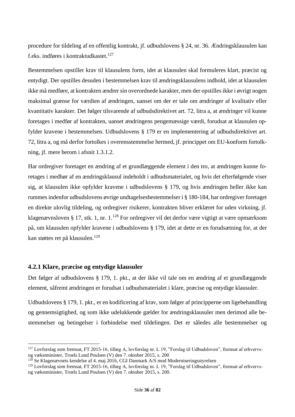procedure for tildeling af en offentlig kontrakt, jf. udbudslovens § 24, nr. 36. Ændringsklausulen kan f.eks. indføres i kontraktudkastet.<sup>127</sup>

Bestemmelsen opstiller krav til klausulens form, idet at klausulen skal formuleres klart, præcist og entydigt. Der opstilles desuden i bestemmelsen krav til ændringsklausulens indhold, idet at klausulen ikke må medføre, at kontrakten ændrer sin overordnede karakter, men der opstilles ikke i øvrigt nogen maksimal grænse for værdien af ændringen, uanset om der er tale om ændringer af kvalitativ eller kvantitativ karakter. Det følger tilsvarende af udbudsdirektivet art. 72, litra a, at ændringer vil kunne foretages i medfør af kontrakten, uanset ændringens pengemæssige værdi, forudsat at klausulen opfylder kravene i bestemmelsen. Udbudslovens § 179 er en implementering af udbudsdirektivet art. 72, litra a, og må derfor fortolkes i overensstemmelse hermed, jf. princippet om EU-konform fortolkning, jf. mere herom i afsnit 1.3.1.2.

Har ordregiver foretaget en ændring af et grundlæggende element i den tro, at ændringen kunne foretages i medhør af en ændringsklausul indeholdt i udbudsmaterialet, og hvis det efterfølgende viser sig, at klausulen ikke opfylder kravene i udbudslovens § 179, og hvis ændringen heller ikke kan rummes indenfor udbudslovens øvrige undtagelsesbestemmelser i § 180-184, har ordregiver foretaget en direkte ulovlig tildeling, og ordregiver risikerer, kontrakten bliver erklæret for uden virkning, jf. klagenævnsloven § 17, stk. 1, nr. 1.<sup>128</sup> For ordregiver vil det derfor være vigtigt at være opmærksom på, om klausulen opfylder kravene i udbudslovens § 179, idet at dette er en forudsætning for, at der kan støttes ret på klausulen.<sup>129</sup>

# **4.2.1 Klare, præcise og entydige klausuler**

Det følger af udbudslovens § 179, 1. pkt., at der ikke vil tale om en ændring af et grundlæggende element, såfremt ændringen er forudsat i udbudsmaterialet i klare, præcise og entydige klausuler.

Udbudslovens § 179, 1. pkt., er en kodificering af krav, som følger af principperne om ligebehandling og gennemsigtighed, og som ikke udelukkende gælder for ændringsklausuler men derimod alle bestemmelser og betingelser i forbindelse med tildelingen. Det er således alle bestemmelser og

<sup>127</sup> Lovforslag som fremsat, FT 2015-16, tillæg A, lovforslag nr. L 19, "Forslag til Udbudsloven", fremsat af erhvervsog vækstminister, Troels Lund Poulsen (V) den 7. oktober 2015, s. 200

 $128$  Se Klagenævnets kendelse af 4. maj 2016, CGI Danmark A/S mod Moderniseringsstyrelsen

<sup>129</sup> Lovforslag som fremsat, FT 2015-16, tillæg A, lovforslag nr. L 19, "Forslag til Udbudsloven", fremsat af erhvervsog vækstminister, Troels Lund Poulsen (V) den 7. oktober 2015, s. 200.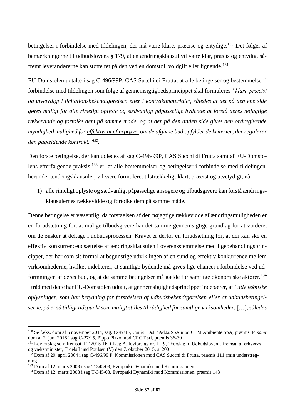betingelser i forbindelse med tildelingen, der må være klare, præcise og entydige.<sup>130</sup> Det følger af bemærkningerne til udbudslovens § 179, at en ændringsklausul vil være klar, præcis og entydig, såfremt leverandørerne kan støtte ret på den ved en domstol, voldgift eller lignende.<sup>131</sup>

EU-Domstolen udtalte i sag C-496/99P, CAS Succhi di Frutta, at alle betingelser og bestemmelser i forbindelse med tildelingen som følge af gennemsigtighedsprincippet skal formuleres *"klart, præcist og utvetydigt i licitationsbekendtgørelsen eller i kontraktmaterialet, således at det på den ene side gøres muligt for alle rimeligt oplyste og sædvanligt påpasselige bydende at forstå deres nøjagtige rækkevidde og fortolke dem på samme måde, og at der på den anden side gives den ordregivende myndighed mulighed for effektivt at efterprøve, om de afgivne bud opfylder de kriterier, der regulerer den pågældende kontrakt." 132* .

Den første betingelse, der kan udledes af sag C-496/99P, CAS Succhi di Frutta samt af EU-Domstolens efterfølgende praksis,<sup>133</sup> er, at alle bestemmelser og betingelser i forbindelse med tildelingen, herunder ændringsklausuler, vil være formuleret tilstrækkeligt klart, præcist og utvetydigt, når

1) alle rimeligt oplyste og sædvanligt påpasselige ansøgere og tilbudsgivere kan forstå ændringsklausulernes rækkevidde og fortolke dem på samme måde.

Denne betingelse er væsentlig, da forståelsen af den nøjagtige rækkevidde af ændringsmuligheden er en forudsætning for, at mulige tilbudsgivere har det samme gennemsigtige grundlag for at vurdere, om de ønsker at deltage i udbudsprocessen. Kravet er derfor en forudsætning for, at der kan ske en effektiv konkurrenceudsættelse af ændringsklausulen i overensstemmelse med ligebehandlingsprincippet, der har som sit formål at begunstige udviklingen af en sund og effektiv konkurrence mellem virksomhederne, hvilket indebærer, at samtlige bydende må gives lige chancer i forbindelse ved udformningen af deres bud, og at de samme betingelser må gælde for samtlige økonomiske aktører.<sup>134</sup> I tråd med dette har EU-Domstolen udtalt, at gennemsigtighedsprincippet indebærer, at *"alle tekniske oplysninger, som har betydning for forståelsen af udbudsbekendtgørelsen eller af udbudsbetingelserne, på et så tidligt tidspunkt som muligt stilles til rådighed for samtlige virksomheder,* […]*, således* 

<sup>130</sup> Se f.eks. dom af 6 november 2014, sag. C-42/13, Cartier Dell 'Adda SpA mod CEM Ambiente SpA, præmis 44 *samt* dom af 2. juni 2016 i sag C-27/15, Pippo Pizzo mod CRGT srl, præmis 36-39

<sup>131</sup> Lovforslag som fremsat, FT 2015-16, tillæg A, lovforslag nr. L 19, "Forslag til Udbudsloven", fremsat af erhvervsog vækstminister, Troels Lund Poulsen (V) den 7. oktober 2015, s. 200

<sup>&</sup>lt;sup>132</sup> Dom af 29. april 2004 i sag C-496/99 P, Kommissionen mod CAS Succhi di Frutta, præmis 111 (min understregning).

<sup>133</sup> Dom af 12. marts 2008 i sag T-345/03, Evropaïki Dynamiki mod Kommissionen

<sup>134</sup> Dom af 12. marts 2008 i sag T-345/03, Evropaïki Dynamiki mod Kommissionen, præmis 143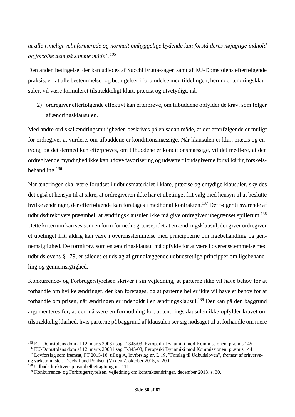# *at alle rimeligt velinformerede og normalt omhyggelige bydende kan forstå deres nøjagtige indhold og fortolke dem på samme måde".<sup>135</sup>*

Den anden betingelse, der kan udledes af Succhi Frutta-sagen samt af EU-Domstolens efterfølgende praksis, er, at alle bestemmelser og betingelser i forbindelse med tildelingen, herunder ændringsklausuler, vil være formuleret tilstrækkeligt klart, præcist og utvetydigt, når

2) ordregiver efterfølgende effektivt kan efterprøve, om tilbuddene opfylder de krav, som følger af ændringsklausulen.

Med andre ord skal ændringsmuligheden beskrives på en sådan måde, at det efterfølgende er muligt for ordregiver at vurdere, om tilbuddene er konditionsmæssige. Når klausulen er klar, præcis og entydig, og det dermed kan efterprøves, om tilbuddene er konditionsmæssige, vil det medføre, at den ordregivende myndighed ikke kan udøve favorisering og udsætte tilbudsgiverne for vilkårlig forskelsbehandling.<sup>136</sup>

Når ændringen skal være forudset i udbudsmaterialet i klare, præcise og entydige klausuler, skyldes det også et hensyn til at sikre, at ordregiveren ikke har et ubetinget frit valg med hensyn til at beslutte hvilke ændringer, der efterfølgende kan foretages i medhør af kontrakten.<sup>137</sup> Det følger tilsvarende af udbudsdirektivets præambel, at ændringsklausuler ikke må give ordregiver ubegrænset spillerum.<sup>138</sup> Dette kriterium kan ses som en form for nedre grænse, idet at en ændringsklausul, der giver ordregiver et ubetinget frit, aldrig kan være i overensstemmelse med principperne om ligebehandling og gennemsigtighed. De formkrav, som en ændringsklausul må opfylde for at være i overensstemmelse med udbudslovens § 179, er således et udslag af grundlæggende udbudsretlige principper om ligebehandling og gennemsigtighed.

Konkurrence- og Forbrugerstyrelsen skriver i sin vejledning, at parterne ikke vil have behov for at forhandle om hvilke ændringer, der kan foretages, og at parterne heller ikke vil have et behov for at forhandle om prisen, når ændringen er indeholdt i en ændringsklausul.<sup>139</sup> Der kan på den baggrund argumenteres for, at der må være en formodning for, at ændringsklausulen ikke opfylder kravet om tilstrækkelig klarhed, hvis parterne på baggrund af klausulen ser sig nødsaget til at forhandle om mere

<sup>135</sup> EU-Domstolens dom af 12. marts 2008 i sag T-345/03, Evropaïki Dynamiki mod Kommissionen, præmis 145

<sup>136</sup> EU-Domstolens dom af 12. marts 2008 i sag T-345/03, Evropaïki Dynamiki mod Kommissionen, præmis 144

<sup>&</sup>lt;sup>137</sup> Lovforslag som fremsat, FT 2015-16, tillæg A, lovforslag nr. L 19, "Forslag til Udbudsloven", fremsat af erhvervsog vækstminister, Troels Lund Poulsen (V) den 7. oktober 2015, s. 200

<sup>&</sup>lt;sup>138</sup> Udbudsdirektivets præambelbetragtning nr. 111

<sup>139</sup> Konkurrence- og Forbrugerstyrelsen, vejledning om kontraktændringer, december 2013, s. 30.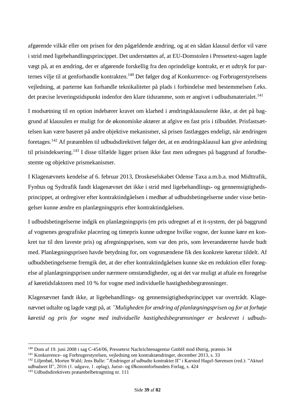afgørende vilkår eller om prisen for den pågældende ændring, og at en sådan klausul derfor vil være i strid med ligebehandlingsprincippet. Det understøttes af, at EU-Domstolen i Pressetext-sagen lagde vægt på, at en ændring, der er afgørende forskellig fra den oprindelige kontrakt, er et udtryk for parternes vilje til at genforhandle kontrakten.<sup>140</sup> Det følger dog af Konkurrence- og Forbrugerstyrelsens vejledning, at parterne kan forhandle teknikaliteter på plads i forbindelse med bestemmelsen f.eks. det præcise leveringstidspunkt indenfor den klare tidsramme, som er angivet i udbudsmaterialet.<sup>141</sup>

I modsætning til en option indebærer kravet om klarhed i ændringsklausulerne ikke, at det på baggrund af klausulen er muligt for de økonomiske aktører at afgive en fast pris i tilbuddet. Prisfastsættelsen kan være baseret på andre objektive mekanismer, så prisen fastlægges endeligt, når ændringen foretages.<sup>142</sup> Af præamblen til udbudsdirektivet følger det, at en ændringsklausul kan give anledning til prisindeksering.<sup>143</sup> I disse tilfælde ligger prisen ikke fast men udregnes på baggrund af forudbestemte og objektive prismekanismer.

I Klagenævnets kendelse af 6. februar 2013, Droskeselskabet Odense Taxa a.m.b.a. mod Midttrafik, Fynbus og Sydtrafik fandt klagenævnet det ikke i strid med ligebehandlings- og gennemsigtighedsprincippet, at ordregiver efter kontraktindgåelsen i medhør af udbudsbetingelserne under visse betingelser kunne ændre en planlægningspris efter kontraktindgåelsen.

I udbudsbetingelserne indgik en planlægningspris (en pris udregnet af et it-system, der på baggrund af vognenes geografiske placering og timepris kunne udregne hvilke vogne, der kunne køre en konkret tur til den laveste pris) og afregningsprisen, som var den pris, som leverandørerne havde budt med. Planlægningsprisen havde betydning for, om vognmændene fik den konkrete køretur tildelt. Af udbudsbetingelserne fremgik det, at der efter kontraktindgåelsen kunne ske en reduktion eller forøgelse af planlægningsprisen under nærmere omstændigheder, og at det var muligt at aftale en forøgelse af køretidsfaktoren med 10 % for vogne med individuelle hastighedsbegrænsninger.

Klagenævnet fandt ikke, at ligebehandlings- og gennemsigtighedsprincippet var overtrådt. Klagenævnet udtalte og lagde vægt på, at *"Muligheden for ændring af planlægningsprisen og for at forhøje køretid og pris for vogne med individuelle hastighedsbegrænsninger er beskrevet i udbuds-*

<sup>140</sup> Dom af 19. juni 2008 i sag C-454/06, Pressetext Nachrichtenagentur GmbH mod Østrig, præmis 34

<sup>141</sup> Konkurrence- og Forbrugerstyrelsen, vejledning om kontraktændringer, december 2013, s. 33

<sup>142</sup> Liljenbøl, Morten Wahl; Jens Balle: "Ændringer af udbudte kontrakter II" i Karsted Hagel-Sørensen (red.): "Aktuel udbudsret II", 2016 (1. udgave, 1. oplag), Jurist- og Økonomforbundets Forlag, s. 424

<sup>143</sup> Udbudsdirektivets præambelbetragtning nr. 111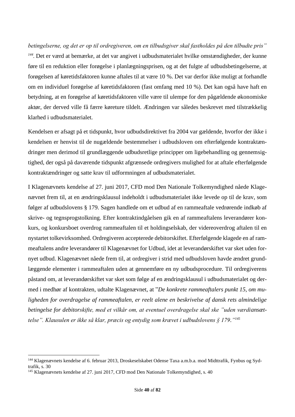*betingelserne, og det er op til ordregiveren, om en tilbudsgiver skal fastholdes på den tilbudte pris" 144 .* Det er værd at bemærke, at det var angivet i udbudsmaterialet hvilke omstændigheder, der kunne føre til en reduktion eller forøgelse i planlægningsprisen, og at det fulgte af udbudsbetingelserne, at forøgelsen af køretidsfaktoren kunne aftales til at være 10 %. Det var derfor ikke muligt at forhandle om en individuel forøgelse af køretidsfaktoren (fast omfang med 10 %). Det kan også have haft en betydning, at en forøgelse af køretidsfaktoren ville være til ulempe for den pågældende økonomiske aktør, der derved ville få færre køreture tildelt. Ændringen var således beskrevet med tilstrækkelig klarhed i udbudsmaterialet.

Kendelsen er afsagt på et tidspunkt, hvor udbudsdirektivet fra 2004 var gældende, hvorfor der ikke i kendelsen er henvist til de nugældende bestemmelser i udbudsloven om efterfølgende kontraktændringer men derimod til grundlæggende udbudsretlige principper om ligebehandling og gennemsigtighed, der også på daværende tidspunkt afgrænsede ordregivers mulighed for at aftale efterfølgende kontraktændringer og satte krav til udformningen af udbudsmaterialet.

I Klagenævnets kendelse af 27. juni 2017, CFD mod Den Nationale Tolkemyndighed nåede Klagenævnet frem til, at en ændringsklausul indeholdt i udbudsmaterialet ikke levede op til de krav, som følger af udbudslovens § 179. Sagen handlede om et udbud af en rammeaftale vedrørende indkøb af skrive- og tegnsprogstolkning. Efter kontraktindgåelsen gik en af rammeaftalens leverandører konkurs, og konkursboet overdrog rammeaftalen til et holdingselskab, der videreoverdrog aftalen til en nystartet tolkevirksomhed. Ordregiveren accepterede debitorskiftet. Efterfølgende klagede en af rammeaftalens andre leverandører til Klagenævnet for Udbud, idet at leverandørskiftet var sket uden fornyet udbud. Klagenævnet nåede frem til, at ordregiver i strid med udbudsloven havde ændret grundlæggende elementer i rammeaftalen uden at gennemføre en ny udbudsprocedure. Til ordregiverens påstand om, at leverandørskiftet var sket som følge af en ændringsklausul i udbudsmaterialet og dermed i medhør af kontrakten, udtalte Klagenævnet, at "*De konkrete rammeaftalers punkt 15, om muligheden for overdragelse af rammeaftalen, er reelt alene en beskrivelse af dansk rets almindelige betingelse for debitorskifte, med et vilkår om, at eventuel overdragelse skal ske "uden værdiansættelse". Klausulen er ikke så klar, præcis og entydig som krævet i udbudslovens § 179." 145*

<sup>144</sup> Klagenævnets kendelse af 6. februar 2013, Droskeselskabet Odense Taxa a.m.b.a. mod Midttrafik, Fynbus og Sydtrafik, s. 30

<sup>&</sup>lt;sup>145</sup> Klagenævnets kendelse af 27. juni 2017, CFD mod Den Nationale Tolkemyndighed, s. 40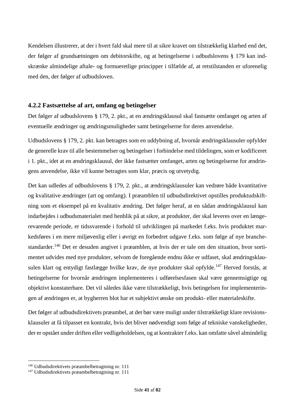Kendelsen illustrerer, at der i hvert fald skal mere til at sikre kravet om tilstrækkelig klarhed end det, der følger af grundsætningen om debitorskifte, og at betingelserne i udbudslovens § 179 kan indskrænke almindelige aftale- og formueretlige principper i tilfælde af, at retstilstanden er uforenelig med den, der følger af udbudsloven.

# **4.2.2 Fastsættelse af art, omfang og betingelser**

Det følger af udbudslovens § 179, 2. pkt., at en ændringsklausul skal fastsætte omfanget og arten af eventuelle ændringer og ændringsmuligheder samt betingelserne for deres anvendelse.

Udbudslovens § 179, 2. pkt. kan betragtes som en uddybning af, hvornår ændringsklausuler opfylder de generelle krav til alle bestemmelser og betingelser i forbindelse med tildelingen, som er kodificeret i 1. pkt., idet at en ændringsklausul, der ikke fastsætter omfanget, arten og betingelserne for ændringens anvendelse, ikke vil kunne betragtes som klar, præcis og utvetydig.

Det kan udledes af udbudslovens § 179, 2. pkt., at ændringsklausuler kan vedrøre både kvantitative og kvalitative ændringer (art og omfang). I præamblen til udbudsdirektivet opstilles produktudskiftning som et eksempel på en kvalitativ ændring. Det følger heraf, at en sådan ændringsklausul kan indarbejdes i udbudsmaterialet med henblik på at sikre, at produkter, der skal leveres over en længerevarende periode, er tidssvarende i forhold til udviklingen på markedet f.eks. hvis produktet markedsføres i en mere miljøvenlig eller i øvrigt en forbedret udgave f.eks. som følge af nye branchestandarder.<sup>146</sup> Det er desuden angivet i præamblen, at hvis der er tale om den situation, hvor sortimentet udvides med nye produkter, selvom de foregående endnu ikke er udfaset, skal ændringsklausulen klart og entydigt fastlægge hvilke krav, de nye produkter skal opfylde.<sup>147</sup> Herved forstås, at betingelserne for hvornår ændringen implementeres i udførelsesfasen skal være gennemsigtige og objektivt konstaterbare. Det vil således ikke være tilstrækkeligt, hvis betingelsen for implementeringen af ændringen er, at bygherren blot har et subjektivt ønske om produkt- eller materialeskifte.

Det følger af udbudsdirektivets præambel, at det bør være muligt under tilstrækkeligt klare revisionsklausuler at få tilpasset en kontrakt, hvis det bliver nødvendigt som følge af tekniske vanskeligheder, der er opstået under driften eller vedligeholdelsen, og at kontrakter f.eks. kan omfatte såvel almindelig

<sup>146</sup> Udbudsdirektivets præambelbetragtning nr. 111

<sup>147</sup> Udbudsdirektivets præambelbetragtning nr. 111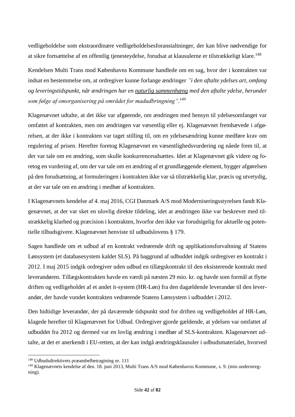vedligeholdelse som ekstraordinære vedligeholdelsesforanstaltninger, der kan blive nødvendige for at sikre fortsættelse af en offentlig tjenesteydelse, forudsat at klausulerne er tilstrækkeligt klare.<sup>148</sup>

Kendelsen Multi Trans mod Københavns Kommune handlede om en sag, hvor der i kontrakten var indsat en bestemmelse om, at ordregiver kunne forlange ændringer *"i den aftalte ydelses art, omfang og leveringstidspunkt, når ændringen har en naturlig sammenhæng med den aftalte ydelse, herunder som følge af omorganisering på området for madudbringning". 149*

Klagenævnet udtalte, at det ikke var afgørende, om ændringen med hensyn til ydelsesomfanget var omfattet af kontrakten, men om ændringen var væsentlig eller ej. Klagenævnet fremhævede i afgørelsen, at der ikke i kontrakten var taget stilling til, om en ydelsesændring kunne medføre krav om regulering af prisen. Herefter foretog Klagenævnet en væsentlighedsvurdering og nåede frem til, at der var tale om en ændring, som skulle konkurrenceudsættes. Idet at Klagenævnet gik videre og foretog en vurdering af, om der var tale om en ændring af et grundlæggende element, bygger afgørelsen på den forudsætning, at formuleringen i kontrakten ikke var så tilstrækkelig klar, præcis og utvetydig, at der var tale om en ændring i medhør af kontrakten.

I Klagenævnets kendelse af 4. maj 2016, CGI Danmark A/S mod Moderniseringsstyrelsen fandt Klagenævnet, at der var sket en ulovlig direkte tildeling, idet at ændringen ikke var beskrevet med tilstrækkelig klarhed og præcision i kontrakten, hvorfor den ikke var forudsigelig for aktuelle og potentielle tilbudsgivere. Klagenævnet henviste til udbudslovens § 179.

Sagen handlede om et udbud af en kontrakt vedrørende drift og applikationsforvaltning af Statens Lønsystem (et databasesystem kaldet SLS). På baggrund af udbuddet indgik ordregiver en kontrakt i 2012. I maj 2015 indgik ordregiver uden udbud en tillægskontrakt til den eksisterende kontrakt med leverandøren. Tillægskontrakten havde en værdi på næsten 29 mio. kr. og havde som formål at flytte driften og vedligeholdet af et andet it-system (HR-Løn) fra den dagældende leverandør til den leverandør, der havde vundet kontrakten vedrørende Statens Lønsystem i udbuddet i 2012.

Den hidtidige leverandør, der på daværende tidspunkt stod for driften og vedligeholdet af HR-Løn, klagede herefter til Klagenævnet for Udbud. Ordregiver gjorde gældende, at ydelsen var omfattet af udbuddet fra 2012 og dermed var en lovlig ændring i medhør af SLS-kontrakten. Klagenævnet udtalte, at det er anerkendt i EU-retten, at der kan indgå ændringsklausuler i udbudsmaterialet, hvorved

<sup>148</sup> Udbudsdirektivets præambelbetragtning nr. 111

<sup>149</sup> Klagenævnets kendelse af den. 18. juni 2013, Multi Trans A/S mod Københavns Kommune, s. 9. (min understregning).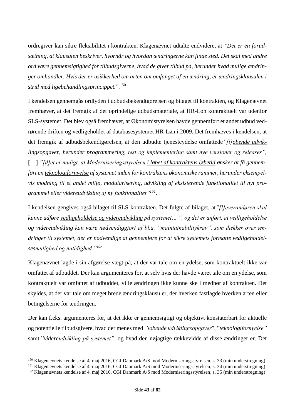ordregiver kan sikre fleksibilitet i kontrakten. Klagenævnet udtalte endvidere, at *"Det er en forudsætning, at klausulen beskriver, hvornår og hvordan ændringerne kan finde sted. Det skal med andre ord være gennemsigtighed for tilbudsgiverne, hvad de giver tilbud på, herunder hvad mulige ændringer omhandler. Hvis der er usikkerhed om arten om omfanget af en ændring, er ændringsklausulen i strid med ligebehandlingsprincippet.*".<sup>150</sup>

I kendelsen gennemgås ordlyden i udbudsbekendtgørelsen og bilaget til kontrakten, og Klagenævnet fremhæver, at det fremgik af det oprindelige udbudsmateriale, at HR-Løn kontraktuelt var udenfor SLS-systemet. Det blev også fremhævet, at Økonomistyrelsen havde gennemført et andet udbud vedrørende driften og vedligeholdet af databasesystemet HR-Løn i 2009. Det fremhæves i kendelsen, at det fremgik af udbudsbekendtgørelsen, at den udbudte tjenesteydelse omfattede*"[l]øbende udviklingsopgaver, herunder programmering, test og implementering samt nye versioner og releases",*  [...] "[d]et er muligt, at Moderniseringsstyrelsen i løbet af kontraktens løbetid ønsker at få gennem*ført en teknologifornyelse af systemet inden for kontraktens økonomiske rammer, herunder eksempelvis modning til et andet miljø, modularisering, udvikling af eksisterende funktionalitet til nyt programmel eller videreudvikling af ny funktionalitet"<sup>151</sup> .*

I kendelsen gengives også bilaget til SLS-kontrakten. Det fulgte af bilaget, at*"[l]everandøren skal kunne udføre vedligeholdelse og videreudvikling på systemet… ", og det er anført, at vedligeholdelse og videreudvikling kan være nødvendiggjort af bl.a. "maintainabilitykrav", som dækker over ændringer til systemet, der er nødvendige at gennemføre for at sikre systemets fortsatte vedligeholdelsesmulighed og nutidighed."<sup>152</sup>*

Klagenævnet lagde i sin afgørelse vægt på, at der var tale om en ydelse, som kontraktuelt ikke var omfattet af udbuddet. Der kan argumenteres for, at selv hvis der havde været tale om en ydelse, som kontraktuelt var omfattet af udbuddet, ville ændringen ikke kunne ske i medhør af kontrakten. Det skyldes, at der var tale om meget brede ændringsklausuler, der hverken fastlagde hverken arten eller betingelserne for ændringen.

Der kan f.eks. argumenteres for, at det ikke er gennemsigtigt og objektivt konstaterbart for aktuelle og potentielle tilbudsgivere, hvad der menes med *"løbende udviklingsopgaver*", "*teknologifornyelse"* samt "*videreudvikling på systemet"*, og hvad den nøjagtige rækkevidde af disse ændringer er. Det

<sup>150</sup> Klagenævnets kendelse af 4. maj 2016, CGI Danmark A/S mod Moderniseringsstyrelsen, s. 33 (min understregning)

<sup>151</sup> Klagenævnets kendelse af 4. maj 2016, CGI Danmark A/S mod Moderniseringsstyrelsen, s. 34 (min understregning)

<sup>152</sup> Klagenævnets kendelse af 4. maj 2016, CGI Danmark A/S mod Moderniseringsstyrelsen, s. 35 (min understregning)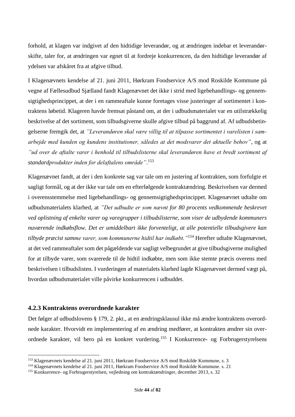forhold, at klagen var indgivet af den hidtidige leverandør, og at ændringen indebar et leverandørskifte, taler for, at ændringen var egnet til at fordreje konkurrencen, da den hidtidige leverandør af ydelsen var afskåret fra at afgive tilbud.

I Klagenævnets kendelse af 21. juni 2011, Hørkram Foodservice A/S mod Roskilde Kommune på vegne af Fællesudbud Sjælland fandt Klagenævnet det ikke i strid med ligebehandlings- og gennemsigtighedsprincippet, at der i en rammeaftale kunne foretages visse justeringer af sortimentet i kontraktens løbetid. Klageren havde fremsat påstand om, at der i udbudsmaterialet var en utilstrækkelig beskrivelse af det sortiment, som tilbudsgiverne skulle afgive tilbud på baggrund af. Af udbudsbetingelserne fremgik det, at *"Leverandøren skal være villig til at tilpasse sortimentet i varelisten i samarbejde med kunden og kundens institutioner, således at det modsvarer det aktuelle behov"*, og at *"ud over de aftalte varer i henhold til tilbudslisterne skal leverandøren have et bredt sortiment af standardprodukter inden for delaftalens område"*. 153

Klagenævnet fandt, at der i den konkrete sag var tale om en justering af kontrakten, som forfulgte et sagligt formål, og at der ikke var tale om en efterfølgende kontraktændring. Beskrivelsen var dermed i overensstemmelse med ligebehandlings- og gennemsigtighedsprincippet. Klagenævnet udtalte om udbudsmaterialets klarhed, at *"Det udbudte er som nævnt for 80 procents vedkommende beskrevet ved oplistning af enkelte varer og varegrupper i tilbudslisterne, som viser de udbydende kommuners nuværende indkøbsflow. Det er umiddelbart ikke forventeligt, at alle potentielle tilbudsgivere kan tilbyde præcist samme varer, som kommunerne hidtil har indkøbt."<sup>154</sup>* Herefter udtalte Klagenævnet, at det ved rammeaftaler som det pågældende var sagligt velbegrundet at give tilbudsgiverne mulighed for at tilbyde varer, som svarerede til de hidtil indkøbte, men som ikke stemte præcis overens med beskrivelsen i tilbudslisten. I vurderingen af materialets klarhed lagde Klagenævnet dermed vægt på, hvordan udbudsmaterialet ville påvirke konkurrencen i udbuddet.

# **4.2.3 Kontraktens overordnede karakter**

Det følger af udbudslovens § 179, 2. pkt., at en ændringsklausul ikke må ændre kontraktens overordnede karakter. Hvorvidt en implementering af en ændring medfører, at kontrakten ændrer sin overordnede karakter, vil bero på en konkret vurdering.<sup>155</sup> I Konkurrence- og Forbrugerstyrelsens

<sup>153</sup> Klagenævnets kendelse af 21. juni 2011, Hørkram Foodservice A/S mod Roskilde Kommune, s. 3

<sup>154</sup> Klagenævnets kendelse af 21. juni 2011, Hørkram Foodservice A/S mod Roskilde Kommune. s. 21

<sup>155</sup> Konkurrence- og Forbrugerstyrelsen, vejledning om kontraktændringer, december 2013, s. 32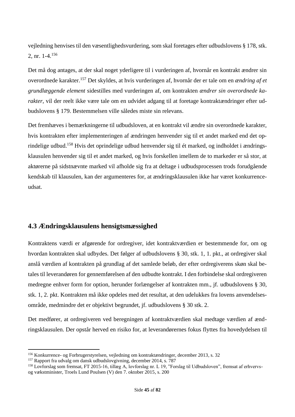vejledning henvises til den væsentlighedsvurdering, som skal foretages efter udbudslovens § 178, stk. 2, nr. 1-4.<sup>156</sup>

Det må dog antages, at der skal noget yderligere til i vurderingen af, hvornår en kontrakt ændrer sin overordnede karakter.<sup>157</sup> Det skyldes, at hvis vurderingen af, hvornår der er tale om en *ændring af et grundlæggende element* sidestilles med vurderingen af, om kontrakten *ændrer sin overordnede karakter*, vil der reelt ikke være tale om en udvidet adgang til at foretage kontraktændringer efter udbudslovens § 179. Bestemmelsen ville således miste sin relevans.

Det fremhæves i bemærkningerne til udbudsloven, at en kontrakt vil ændre sin overordnede karakter, hvis kontrakten efter implementeringen af ændringen henvender sig til et andet marked end det oprindelige udbud.<sup>158</sup> Hvis det oprindelige udbud henvender sig til ét marked, og indholdet i ændringsklausulen henvender sig til et andet marked, og hvis forskellen imellem de to markeder er så stor, at aktørerne på sidstnævnte marked vil afholde sig fra at deltage i udbudsprocessen trods forudgående kendskab til klausulen, kan der argumenteres for, at ændringsklausulen ikke har været konkurrenceudsat.

# **4.3 Ændringsklausulens hensigtsmæssighed**

Kontraktens værdi er afgørende for ordregiver, idet kontraktværdien er bestemmende for, om og hvordan kontrakten skal udbydes. Det følger af udbudslovens § 30, stk. 1, 1. pkt., at ordregiver skal anslå værdien af kontrakten på grundlag af det samlede beløb, der efter ordregiverens skøn skal betales til leverandøren for gennemførelsen af den udbudte kontrakt. I den forbindelse skal ordregiveren medregne enhver form for option, herunder forlængelser af kontrakten mm., jf. udbudslovens § 30, stk. 1, 2. pkt. Kontrakten må ikke opdeles med det resultat, at den udelukkes fra lovens anvendelsesområde, medmindre det er objektivt begrundet, jf. udbudslovens § 30 stk. 2.

Det medfører, at ordregiveren ved beregningen af kontraktværdien skal medtage værdien af ændringsklausulen. Der opstår herved en risiko for, at leverandørernes fokus flyttes fra hovedydelsen til

<sup>156</sup> Konkurrence- og Forbrugerstyrelsen, vejledning om kontraktændringer, december 2013, s. 32

<sup>&</sup>lt;sup>157</sup> Rapport fra udvalg om dansk udbudslovgivning, december 2014, s. 787

<sup>158</sup> Lovforslag som fremsat, FT 2015-16, tillæg A, lovforslag nr. L 19, "Forslag til Udbudsloven", fremsat af erhvervsog vækstminister, Troels Lund Poulsen (V) den 7. oktober 2015, s. 200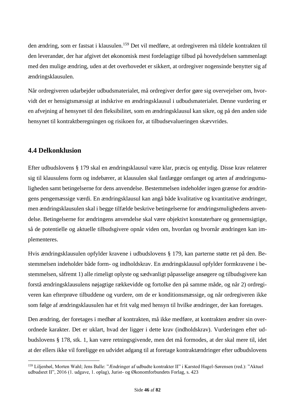den ændring, som er fastsat i klausulen.<sup>159</sup> Det vil medføre, at ordregiveren må tildele kontrakten til den leverandør, der har afgivet det økonomisk mest fordelagtige tilbud på hovedydelsen sammenlagt med den mulige ændring, uden at det overhovedet er sikkert, at ordregiver nogensinde benytter sig af ændringsklausulen.

Når ordregiveren udarbejder udbudsmaterialet, må ordregiver derfor gøre sig overvejelser om, hvorvidt det er hensigtsmæssigt at indskrive en ændringsklausul i udbudsmaterialet. Denne vurdering er en afvejning af hensynet til den fleksibilitet, som en ændringsklausul kan sikre, og på den anden side hensynet til kontraktberegningen og risikoen for, at tilbudsevalueringen skævvrides.

# **4.4 Delkonklusion**

Efter udbudslovens § 179 skal en ændringsklausul være klar, præcis og entydig. Disse krav relaterer sig til klausulens form og indebærer, at klausulen skal fastlægge omfanget og arten af ændringsmuligheden samt betingelserne for dens anvendelse. Bestemmelsen indeholder ingen grænse for ændringens pengemæssige værdi. En ændringsklausul kan angå både kvalitative og kvantitative ændringer, men ændringsklausulen skal i begge tilfælde beskrive betingelserne for ændringsmulighedens anvendelse. Betingelserne for ændringens anvendelse skal være objektivt konstaterbare og gennemsigtige, så de potentielle og aktuelle tilbudsgivere opnår viden om, hvordan og hvornår ændringen kan implementeres.

Hvis ændringsklausulen opfylder kravene i udbudslovens § 179, kan parterne støtte ret på den. Bestemmelsen indeholder både form- og indholdskrav. En ændringsklausul opfylder formkravene i bestemmelsen, såfremt 1) alle rimeligt oplyste og sædvanligt påpasselige ansøgere og tilbudsgivere kan forstå ændringsklausulens nøjagtige rækkevidde og fortolke den på samme måde, og når 2) ordregiveren kan efterprøve tilbuddene og vurdere, om de er konditionsmæssige, og når ordregiveren ikke som følge af ændringsklausulen har et frit valg med hensyn til hvilke ændringer, der kan foretages.

Den ændring, der foretages i medhør af kontrakten, må ikke medføre, at kontrakten ændrer sin overordnede karakter. Det er uklart, hvad der ligger i dette krav (indholdskrav). Vurderingen efter udbudslovens § 178, stk. 1, kan være retningsgivende, men det må formodes, at der skal mere til, idet at der ellers ikke vil foreligge en udvidet adgang til at foretage kontraktændringer efter udbudslovens

<sup>159</sup> Liljenbøl, Morten Wahl; Jens Balle: "Ændringer af udbudte kontrakter II" i Karsted Hagel-Sørensen (red.): "Aktuel udbudsret II", 2016 (1. udgave, 1. oplag), Jurist- og Økonomforbundets Forlag, s. 423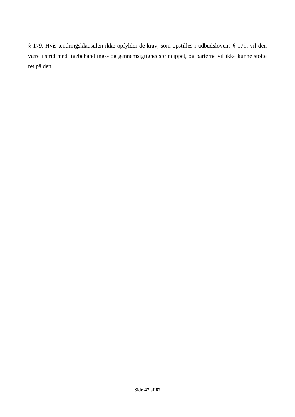§ 179. Hvis ændringsklausulen ikke opfylder de krav, som opstilles i udbudslovens § 179, vil den være i strid med ligebehandlings- og gennemsigtighedsprincippet, og parterne vil ikke kunne støtte ret på den.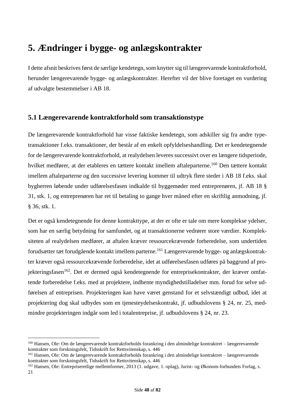# **5. Ændringer i bygge- og anlægskontrakter**

I dette afsnit beskrives først de særlige kendetegn, som knytter sig til længerevarende kontraktforhold, herunder længerevarende bygge- og anlægskontrakter. Herefter vil der blive foretaget en vurdering af udvalgte bestemmelser i AB 18.

# **5.1 Længerevarende kontraktforhold som transaktionstype**

De længerevarende kontraktforhold har visse faktiske kendetegn, som adskiller sig fra andre typetransaktioner f.eks. transaktioner, der består af en enkelt opfyldelseshandling. Det er kendetegnende for de længerevarende kontraktforhold, at realydelsen leveres successivt over en længere tidsperiode, hvilket medfører, at der etableres en tættere kontakt imellem aftaleparterne.<sup>160</sup> Den tættere kontakt imellem aftaleparterne og den successive levering kommer til udtryk flere steder i AB 18 f.eks. skal bygherren løbende under udførelsesfasen indkalde til byggemøder med entreprenøren, jf. AB 18 § 31, stk. 1, og entreprenøren har ret til betaling to gange hver måned efter en skriftlig anmodning, jf. § 36, stk. 1.

Det er også kendetegnende for denne kontrakttype, at der er ofte er tale om mere komplekse ydelser, som har en særlig betydning for samfundet, og at transaktionerne vedrører store værdier. Kompleksiteten af realydelsen medfører, at aftalen kræver ressourcekrævende forberedelse, som undertiden forudsætter tæt forudgående kontakt imellem parterne.<sup>161</sup> Længerevarende bygge- og anlægskontrakter kræver også ressourcekrævende forberedelse, idet at udførelsesfasen udføres på baggrund af projekteringsfasen<sup>162</sup>. Det er dermed også kendetegnende for entreprisekontrakter, der kræver omfattende forberedelse f.eks. med at projektere, indhente myndighedstilladelser mm. forud for selve udførelsen af entreprisen. Projekteringen kan have været genstand for et selvstændigt udbud, idet at projektering dog skal udbydes som en tjenesteydelseskontrakt, jf. udbudslovens § 24, nr. 25, medmindre projekteringen indgår som led i totalentreprise, jf. udbudslovens § 24, nr. 23.

<sup>160</sup> Hansen, Ole: Om de længerevarende kontraktforholds forankring i den almindelige kontraktret – længerevarende kontrakter som forskningsfelt, Tidsskrift for Rettsvitenskap, s. 446

<sup>161</sup> Hansen, Ole: Om de længerevarende kontraktforholds forankring i den almindelige kontraktret – længerevarende kontrakter som forskningsfelt, Tidsskrift for Rettsvitenskap, s. 446

<sup>162</sup> Hansen, Ole: Entrepriseretlige mellemformer, 2013 (1. udgave, 1. oplag), Jurist- og Økonom-forbundets Forlag, s. 21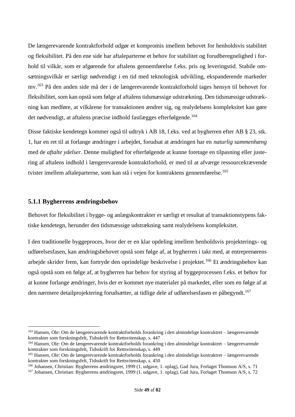De længerevarende kontraktforhold udgør et kompromis imellem behovet for henholdsvis stabilitet og fleksibilitet. På den ene side har aftaleparterne et behov for stabilitet og forudberegnelighed i forhold til vilkår, som er afgørende for aftalens gennemførelse f.eks. pris og leveringstid. Stabile omsætningsvilkår er særligt nødvendigt i en tid med teknologisk udvikling, ekspanderende markeder mv.<sup>163</sup> På den anden side må der i de længerevarende kontraktforhold tages hensyn til behovet for fleksibilitet, som kan opstå som følge af aftalens tidsmæssige udstrækning. Den tidsmæssige udstrækning kan medføre, at vilkårene for transaktionen ændrer sig, og realydelsens kompleksitet kan gøre det nødvendigt, at aftalens præcise indhold fastlægges efterfølgende.<sup>164</sup>

Disse faktiske kendetegn kommer også til udtryk i AB 18, f.eks. ved at bygherren efter AB § 23, stk. 1, har en ret til at forlange ændringer i arbejdet, forudsat at ændringen har en *naturlig sammenhæng* med de *aftalte ydelser*. Denne mulighed for efterfølgende at kunne foretage en tilpasning eller justering af aftalens indhold i længerevarende kontraktforhold, er med til at afværge ressourcekrævende tvister imellem aftaleparterne, som kan stå i vejen for kontraktens gennemførelse.<sup>165</sup>

## **5.1.1 Bygherrens ændringsbehov**

Behovet for fleksibilitet i bygge- og anlægskontrakter er særligt et resultat af transaktionstypens faktiske kendetegn, herunder den tidsmæssige udstrækning samt realydelsens kompleksitet.

I den traditionelle byggeproces, hvor der er en klar opdeling imellem henholdsvis projekterings- og udførelsesfasen, kan ændringsbehovet opstå som følge af, at bygherren i takt med, at entreprenørens arbejde skrider frem, kan fortryde den oprindelige beskrivelse i projektet.<sup>166</sup> Et ændringsbehov kan også opstå som en følge af, at bygherren har behov for styring af byggeprocessen f.eks. et behov for at kunne forlange ændringer, hvis der er kommet nye materialer på markedet, eller som en følge af at den nærmere detailprojektering forudsætter, at tidlige dele af udførelsesfasen er påbegyndt.<sup>167</sup>

<sup>163</sup> Hansen, Ole: Om de længerevarende kontraktforholds forankring i den almindelige kontraktret – længerevarende kontrakter som forskningsfelt, Tidsskrift for Rettsvitenskap, s. 447

<sup>164</sup> Hansen, Ole: Om de længerevarende kontraktforholds forankring i den almindelige kontraktret – længerevarende kontrakter som forskningsfelt, Tidsskrift for Rettsvitenskap, s. 449

<sup>165</sup> Hansen, Ole: Om de længerevarende kontraktforholds forankring i den almindelige kontraktret – længerevarende kontrakter som forskningsfelt, Tidsskrift for Rettsvitenskap, s. 450

<sup>166</sup> Johansen, Christian: Bygherrens ændringsret, 1999 (1. udgave, 1. oplag), Gad Jura, Forlaget Thomson A/S, s. 71

<sup>167</sup> Johansen, Christian: Bygherrens ændringsret, 1999 (1. udgave, 1. oplag), Gad Jura, Forlaget Thomson A/S, s. 72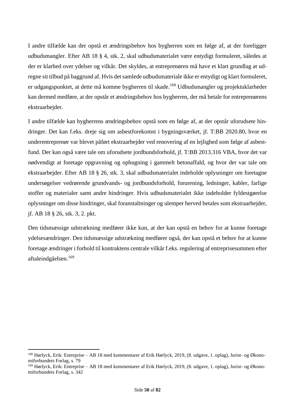I andre tilfælde kan der opstå et ændringsbehov hos bygherren som en følge af, at der foreligger udbudsmangler. Efter AB 18 § 4, stk. 2, skal udbudsmaterialet være entydigt formuleret, således at der er klarhed over ydelser og vilkår. Det skyldes, at entreprenøren må have et klart grundlag at udregne sit tilbud på baggrund af. Hvis det samlede udbudsmateriale ikke er entydigt og klart formuleret, er udgangspunktet, at dette må komme bygherren til skade.<sup>168</sup> Udbudsmangler og projektuklarheder kan dermed medføre, at der opstår et ændringsbehov hos bygherren, der må betale for entreprenørens ekstraarbejder.

I andre tilfælde kan bygherrens ændringsbehov opstå som en følge af, at der opstår uforudsete hindringer. Det kan f.eks. dreje sig om asbestforekomst i bygningsværket, jf. T:BB 2020.80, hvor en underentreprenør var blevet påført ekstraarbejder ved renovering af en lejlighed som følge af asbestfund. Der kan også være tale om uforudsete jordbundsforhold, jf. T:BB 2013.316 VBA, hvor det var nødvendigt at foretage opgravning og ophugning i gammelt betonaffald, og hvor der var tale om ekstraarbejder. Efter AB 18 § 26, stk. 3, skal udbudsmaterialet indeholde oplysninger om foretagne undersøgelser vedrørende grundvands- og jordbundsforhold, forurening, ledninger, kabler, farlige stoffer og materialer samt andre hindringer. Hvis udbudsmaterialet ikke indeholder fyldestgørelse oplysninger om disse hindringer, skal foranstaltninger og ulemper herved betales som ekstraarbejder, jf. AB 18 § 26, stk. 3, 2. pkt.

Den tidsmæssige udstrækning medfører ikke kun, at der kan opstå en behov for at kunne foretage ydelsesændringer. Den tidsmæssige udstrækning medfører også, der kan opstå et behov for at kunne foretage ændringer i forhold til kontraktens centrale vilkår f.eks. regulering af entreprisesummen efter aftaleindgåelsen.<sup>169</sup>

<sup>168</sup> Hørlyck, Erik: Entreprise – AB 18 med kommentarer af Erik Hørlyck, 2019, (8. udgave, 1. oplag), Jurist- og Økonomiforbundets Forlag, s. 79

<sup>169</sup> Hørlyck, Erik: Entreprise – AB 18 med kommentarer af Erik Hørlyck, 2019, (8. udgave, 1. oplag), Jurist- og Økonomiforbundets Forlag, s. 342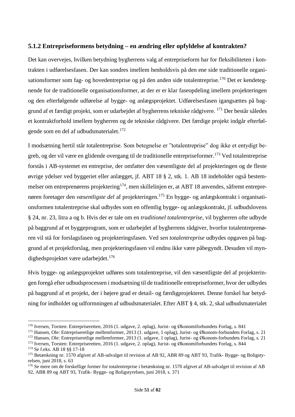# **5.1.2 Entrepriseformens betydning – en ændring eller opfyldelse af kontrakten?**

Det kan overvejes, hvilken betydning bygherrens valg af entrepriseform har for fleksibiliteten i kontrakten i udførelsesfasen. Der kan sondres imellem henholdsvis på den ene side traditionelle organisationsformer som fag- og hovedentreprise og på den anden side totalentreprise.<sup>170</sup> Det er kendetegnende for de traditionelle organisationsformer, at der er er klar faseopdeling imellem projekteringen og den efterfølgende udførelse af bygge- og anlægsprojektet. Udførelsesfasen igangsættes på baggrund af et færdigt projekt, som er udarbejdet af bygherrens tekniske rådgivere. <sup>171</sup> Der består således et kontraktforhold imellem bygherren og de tekniske rådgivere. Det færdige projekt indgår efterfølgende som en del af udbudsmaterialet.<sup>172</sup>

I modsætning hertil står totalentreprise. Som betegnelse er "totalentreprise" dog ikke et entydigt begreb, og der vil være en glidende overgang til de traditionelle entrepriseformer.<sup>173</sup> Ved totalentreprise forstås i AB-systemet en entreprise, der omfatter den væsentligste del af projekteringen og de fleste øvrige ydelser ved byggeriet eller anlægget, jf. ABT 18 § 2, stk. 1. AB 18 indeholder også bestemmelser om entreprenørens projektering<sup>174</sup>, men skillelinjen er, at ABT 18 anvendes, såfremt entreprenøren foretager den *væsentligste del* af projekteringen. <sup>175</sup> En bygge- og anlægskontrakt i organisationsformen totalentreprise skal udbydes som en offentlig bygge- og anlægskontrakt, jf. udbudslovens § 24, nr. 23, litra a og b. Hvis der er tale om en *traditionel totalentreprise*, vil bygherren ofte udbyde på baggrund af et byggeprogram, som er udarbejdet af bygherrens rådgiver, hvorfor totalentreprenøren vil stå for forslagsfasen og projekteringsfasen. Ved *sen totalentreprise* udbydes opgaven på baggrund af et projektforslag, men projekteringsfasen vil endnu ikke være påbegyndt. Desuden vil myndighedsprojektet være udarbejdet.<sup>176</sup>

Hvis bygge- og anlægsprojektet udføres som totalentreprise, vil den væsentligste del af projekteringen foregå efter udbudsprocessen i modsætning til de traditionelle entrepriseformer, hvor der udbydes på baggrund af et projekt, der i højere grad er detail- og færdigprojekteret. Denne forskel har betydning for indholdet og udformningen af udbudsmaterialet. Efter ABT § 4, stk. 2, skal udbudsmaterialet

<sup>170</sup> Iversen, Torsten: Entrepriseretten, 2016 (1. udgave, 2. oplag), Jurist- og Økonomiforbundets Forlag, s. 841

<sup>171</sup> Hansen, Ole: Entrepriseretlige mellemformer, 2013 (1. udgave, 1 oplag), Jurist- og Økonom-forbundets Forlag, s. 21

<sup>172</sup> Hansen, Ole: Entrepriseretlige mellemformer, 2013 (1. udgave, 1 oplag), Jurist- og Økonom-forbundets Forlag, s. 21

<sup>173</sup> Iversen, Torsten: Entrepriseretten, 2016 (1. udgave, 2. oplag), Jurist- og Økonomiforbundets Forlag, s. 844

<sup>174</sup> Se f.eks. AB 18 §§ 17-18

<sup>175</sup> Betænkning nr. 1570 afgivet af AB-udvalget til revision af AB 92, ABR 89 og ABT 93, Trafik- Bygge- og Boligstyrelsen, juni 2018, s. 63

<sup>176</sup> Se mere om de forskellige former for totalentreprise i betænkning nr. 1570 afgivet af AB-udvalget til revision af AB 92, ABR 89 og ABT 93, Trafik- Bygge- og Boligstyrelsen, juni 2018, s. 371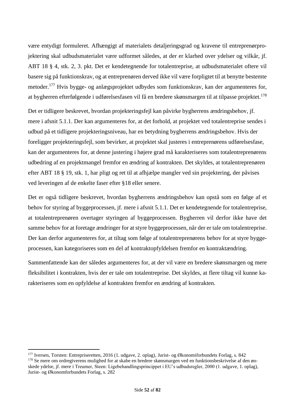være entydigt formuleret. Afhængigt af materialets detaljeringsgrad og kravene til entreprenørprojektering skal udbudsmaterialet være udformet således, at der er klarhed over ydelser og vilkår, jf. ABT 18 § 4, stk. 2, 3. pkt. Det er kendetegnende for totalentreprise, at udbudsmaterialet oftere vil basere sig på funktionskrav, og at entreprenøren derved ikke vil være forpligtet til at benytte bestemte metoder.<sup>177</sup> Hvis bygge- og anlægsprojektet udbydes som funktionskrav, kan der argumenteres for, at bygherren efterfølgende i udførelsesfasen vil få en bredere skønsmargen til at tilpasse projektet.<sup>178</sup>

Det er tidligere beskrevet, hvordan projekteringsfejl kan påvirke bygherrens ændringsbehov, jf. mere i afsnit 5.1.1. Der kan argumenteres for, at det forhold, at projektet ved totalentreprise sendes i udbud på et tidligere projekteringsniveau, har en betydning bygherrens ændringsbehov. Hvis der foreligger projekteringsfejl, som bevirker, at projektet skal justeres i entreprenørens udførelsesfase, kan der argumenteres for, at denne justering i højere grad må karakteriseres som totalentreprenørens udbedring af en projektmangel fremfor en ændring af kontrakten. Det skyldes, at totalentreprenøren efter ABT 18 § 19, stk. 1, har pligt og ret til at afhjælpe mangler ved sin projektering, der påvises ved leveringen af de enkelte faser efter §18 eller senere.

Det er også tidligere beskrevet, hvordan bygherrens ændringsbehov kan opstå som en følge af et behov for styring af byggeprocessen, jf. mere i afsnit 5.1.1. Det er kendetegnende for totalentreprise, at totalentreprenøren overtager styringen af byggeprocessen. Bygherren vil derfor ikke have det samme behov for at foretage ændringer for at styre byggeprocessen, når der er tale om totalentreprise. Der kan derfor argumenteres for, at tiltag som følge af totalentreprenørens behov for at styre byggeprocessen, kan kategoriseres som en del af kontraktopfyldelsen fremfor en kontraktændring.

Sammenfattende kan der således argumenteres for, at der vil være en bredere skønsmargen og mere fleksibilitet i kontrakten, hvis der er tale om totalentreprise. Det skyldes, at flere tiltag vil kunne karakteriseres som en opfyldelse af kontrakten fremfor en ændring af kontrakten.

<sup>177</sup> Iversen, Torsten: Entrepriseretten, 2016 (1. udgave, 2. oplag), Jurist- og Økonomiforbundets Forlag, s. 842 <sup>178</sup> Se mere om ordregiverens mulighed for at skabe en bredere skønsmargen ved en funktionsbeskrivelse af den ønskede ydelse, jf. mere i Treumer, Steen: Ligebehandlingsprincippet i EU's udbudsregler, 2000 (1. udgave, 1. oplag), Jurist- og Økonomforbundets Forlag, s. 282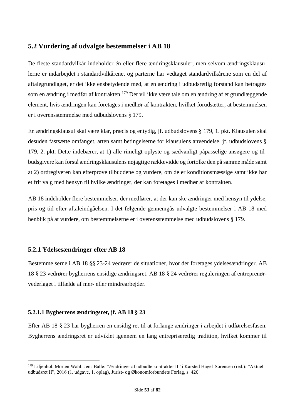# **5.2 Vurdering af udvalgte bestemmelser i AB 18**

De fleste standardvilkår indeholder én eller flere ændringsklausuler, men selvom ændringsklausulerne er indarbejdet i standardvilkårene, og parterne har vedtaget standardvilkårene som en del af aftalegrundlaget, er det ikke ensbetydende med, at en ændring i udbudsretlig forstand kan betragtes som en ændring i medfør af kontrakten.<sup>179</sup> Der vil ikke være tale om en ændring af et grundlæggende element, hvis ændringen kan foretages i medhør af kontrakten, hvilket forudsætter, at bestemmelsen er i overensstemmelse med udbudslovens § 179.

En ændringsklausul skal være klar, præcis og entydig, jf. udbudslovens § 179, 1. pkt. Klausulen skal desuden fastsætte omfanget, arten samt betingelserne for klausulens anvendelse, jf. udbudslovens § 179, 2. pkt. Dette indebærer, at 1) alle rimeligt oplyste og sædvanligt påpasselige ansøgere og tilbudsgivere kan forstå ændringsklausulens nøjagtige rækkevidde og fortolke den på samme måde samt at 2) ordregiveren kan efterprøve tilbuddene og vurdere, om de er konditionsmæssige samt ikke har et frit valg med hensyn til hvilke ændringer, der kan foretages i medhør af kontrakten.

AB 18 indeholder flere bestemmelser, der medfører, at der kan ske ændringer med hensyn til ydelse, pris og tid efter aftaleindgåelsen. I det følgende gennemgås udvalgte bestemmelser i AB 18 med henblik på at vurdere, om bestemmelserne er i overensstemmelse med udbudslovens § 179.

# **5.2.1 Ydelsesændringer efter AB 18**

Bestemmelserne i AB 18 §§ 23-24 vedrører de situationer, hvor der foretages ydelsesændringer. AB 18 § 23 vedrører bygherrens ensidige ændringsret. AB 18 § 24 vedrører reguleringen af entreprenørvederlaget i tilfælde af mer- eller mindrearbejder.

# **5.2.1.1 Bygherrens ændringsret, jf. AB 18 § 23**

Efter AB 18 § 23 har bygherren en ensidig ret til at forlange ændringer i arbejdet i udførelsesfasen. Bygherrens ændringsret er udviklet igennem en lang entrepriseretlig tradition, hvilket kommer til

<sup>179</sup> Liljenbøl, Morten Wahl; Jens Balle: "Ændringer af udbudte kontrakter II" i Karsted Hagel-Sørensen (red.): "Aktuel udbudsret II", 2016 (1. udgave, 1. oplag), Jurist- og Økonomforbundets Forlag, s. 426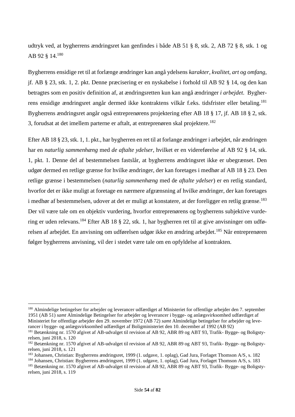udtryk ved, at bygherrens ændringsret kan genfindes i både AB 51 § 8, stk. 2, AB 72 § 8, stk. 1 og AB 92 § 14.<sup>180</sup>

Bygherrens ensidige ret til at forlænge ændringer kan angå ydelsens *karakter, kvalitet, art og omfang*, jf. AB § 23, stk. 1, 2. pkt. Denne præcisering er en nyskabelse i forhold til AB 92 § 14, og den kan betragtes som en positiv definition af, at ændringsretten kun kan angå ændringer *i arbejdet*. Bygherrens ensidige ændringsret angår dermed ikke kontraktens vilkår f.eks. tidsfrister eller betaling.<sup>181</sup> Bygherrens ændringsret angår også entreprenørens projektering efter AB 18 § 17, jf. AB 18 § 2, stk. 3, forudsat at det imellem parterne er aftalt, at entreprenøren skal projektere.<sup>182</sup>

Efter AB 18 § 23, stk. 1, 1. pkt., har bygherren en ret til at forlange ændringer i arbejdet, når ændringen har en *naturlig sammenhæng* med *de aftalte ydelser*, hvilket er en videreførelse af AB 92 § 14, stk. 1, pkt. 1. Denne del af bestemmelsen fastslår, at bygherrens ændringsret ikke er ubegrænset. Den udgør dermed en retlige grænse for hvilke ændringer, der kan foretages i medhør af AB 18 § 23. Den retlige grænse i bestemmelsen (*naturlig sammenhæng* med de *aftalte ydelser*) er en retlig standard, hvorfor det er ikke muligt at foretage en nærmere afgrænsning af hvilke ændringer, der kan foretages i medhør af bestemmelsen, udover at det er muligt at konstatere, at der foreligger en retlig grænse.<sup>183</sup> Der vil være tale om en objektiv vurdering, hvorfor entreprenørens og bygherrens subjektive vurdering er uden relevans.<sup>184</sup> Efter AB 18 § 22, stk. 1, har bygherren ret til at give anvisninger om udførelsen af arbejdet. En anvisning om udførelsen udgør ikke en ændring arbejdet.<sup>185</sup> Når entreprenøren følger bygherrens anvisning, vil der i stedet være tale om en opfyldelse af kontrakten.

<sup>&</sup>lt;sup>180</sup> Almindelige betingelser for arbejder og leverancer udfærdiget af Ministeriet for offentlige arbejder den 7. september 1951 (AB 51) *samt* Almindelige Betingelser for arbejder og leverancer i bygge- og anlægsvirksomhed udfærdiget af Ministeriet for offentlige arbejder den 29. november 1972 (AB 72) *samt* Almindelige betingelser for arbejder og leverancer i bygge- og anlægsvirksomhed udfærdiget af Boligministeriet den 10. december af 1992 (AB 92)

<sup>181</sup> Betænkning nr. 1570 afgivet af AB-udvalget til revision af AB 92, ABR 89 og ABT 93, Trafik- Bygge- og Boligstyrelsen, juni 2018, s. 120

<sup>182</sup> Betænkning nr. 1570 afgivet af AB-udvalget til revision af AB 92, ABR 89 og ABT 93, Trafik- Bygge- og Boligstyrelsen, juni 2018, s. 121

<sup>183</sup> Johansen, Christian: Bygherrens ændringsret, 1999 (1. udgave, 1. oplag), Gad Jura, Forlaget Thomson A/S, s. 182

<sup>184</sup> Johansen, Christian: Bygherrens ændringsret, 1999 (1. udgave, 1. oplag), Gad Jura, Forlaget Thomson A/S, s. 183

<sup>185</sup> Betænkning nr. 1570 afgivet af AB-udvalget til revision af AB 92, ABR 89 og ABT 93, Trafik- Bygge- og Boligstyrelsen, juni 2018, s. 119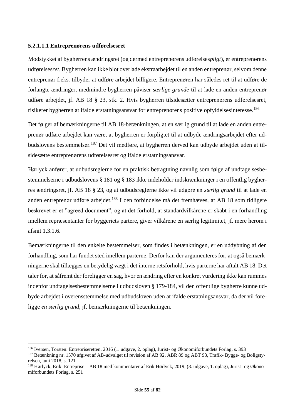#### **5.2.1.1.1 Entreprenørens udførelsesret**

Modstykket af bygherrens ændringsret (og dermed entreprenørens udførelses*pligt*), er entreprenørens udførelses*ret*. Bygherren kan ikke blot overlade ekstraarbejdet til en anden entreprenør, selvom denne entreprenør f.eks. tilbyder at udføre arbejdet billigere. Entreprenøren har således ret til at udføre de forlangte ændringer, medmindre bygherren påviser *særlige grunde* til at lade en anden entreprenør udføre arbejdet, jf. AB 18 § 23, stk. 2. Hvis bygherren tilsidesætter entreprenørens udførelsesret, risikerer bygherren at ifalde erstatningsansvar for entreprenørens positive opfyldelsesinteresse.<sup>186</sup>

Det følger af bemærkningerne til AB 18-betænkningen, at en særlig grund til at lade en anden entreprenør udføre arbejdet kan være, at bygherren er forpligtet til at udbyde ændringsarbejdet efter udbudslovens bestemmelser.<sup>187</sup> Det vil medføre, at bygherren derved kan udbyde arbejdet uden at tilsidesætte entreprenørens udførelsesret og ifalde erstatningsansvar.

Hørlyck anfører, at udbudsreglerne for en praktisk betragtning navnlig som følge af undtagelsesbestemmelserne i udbudslovens § 181 og § 183 ikke indeholder indskrænkninger i en offentlig bygherres ændringsret, jf. AB 18 § 23, og at udbudsreglerne ikke vil udgøre en *særlig grund* til at lade en anden entreprenør udføre arbejdet.<sup>188</sup> I den forbindelse må det fremhæves, at AB 18 som tidligere beskrevet er et "agreed document", og at det forhold, at standardvilkårene er skabt i en forhandling imellem repræsentanter for byggeriets partere, giver vilkårene en særlig legitimitet, jf. mere herom i afsnit 1.3.1.6.

Bemærkningerne til den enkelte bestemmelser, som findes i betænkningen, er en uddybning af den forhandling, som har fundet sted imellem parterne. Derfor kan der argumenteres for, at også bemærkningerne skal tillægges en betydelig vægt i det interne retsforhold, hvis parterne har aftalt AB 18. Det taler for, at såfremt der foreligger en sag, hvor en ændring efter en konkret vurdering ikke kan rummes indenfor undtagelsesbestemmelserne i udbudsloven § 179-184, vil den offentlige bygherre kunne udbyde arbejdet i overensstemmelse med udbudsloven uden at ifalde erstatningsansvar, da der vil foreligge *en særlig grund*, jf. bemærkningerne til betænkningen.

<sup>186</sup> Iversen, Torsten: Entrepriseretten, 2016 (1. udgave, 2. oplag), Jurist- og Økonomiforbundets Forlag, s. 393

<sup>187</sup> Betænkning nr. 1570 afgivet af AB-udvalget til revision af AB 92, ABR 89 og ABT 93, Trafik- Bygge- og Boligstyrelsen, juni 2018, s. 121

<sup>188</sup> Hørlyck, Erik: Entreprise – AB 18 med kommentarer af Erik Hørlyck, 2019, (8. udgave, 1. oplag), Jurist- og Økonomiforbundets Forlag, s. 251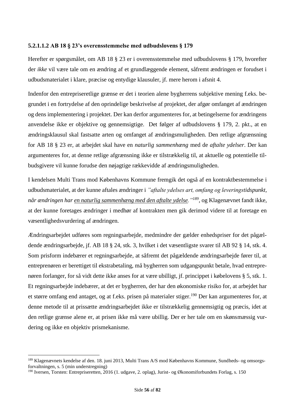#### **5.2.1.1.2 AB 18 § 23's overensstemmelse med udbudslovens § 179**

Herefter er spørgsmålet, om AB 18 § 23 er i overensstemmelse med udbudslovens § 179, hvorefter der *ikke* vil være tale om en ændring af et grundlæggende element, såfremt ændringen er forudset i udbudsmaterialet i klare, præcise og entydige klausuler, jf. mere herom i afsnit 4.

Indenfor den entrepriseretlige grænse er det i teorien alene bygherrens subjektive mening f.eks. begrundet i en fortrydelse af den oprindelige beskrivelse af projektet, der afgør omfanget af ændringen og dens implementering i projektet. Der kan derfor argumenteres for, at betingelserne for ændringens anvendelse ikke er objektive og gennemsigtige. Det følger af udbudslovens § 179, 2. pkt., at en ændringsklausul skal fastsatte arten og omfanget af ændringsmuligheden. Den retlige afgrænsning for AB 18 § 23 er, at arbejdet skal have en *naturlig sammenhæng* med de *aftalte ydelser*. Der kan argumenteres for, at denne retlige afgrænsning ikke er tilstrækkelig til, at aktuelle og potentielle tilbudsgivere vil kunne forudse den nøjagtige rækkevidde af ændringsmuligheden.

I kendelsen Multi Trans mod Københavns Kommune fremgik det også af en kontraktbestemmelse i udbudsmaterialet, at der kunne aftales ændringer i *"aftalte ydelses art, omfang og leveringstidspunkt, når ændringen har en naturlig sammenhæng med den aftalte ydelse."<sup>189</sup>*, og Klagenævnet fandt ikke, at der kunne foretages ændringer i medhør af kontrakten men gik derimod videre til at foretage en væsentlighedsvurdering af ændringen.

Ændringsarbejdet udføres som regningsarbejde, medmindre der gælder enhedspriser for det pågældende ændringsarbejde, jf. AB 18 § 24, stk. 3, hvilket i det væsentligste svarer til AB 92 § 14, stk. 4. Som prisform indebærer et regningsarbejde, at såfremt det pågældende ændringsarbejde fører til, at entreprenøren er berettiget til ekstrabetaling, må bygherren som udgangspunkt betale, hvad entreprenøren forlanger, for så vidt dette ikke anses for at være ubilligt, jf. princippet i købelovens § 5, stk. 1. Et regningsarbejde indebærer, at det er bygherren, der har den økonomiske risiko for, at arbejdet har et større omfang end antaget, og at f.eks. prisen på materialer stiger.<sup>190</sup> Der kan argumenteres for, at denne metode til at prissætte ændringsarbejdet ikke er tilstrækkelig gennemsigtig og præcis, idet at den retlige grænse alene er, at prisen ikke må være ubillig. Der er her tale om en skønsmæssig vurdering og ikke en objektiv prismekanisme.

<sup>&</sup>lt;sup>189</sup> Klagenævnets kendelse af den. 18. juni 2013, Multi Trans A/S mod Københavns Kommune, Sundheds- og omsorgsforvaltningen, s. 5 (min understregning)

<sup>190</sup> Iversen, Torsten: Entrepriseretten, 2016 (1. udgave, 2. oplag), Jurist- og Økonomiforbundets Forlag, s. 150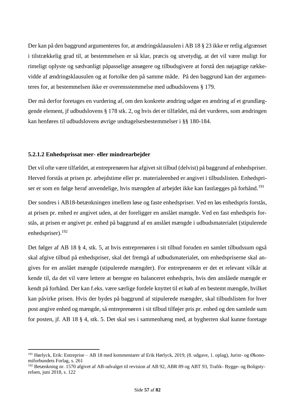Der kan på den baggrund argumenteres for, at ændringsklausulen i AB 18 § 23 ikke er retlig afgrænset i tilstrækkelig grad til, at bestemmelsen er så klar, præcis og utvetydig, at det vil være muligt for rimeligt oplyste og sædvanligt påpasselige ansøgere og tilbudsgivere at forstå den nøjagtige rækkevidde af ændringsklausulen og at fortolke den på samme måde. På den baggrund kan der argumenteres for, at bestemmelsen ikke er overensstemmelse med udbudslovens § 179.

Der må derfor foretages en vurdering af, om den konkrete ændring udgør en ændring af et grundlæggende element, jf udbudslovens § 178 stk. 2, og hvis det er tilfældet, må det vurderes, som ændringen kan henføres til udbudslovens øvrige undtagelsesbestemmelser i §§ 180-184.

#### **5.2.1.2 Enhedsprissat mer- eller mindrearbejder**

Det vil ofte være tilfældet, at entreprenøren har afgivet sit tilbud (delvist) på baggrund af enhedspriser. Herved forstås at prisen pr. arbejdstime eller pr. materialeenhed er angivet i tilbudslisten. Enhedspriser er som en følge heraf anvendelige, hvis mængden af arbejdet ikke kan fastlægges på forhånd.<sup>191</sup>

Der sondres i AB18-betænkningen imellem løse og faste enhedspriser. Ved en løs enhedspris forstås, at prisen pr. enhed er angivet uden, at der foreligger en anslået mængde. Ved en fast enhedspris forstås, at prisen er angivet pr. enhed på baggrund af en anslået mængde i udbudsmaterialet (stipulerede enhedspriser).<sup>192</sup>

Det følger af AB 18 § 4, stk. 5, at hvis entreprenøren i sit tilbud foruden en samlet tilbudssum også skal afgive tilbud på enhedspriser, skal det fremgå af udbudsmaterialet, om enhedspriserne skal angives for en anslået mængde (stipulerede mængder). For entreprenøren er det et relevant vilkår at kende til, da det vil være lettere at beregne en balanceret enhedspris, hvis den anslåede mængde er kendt på forhånd. Der kan f.eks. være særlige fordele knyttet til et køb af en bestemt mængde, hvilket kan påvirke prisen. Hvis der bydes på baggrund af stipulerede mængder, skal tilbudslisten for hver post angive enhed og mængde, så entreprenøren i sit tilbud tilføjer pris pr. enhed og den samlede sum for posten, jf. AB 18 § 4, stk. 5. Det skal ses i sammenhæng med, at bygherren skal kunne foretage

<sup>&</sup>lt;sup>191</sup> Hørlyck, Erik: Entreprise – AB 18 med kommentarer af Erik Hørlyck, 2019, (8. udgave, 1. oplag), Jurist- og Økonomiforbundets Forlag, s. 261

<sup>192</sup> Betænkning nr. 1570 afgivet af AB-udvalget til revision af AB 92, ABR 89 og ABT 93, Trafik- Bygge- og Boligstyrelsen, juni 2018, s. 122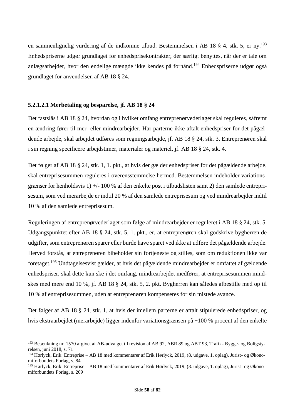en sammenlignelig vurdering af de indkomne tilbud. Bestemmelsen i AB 18 § 4, stk. 5, er ny.<sup>193</sup> Enhedspriserne udgør grundlaget for enhedsprisekontrakter, der særligt benyttes, når der er tale om anlægsarbejder, hvor den endelige mængde ikke kendes på forhånd.<sup>194</sup> Enhedspriserne udgør også grundlaget for anvendelsen af AB 18 § 24.

#### **5.2.1.2.1 Merbetaling og besparelse, jf. AB 18 § 24**

Det fastslås i AB 18 § 24, hvordan og i hvilket omfang entreprenørvederlaget skal reguleres, såfremt en ændring fører til mer- eller mindrearbejder. Har parterne ikke aftalt enhedspriser for det pågældende arbejde, skal arbejdet udføres som regningsarbejde, jf. AB 18 § 24, stk. 3. Entreprenøren skal i sin regning specificere arbejdstimer, materialer og materiel, jf. AB 18 § 24, stk. 4.

Det følger af AB 18 § 24, stk. 1, 1. pkt., at hvis der gælder enhedspriser for det pågældende arbejde, skal entreprisesummen reguleres i overensstemmelse hermed. Bestemmelsen indeholder variationsgrænser for henholdsvis 1) +/- 100 % af den enkelte post i tilbudslisten samt 2) den samlede entreprisesum, som ved merarbejde er indtil 20 % af den samlede entreprisesum og ved mindrearbejder indtil 10 % af den samlede entreprisesum.

Reguleringen af entreprenørvederlaget som følge af mindrearbejder er reguleret i AB 18 § 24, stk. 5. Udgangspunktet efter AB 18 § 24, stk. 5, 1. pkt., er, at entreprenøren skal godskrive bygherren de udgifter, som entreprenøren sparer eller burde have sparet ved ikke at udføre det pågældende arbejde. Herved forstås, at entreprenøren bibeholder sin fortjeneste og stilles, som om reduktionen ikke var foretaget.<sup>195</sup> Undtagelsesvist gælder, at hvis det pågældende mindrearbejder er omfattet af gældende enhedspriser, skal dette kun ske i det omfang, mindrearbejdet medfører, at entreprisesummen mindskes med mere end 10 %, jf. AB 18 § 24, stk. 5, 2. pkt. Bygherren kan således afbestille med op til 10 % af entreprisesummen, uden at entreprenøren kompenseres for sin mistede avance.

Det følger af AB 18 § 24, stk. 1, at hvis der imellem parterne er aftalt stipulerede enhedspriser, og hvis ekstraarbejdet (merarbejde) ligger indenfor variationsgrænsen på +100 % procent af den enkelte

<sup>&</sup>lt;sup>193</sup> Betænkning nr. 1570 afgivet af AB-udvalget til revision af AB 92, ABR 89 og ABT 93, Trafik- Bygge- og Boligstyrelsen, juni 2018, s. 71

<sup>194</sup> Hørlyck, Erik: Entreprise – AB 18 med kommentarer af Erik Hørlyck, 2019, (8. udgave, 1. oplag), Jurist- og Økonomiforbundets Forlag, s. 84

<sup>195</sup> Hørlyck, Erik: Entreprise – AB 18 med kommentarer af Erik Hørlyck, 2019, (8. udgave, 1. oplag), Jurist- og Økonomiforbundets Forlag, s. 269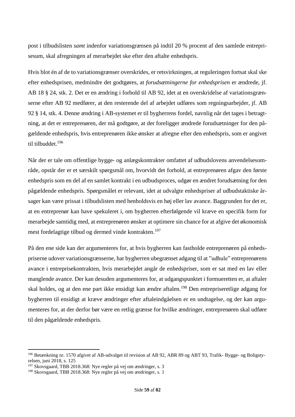post i tilbudslisten *samt* indenfor variationsgrænsen på indtil 20 % procent af den samlede entreprisesum, skal afregningen af merarbejdet ske efter den aftalte enhedspris.

Hvis blot én af de to variationsgrænser overskrides, er retsvirkningen, at reguleringen fortsat skal ske efter enhedsprisen, medmindre det godtgøres, at *forudsætningerne for enhedsprisen* er ændrede, jf. AB 18 § 24, stk. 2. Det er en ændring i forhold til AB 92, idet at en overskridelse af variationsgrænserne efter AB 92 medfører, at den resterende del af arbejdet udføres som regningsarbejder, jf. AB 92 § 14, stk. 4. Denne ændring i AB-systemet er til bygherrens fordel, navnlig når det tages i betragtning, at det er entreprenøren, der må godtgøre, at der foreligger ændrede forudsætninger for den pågældende enhedspris, hvis entreprenøren ikke ønsker at afregne efter den enhedspris, som er angivet til tilbuddet. 196

Når der er tale om offentlige bygge- og anlægskontrakter omfattet af udbudslovens anvendelsesområde, opstår der er et særskilt spørgsmål om, hvorvidt det forhold, at entreprenøren afgav den første enhedspris som en del af en samlet kontrakt i en udbudsproces, udgør en ændret forudsætning for den pågældende enhedspris. Spørgsmålet er relevant, idet at udvalgte enhedspriser af udbudstaktiske årsager kan være prissat i tilbudslisten med henholdsvis en høj eller lav avance. Baggrunden for det er, at en entreprenør kan have spekuleret i, om bygherren efterfølgende vil kræve en specifik form for merarbejde samtidig med, at entreprenøren ønsker at optimere sin chance for at afgive det økonomisk mest fordelagtige tilbud og dermed vinde kontrakten. 197

På den ene side kan der argumenteres for, at hvis bygherren kan fastholde entreprenøren på enhedspriserne udover variationsgrænserne, har bygherren ubegrænset adgang til at "udhule" entreprenørens avance i entreprisekontrakten, hvis merarbejdet angår de enhedspriser, som er sat med en lav eller manglende avance. Der kan desuden argumenteres for, at udgangspunktet i formueretten er, at aftaler skal holdes, og at den ene part ikke ensidigt kan ændre aftalen.<sup>198</sup> Den entrepriseretlige adgang for bygherren til ensidigt at kræve ændringer efter aftaleindgåelsen er en undtagelse, og der kan argumenteres for, at der derfor bør være en retlig grænse for hvilke ændringer, entreprenøren skal udføre til den pågældende enhedspris.

<sup>196</sup> Betænkning nr. 1570 afgivet af AB-udvalget til revision af AB 92, ABR 89 og ABT 93, Trafik- Bygge- og Boligstyrelsen, juni 2018, s. 125

<sup>197</sup> Skovsgaard, TBB 2018.368: Nye regler på vej om ændringer, s. 3

<sup>198</sup> Skovsgaard, TBB 2018.368: Nye regler på vej om ændringer, s. 1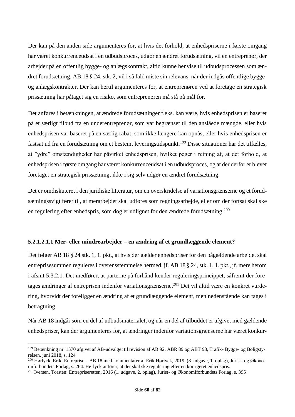Der kan på den anden side argumenteres for, at hvis det forhold, at enhedspriserne i første omgang har været konkurrenceudsat i en udbudsproces, udgør en ændret forudsætning, vil en entreprenør, der arbejder på en offentlig bygge- og anlægskontrakt, altid kunne henvise til udbudsprocessen som ændret forudsætning. AB 18 § 24, stk. 2, vil i så fald miste sin relevans, når der indgås offentlige byggeog anlægskontrakter. Der kan hertil argumenteres for, at entreprenøren ved at foretage en strategisk prissætning har påtaget sig en risiko, som entreprenøren må stå på mål for.

Det anføres i betænkningen, at ændrede forudsætninger f.eks. kan være, hvis enhedsprisen er baseret på et særligt tilbud fra en underentreprenør, som var begrænset til den anslåede mængde, eller hvis enhedsprisen var baseret på en særlig rabat, som ikke længere kan opnås, eller hvis enhedsprisen er fastsat ud fra en forudsætning om et bestemt leveringstidspunkt.<sup>199</sup> Disse situationer har det tilfælles, at "ydre" omstændigheder har påvirket enhedsprisen, hvilket peger i retning af, at det forhold, at enhedsprisen i første omgang har været konkurrenceudsat i en udbudsproces, og at der derfor er blevet foretaget en strategisk prissætning, ikke i sig selv udgør en ændret forudsætning.

Det er omdiskuteret i den juridiske litteratur, om en overskridelse af variationsgrænserne og et forudsætningssvigt fører til, at merarbejdet skal udføres som regningsarbejde, eller om der fortsat skal ske en regulering efter enhedspris, som dog er udlignet for den ændrede forudsætning.<sup>200</sup>

# **5.2.1.2.1.1 Mer- eller mindrearbejder – en ændring af et grundlæggende element?**

Det følger AB 18 § 24 stk. 1, 1. pkt., at hvis der gælder enhedspriser for den pågældende arbejde, skal entreprisesummen reguleres i overensstemmelse hermed, jf. AB 18 § 24, stk. 1, 1. pkt., jf. mere herom i afsnit 5.3.2.1. Det medfører, at parterne på forhånd kender reguleringsprincippet, såfremt der foretages ændringer af entreprisen indenfor variationsgrænserne. <sup>201</sup> Det vil altid være en konkret vurdering, hvorvidt der foreligger en ændring af et grundlæggende element, men nedenstående kan tages i betragtning.

Når AB 18 indgår som en del af udbudsmaterialet, og når en del af tilbuddet er afgivet med gældende enhedspriser, kan der argumenteres for, at ændringer indenfor variationsgrænserne har været konkur-

<sup>199</sup> Betænkning nr. 1570 afgivet af AB-udvalget til revision af AB 92, ABR 89 og ABT 93, Trafik- Bygge- og Boligstyrelsen, juni 2018, s. 124

<sup>200</sup> Hørlyck, Erik: Entreprise – AB 18 med kommentarer af Erik Hørlyck, 2019, (8. udgave, 1. oplag), Jurist- og Økonomiforbundets Forlag, s. 264. Hørlyck anfører, at der skal ske regulering efter en korrigeret enhedspris.

<sup>201</sup> Iversen, Torsten: Entrepriseretten, 2016 (1. udgave, 2. oplag), Jurist- og Økonomiforbundets Forlag, s. 395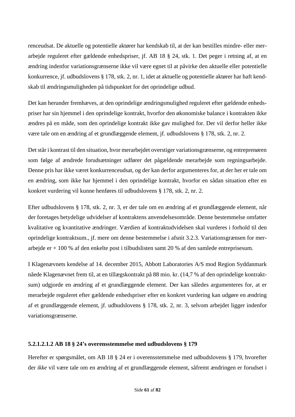renceudsat. De aktuelle og potentielle aktører har kendskab til, at der kan bestilles mindre- eller merarbejde reguleret efter gældende enhedspriser, jf. AB 18 § 24, stk. 1. Det peger i retning af, at en ændring indenfor variationsgrænserne ikke vil være egnet til at påvirke den aktuelle eller potentielle konkurrence, jf. udbudslovens § 178, stk. 2, nr. 1, idet at aktuelle og potentielle aktører har haft kendskab til ændringsmuligheden på tidspunktet for det oprindelige udbud.

Det kan herunder fremhæves, at den oprindelige ændringsmulighed reguleret efter gældende enhedspriser har sin hjemmel i den oprindelige kontrakt, hvorfor den økonomiske balance i kontrakten ikke ændres på en måde, som den oprindelige kontrakt ikke gav mulighed for. Der vil derfor heller ikke være tale om en ændring af et grundlæggende element, jf. udbudslovens § 178, stk. 2, nr. 2.

Det står i kontrast til den situation, hvor merarbejdet overstiger variationsgrænserne, og entreprenøren som følge af ændrede forudsætninger udfører det pågældende merarbejde som regningsarbejde. Denne pris har ikke været konkurrenceudsat, og der kan derfor argumenteres for, at der her er tale om en ændring, som ikke har hjemmel i den oprindelige kontrakt, hvorfor en sådan situation efter en konkret vurdering vil kunne henføres til udbudslovens § 178, stk. 2, nr. 2.

Efter udbudslovens § 178, stk. 2, nr. 3, er der tale om en ændring af et grundlæggende element, når der foretages betydelige udvidelser af kontraktens anvendelsesområde. Denne bestemmelse omfatter kvalitative og kvantitative ændringer. Værdien af kontraktudvidelsen skal vurderes i forhold til den oprindelige kontraktsum., jf. mere om denne bestemmelse i afsnit 3.2.3. Variationsgrænsen for merarbejde er + 100 % af den enkelte post i tilbudslisten samt 20 % af den samlede entreprisesum.

I Klagenævnets kendelse af 14. december 2015, Abbott Laboratories A/S mod Region Syddanmark nåede Klagenævnet frem til, at en tillægskontrakt på 88 mio. kr. (14,7 % af den oprindelige kontraktsum) udgjorde en ændring af et grundlæggende element. Der kan således argumenteres for, at er merarbejde reguleret efter gældende enhedspriser efter en konkret vurdering kan udgøre en ændring af et grundlæggende element, jf. udbudslovens § 178, stk. 2, nr. 3, selvom arbejdet ligger indenfor variationsgrænserne.

# **5.2.1.2.1.2 AB 18 § 24's overensstemmelse med udbudslovens § 179**

Herefter er spørgsmålet, om AB 18 § 24 er i overensstemmelse med udbudslovens § 179, hvorefter der *ikke* vil være tale om en ændring af et grundlæggende element, såfremt ændringen er forudset i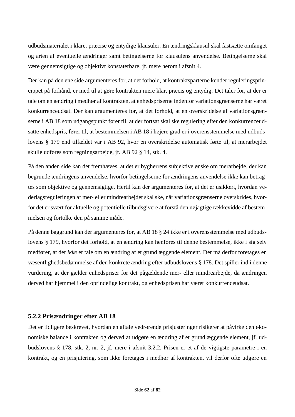udbudsmaterialet i klare, præcise og entydige klausuler. En ændringsklausul skal fastsætte omfanget og arten af eventuelle ændringer samt betingelserne for klausulens anvendelse. Betingelserne skal være gennemsigtige og objektivt konstaterbare, jf. mere herom i afsnit 4.

Der kan på den ene side argumenteres for, at det forhold, at kontraktsparterne kender reguleringsprincippet på forhånd, er med til at gøre kontrakten mere klar, præcis og entydig. Det taler for, at der er tale om en ændring i medhør af kontrakten, at enhedspriserne indenfor variationsgrænserne har været konkurrenceudsat. Der kan argumenteres for, at det forhold, at en overskridelse af variationsgrænserne i AB 18 som udgangspunkt fører til, at der fortsat skal ske regulering efter den konkurrenceudsatte enhedspris, fører til, at bestemmelsen i AB 18 i højere grad er i overensstemmelse med udbudslovens § 179 end tilfældet var i AB 92, hvor en overskridelse automatisk førte til, at merarbejdet skulle udføres som regningsarbejde, jf. AB 92 § 14, stk. 4.

På den anden side kan det fremhæves, at det er bygherrens subjektive ønske om merarbejde, der kan begrunde ændringens anvendelse, hvorfor betingelserne for ændringens anvendelse ikke kan betragtes som objektive og gennemsigtige. Hertil kan der argumenteres for, at det er usikkert, hvordan vederlagsreguleringen af mer- eller mindrearbejdet skal ske, når variationsgrænserne overskrides, hvorfor det er svært for aktuelle og potentielle tilbudsgivere at forstå den nøjagtige rækkevidde af bestemmelsen og fortolke den på samme måde.

På denne baggrund kan der argumenteres for, at AB 18 § 24 ikke er i overensstemmelse med udbudslovens § 179, hvorfor det forhold, at en ændring kan henføres til denne bestemmelse, ikke i sig selv medfører, at der *ikke* er tale om en ændring af et grundlæggende element. Der må derfor foretages en væsentlighedsbedømmelse af den konkrete ændring efter udbudslovens § 178. Det spiller ind i denne vurdering, at der gælder enhedspriser for det pågældende mer- eller mindrearbejde, da ændringen derved har hjemmel i den oprindelige kontrakt, og enhedsprisen har været konkurrenceudsat.

#### **5.2.2 Prisændringer efter AB 18**

Det er tidligere beskrevet, hvordan en aftale vedrørende prisjusteringer risikerer at påvirke den økonomiske balance i kontrakten og derved at udgøre en ændring af et grundlæggende element, jf. udbudslovens § 178, stk. 2, nr. 2, jf. mere i afsnit 3.2.2. Prisen er et af de vigtigste parametre i en kontrakt, og en prisjutering, som ikke foretages i medhør af kontrakten, vil derfor ofte udgøre en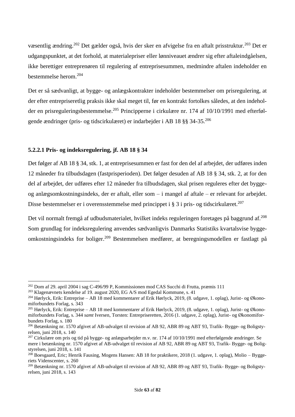væsentlig ændring.<sup>202</sup> Det gælder også, hvis der sker en afvigelse fra en aftalt prisstruktur.<sup>203</sup> Det er udgangspunktet, at det forhold, at materialepriser eller lønniveauet ændrer sig efter aftaleindgåelsen, ikke berettiger entreprenøren til regulering af entreprisesummen, medmindre aftalen indeholder en bestemmelse herom.<sup>204</sup>

Det er så sædvanligt, at bygge- og anlægskontrakter indeholder bestemmelser om prisregulering, at der efter entrepriseretlig praksis ikke skal meget til, før en kontrakt fortolkes således, at den indeholder en prisreguleringsbestemmelse.<sup>205</sup> Principperne i cirkulære nr. 174 af 10/10/1991 med efterfølgende ændringer (pris- og tidscirkulæret) er indarbejder i AB 18 §§ 34-35.<sup>206</sup>

## **5.2.2.1 Pris- og indeksregulering, jf. AB 18 § 34**

Det følger af AB 18 § 34, stk. 1, at entreprisesummen er fast for den del af arbejdet, der udføres inden 12 måneder fra tilbudsdagen (fastprisperioden). Det følger desuden af AB 18 § 34, stk. 2, at for den del af arbejdet, der udføres efter 12 måneder fra tilbudsdagen, skal prisen reguleres efter det byggeog anlægsomkostningsindeks, der er aftalt, eller som – i mangel af aftale – er relevant for arbejdet. Disse bestemmelser er i overensstemmelse med princippet i § 3 i pris- og tidscirkulæret.<sup>207</sup>

Det vil normalt fremgå af udbudsmaterialet, hvilket indeks reguleringen foretages på baggrund af.<sup>208</sup> Som grundlag for indeksregulering anvendes sædvanligvis Danmarks Statistiks kvartalsvise byggeomkostningsindeks for boliger. <sup>209</sup> Bestemmelsen medfører, at beregningsmodellen er fastlagt på

<sup>202</sup> Dom af 29. april 2004 i sag C-496/99 P, Kommissionen mod CAS Succhi di Frutta, præmis 111

<sup>203</sup> Klagenævnets kendelse af 19. august 2020, EG A/S mod Egedal Kommune, s. 41

<sup>&</sup>lt;sup>204</sup> Hørlyck, Erik: Entreprise – AB 18 med kommentarer af Erik Hørlyck, 2019, (8. udgave, 1. oplag), Jurist- og Økonomiforbundets Forlag, s. 343

<sup>&</sup>lt;sup>205</sup> Hørlyck, Erik: Entreprise – AB 18 med kommentarer af Erik Hørlyck, 2019, (8. udgave, 1. oplag), Jurist- og Økonomiforbundets Forlag, s. 344 *samt* Iversen, Torsten: Entrepriseretten, 2016 (1. udgave, 2. oplag), Jurist- og Økonomiforbundets Forlag, s. 180

<sup>206</sup> Betænkning nr. 1570 afgivet af AB-udvalget til revision af AB 92, ABR 89 og ABT 93, Trafik- Bygge- og Boligstyrelsen, juni 2018, s. 140

<sup>&</sup>lt;sup>207</sup> Cirkulære om pris og tid på bygge- og anlægsarbejder m.v. nr. 174 af  $10/10/1991$  med efterfølgende ændringer. Se mere i betænkning nr. 1570 afgivet af AB-udvalget til revision af AB 92, ABR 89 og ABT 93, Trafik- Bygge- og Boligstyrelsen, juni 2018, s. 141

<sup>&</sup>lt;sup>208</sup> Boesgaard, Eric; Henrik Fausing, Mogens Hansen: AB 18 for praktikere, 2018 (1. udgave, 1. oplag), Molio – Byggeriets Videnscenter, s. 260

<sup>209</sup> Betænkning nr. 1570 afgivet af AB-udvalget til revision af AB 92, ABR 89 og ABT 93, Trafik- Bygge- og Boligstyrelsen, juni 2018, s. 143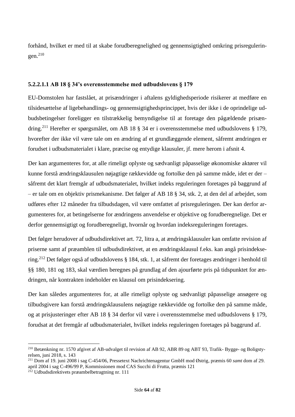forhånd, hvilket er med til at skabe forudberegnelighed og gennemsigtighed omkring prisreguleringen. 210

## **5.2.2.1.1 AB 18 § 34's overensstemmelse med udbudslovens § 179**

EU-Domstolen har fastslået, at prisændringer i aftalens gyldighedsperiode risikerer at medføre en tilsidesættelse af ligebehandlings- og gennemsigtighedsprincippet, hvis der ikke i de oprindelige udbudsbetingelser foreligger en tilstrækkelig bemyndigelse til at foretage den pågældende prisændring.<sup>211</sup> Herefter er spørgsmålet, om AB 18 § 34 er i overensstemmelse med udbudslovens § 179, hvorefter der ikke vil være tale om en ændring af et grundlæggende element, såfremt ændringen er forudset i udbudsmaterialet i klare, præcise og entydige klausuler, jf. mere herom i afsnit 4.

Der kan argumenteres for, at alle rimeligt oplyste og sædvanligt påpasselige økonomiske aktører vil kunne forstå ændringsklausulen nøjagtige rækkevidde og fortolke den på samme måde, idet er der – såfremt det klart fremgår af udbudsmaterialet, hvilket indeks reguleringen foretages på baggrund af – er tale om en objektiv prismekanisme. Det følger af AB 18 § 34, stk. 2, at den del af arbejdet, som udføres efter 12 måneder fra tilbudsdagen, vil være omfattet af prisreguleringen. Der kan derfor argumenteres for, at betingelserne for ændringens anvendelse er objektive og forudberegnelige. Det er derfor gennemsigtigt og forudberegneligt, hvornår og hvordan indeksreguleringen foretages.

Det følger herudover af udbudsdirektivet art. 72, litra a, at ændringsklausuler kan omfatte revision af priserne samt af præamblen til udbudsdirektivet, at en ændringsklausul f.eks. kan angå prisindeksering.<sup>212</sup> Det følger også af udbudslovens § 184, stk. 1, at såfremt der foretages ændringer i henhold til §§ 180, 181 og 183, skal værdien beregnes på grundlag af den ajourførte pris på tidspunktet for ændringen, når kontrakten indeholder en klausul om prisindeksering.

Der kan således argumenteres for, at alle rimeligt oplyste og sædvanligt påpasselige ansøgere og tilbudsgivere kan forstå ændringsklausulens nøjagtige rækkevidde og fortolke den på samme måde, og at prisjusteringer efter AB 18 § 34 derfor vil være i overensstemmelse med udbudslovens § 179, forudsat at det fremgår af udbudsmaterialet, hvilket indeks reguleringen foretages på baggrund af.

<sup>210</sup> Betænkning nr. 1570 afgivet af AB-udvalget til revision af AB 92, ABR 89 og ABT 93, Trafik- Bygge- og Boligstyrelsen, juni 2018, s. 143

<sup>211</sup> Dom af 19. juni 2008 i sag C-454/06, Pressetext Nachrichtenagentur GmbH mod Østrig, præmis 60 *samt* dom af 29. april 2004 i sag C-496/99 P, Kommissionen mod CAS Succhi di Frutta, præmis 121

<sup>212</sup> Udbudsdirektivets præambelbetragtning nr. 111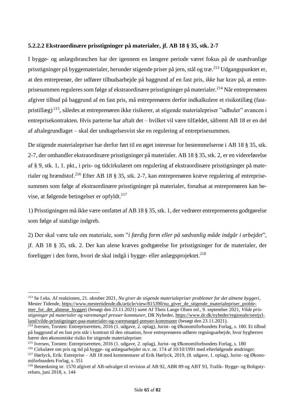## **5.2.2.2 Ekstraordinære prisstigninger på materialer, jf. AB 18 § 35, stk. 2-7**

I bygge- og anlægsbranchen har der igennem en længere periode været fokus på de usædvanlige prisstigninger på byggematerialer, herunder stigende priser på jern, stål og træ.<sup>213</sup> Udgangspunktet er, at den entreprenør, der udfører tilbudsarbejde på baggrund af en fast pris, *ikke* har krav på, at entreprisesummen reguleres som følge af ekstraordinære prisstigninger på materialer.<sup>214</sup> Når entreprenøren afgiver tilbud på baggrund af en fast pris, må entreprenøren derfor indkalkulere et risikotillæg (fastpristillæg) <sup>215</sup>, således at entreprenøren ikke risikerer, at stigende materialepriser "udhuler" avancen i entreprisekontrakten. Hvis parterne har aftalt det – hvilket vil være tilfældet, såfremt AB 18 er en del af aftalegrundlaget – skal der undtagelsesvist ske en regulering af entreprisesummen.

De stigende materialepriser har derfor ført til en øget interesse for bestemmelserne i AB 18 § 35, stk. 2-7, der omhandler ekstraordinære prisstigninger på materialer. AB 18 § 35, stk. 2, er en videreførelse af § 9, stk. 1, 1. pkt., i pris- og tidcirkulæret om regulering af ekstraordinære prisstigninger på materialer og brændstof.<sup>216</sup> Efter AB 18 § 35, stk. 2-7, kan entreprenøren kræve regulering af entreprisesummen som følge af ekstraordinære prisstigninger på materialer, forudsat at entreprenøren kan bevise, at følgende betingelser er opfyldt. 217

1) Prisstigningen må ikke være omfattet af AB 18 § 35, stk. 1, der vedrører entreprenørens godtgørelse som følge af statslige indgreb.

2) Der skal være tale om materiale, som "*i færdig form eller på sædvanlig måde indgår i arbejdet*", jf. AB 18 § 35, stk. 2. Der kan alene kræves godtgørelse for prisstigninger for de materialer, der foreligger i den form, hvori de skal indgå i bygge- eller anlægsprojektet. 218

<sup>213</sup> Se f.eks. Af reaktionen, 21. oktober 2021, *Nu giver de stigende materialepriser problemer for det almene byggeri*, Mester Tidende[, https://www.mestertidende.dk/article/view/815390/nu\\_giver\\_de\\_stigende\\_materialepriser\\_proble](https://www.mestertidende.dk/article/view/815390/nu_giver_de_stigende_materialepriser_problemer_for_det_almene_byggeri)[mer\\_for\\_det\\_almene\\_byggeri](https://www.mestertidende.dk/article/view/815390/nu_giver_de_stigende_materialepriser_problemer_for_det_almene_byggeri) (besøgt den 23.11.2021) *samt* Af Theis Lange Olsen mf., 9. september 2021, *Vilde prisstigninger på materialer og varemangel presser kommuner*, DR Nyheder, [https://www.dr.dk/nyheder/regionale/oestjyl](https://www.dr.dk/nyheder/regionale/oestjylland/vilde-prisstigninger-paa-materialer-og-varemangel-presser-kommuner)[land/vilde-prisstigninger-paa-materialer-og-varemangel-presser-kommuner](https://www.dr.dk/nyheder/regionale/oestjylland/vilde-prisstigninger-paa-materialer-og-varemangel-presser-kommuner) (besøgt den 23.11.2021).

<sup>214</sup> Iversen, Torsten: Entrepriseretten, 2016 (1. udgave, 2. oplag), Jurist- og Økonomiforbundets Forlag, s. 180. Et tilbud på baggrund af en fast pris står i kontrast til den situation, hvor entreprenøren udfører regningsarbejde, hvor bygherren bærer den økonomiske risiko for stigende materialepriser.

<sup>215</sup> Iversen, Torsten: Entrepriseretten, 2016 (1. udgave, 2. oplag), Jurist- og Økonomiforbundets Forlag, s. 180

<sup>216</sup> Cirkulære om pris og tid på bygge- og anlægsarbejder m.v. nr. 174 af 10/10/1991 med efterfølgende ændringer.

<sup>217</sup> Hørlyck, Erik: Entreprise – AB 18 med kommentarer af Erik Hørlyck, 2019, (8. udgave, 1. oplag), Jurist- og Økonomiforbundets Forlag, s. 351

<sup>218</sup> Betænkning nr. 1570 afgivet af AB-udvalget til revision af AB 92, ABR 89 og ABT 93, Trafik- Bygge- og Boligstyrelsen, juni 2018, s. 144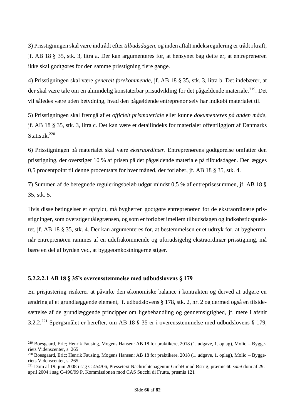3) Prisstigningen skal være indtrådt efter *tilbudsdagen*, og inden aftalt indeksregulering er trådt i kraft, jf. AB 18 § 35, stk. 3, litra a. Der kan argumenteres for, at hensynet bag dette er, at entreprenøren ikke skal godtgøres for den samme prisstigning flere gange.

4) Prisstigningen skal være *generelt forekommende*, jf. AB 18 § 35, stk. 3, litra b. Det indebærer, at der skal være tale om en almindelig konstaterbar prisudvikling for det pågældende materiale.<sup>219</sup>. Det vil således være uden betydning, hvad den pågældende entreprenør selv har indkøbt materialet til.

5) Prisstigningen skal fremgå af et *officielt prismateriale* eller kunne *dokumenteres på anden måde*, jf. AB 18 § 35, stk. 3, litra c. Det kan være et detailindeks for materialer offentliggjort af Danmarks Statistik.<sup>220</sup>

6) Prisstigningen på materialet skal være *ekstraordinær*. Entreprenørens godtgørelse omfatter den prisstigning, der overstiger 10 % af prisen på det pågældende materiale på tilbudsdagen. Der lægges 0,5 procentpoint til denne procentsats for hver måned, der forløber, jf. AB 18 § 35, stk. 4.

7) Summen af de beregnede reguleringsbeløb udgør mindst 0,5 % af entreprisesummen, jf. AB 18 § 35, stk. 5.

Hvis disse betingelser er opfyldt, må bygherren godtgøre entreprenøren for de ekstraordinære prisstigninger, som overstiger tålegrænsen, og som er forløbet imellem tilbudsdagen og indkøbstidspunktet, jf. AB 18 § 35, stk. 4. Der kan argumenteres for, at bestemmelsen er et udtryk for, at bygherren, når entreprenøren rammes af en udefrakommende og uforudsigelig ekstraordinær prisstigning, må bære en del af byrden ved, at byggeomkostningerne stiger.

#### **5.2.2.2.1 AB 18 § 35's overensstemmelse med udbudslovens § 179**

En prisjustering risikerer at påvirke den økonomiske balance i kontrakten og derved at udgøre en ændring af et grundlæggende element, jf. udbudslovens § 178, stk. 2, nr. 2 og dermed også en tilsidesættelse af de grundlæggende principper om ligebehandling og gennemsigtighed, jf. mere i afsnit 3.2.2. <sup>221</sup> Spørgsmålet er herefter, om AB 18 § 35 er i overensstemmelse med udbudslovens § 179,

<sup>&</sup>lt;sup>219</sup> Boesgaard, Eric; Henrik Fausing, Mogens Hansen: AB 18 for praktikere, 2018 (1. udgave, 1. oplag), Molio – Byggeriets Videnscenter, s. 265

<sup>&</sup>lt;sup>220</sup> Boesgaard, Eric; Henrik Fausing, Mogens Hansen: AB 18 for praktikere, 2018 (1. udgave, 1. oplag), Molio – Byggeriets Videnscenter, s. 265

<sup>221</sup> Dom af 19. juni 2008 i sag C-454/06, Pressetext Nachrichtenagentur GmbH mod Østrig, præmis 60 *samt* dom af 29. april 2004 i sag C-496/99 P, Kommissionen mod CAS Succhi di Frutta, præmis 121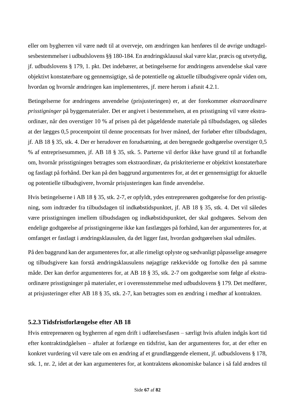eller om bygherren vil være nødt til at overveje, om ændringen kan henføres til de øvrige undtagelsesbestemmelser i udbudslovens §§ 180-184. En ændringsklausul skal være klar, præcis og utvetydig, jf. udbudslovens § 179, 1. pkt. Det indebærer, at betingelserne for ændringens anvendelse skal være objektivt konstaterbare og gennemsigtige, så de potentielle og aktuelle tilbudsgivere opnår viden om, hvordan og hvornår ændringen kan implementeres, jf. mere herom i afsnit 4.2.1.

Betingelserne for ændringens anvendelse (prisjusteringen) er, at der forekommer *ekstraordinære prisstigninger* på byggematerialer. Det er angivet i bestemmelsen, at en prisstigning vil være ekstraordinær, når den overstiger 10 % af prisen på det pågældende materiale på tilbudsdagen, og således at der lægges 0,5 procentpoint til denne procentsats for hver måned, der forløber efter tilbudsdagen, jf. AB 18 § 35, stk. 4. Der er herudover en forudsætning, at den beregnede godtgørelse overstiger 0,5 % af entreprisesummen, jf. AB 18 § 35, stk. 5. Parterne vil derfor ikke have grund til at forhandle om, hvornår prisstigningen betragtes som ekstraordinær, da priskriterierne er objektivt konstaterbare og fastlagt på forhånd. Der kan på den baggrund argumenteres for, at det er gennemsigtigt for aktuelle og potentielle tilbudsgivere, hvornår prisjusteringen kan finde anvendelse.

Hvis betingelserne i AB 18 § 35, stk. 2-7, er opfyldt, ydes entreprenøren godtgørelse for den prisstigning, som indtræder fra tilbudsdagen til indkøbstidspunktet, jf. AB 18 § 35, stk. 4. Det vil således være prisstigningen imellem tilbudsdagen og indkøbstidspunktet, der skal godtgøres. Selvom den endelige godtgørelse af prisstigningerne ikke kan fastlægges på forhånd, kan der argumenteres for, at omfanget er fastlagt i ændringsklausulen, da det ligger fast, hvordan godtgørelsen skal udmåles.

På den baggrund kan der argumenteres for, at alle rimeligt oplyste og sædvanligt påpasselige ansøgere og tilbudsgivere kan forstå ændringsklausulens nøjagtige rækkevidde og fortolke den på samme måde. Der kan derfor argumenteres for, at AB 18 § 35, stk. 2-7 om godtgørelse som følge af ekstraordinære prisstigninger på materialer, er i overensstemmelse med udbudslovens § 179. Det medfører, at prisjusteringer efter AB 18 § 35, stk. 2-7, kan betragtes som en ændring i medhør af kontrakten.

# **5.2.3 Tidsfristforlængelse efter AB 18**

Hvis entreprenøren og bygherren af egen drift i udførelsesfasen – særligt hvis aftalen indgås kort tid efter kontraktindgåelsen – aftaler at forlænge en tidsfrist, kan der argumenteres for, at der efter en konkret vurdering vil være tale om en ændring af et grundlæggende element, jf. udbudslovens § 178, stk. 1, nr. 2, idet at der kan argumenteres for, at kontraktens økonomiske balance i så fald ændres til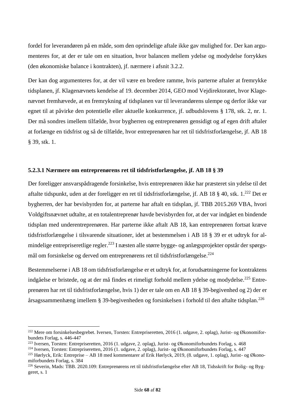fordel for leverandøren på en måde, som den oprindelige aftale ikke gav mulighed for. Der kan argumenteres for, at der er tale om en situation, hvor balancen mellem ydelse og modydelse forrykkes (den økonomiske balance i kontrakten), jf. nærmere i afsnit 3.2.2.

Der kan dog argumenteres for, at der vil være en bredere ramme, hvis parterne aftaler at fremrykke tidsplanen, jf. Klagenævnets kendelse af 19. december 2014, GEO mod Vejdirektoratet, hvor Klagenævnet fremhævede, at en fremrykning af tidsplanen var til leverandørens ulempe og derfor ikke var egnet til at påvirke den potentielle eller aktuelle konkurrence, jf. udbudslovens § 178, stk. 2, nr. 1. Der må sondres imellem tilfælde, hvor bygherren og entreprenøren gensidigt og af egen drift aftaler at forlænge en tidsfrist og så de tilfælde, hvor entreprenøren har ret til tidsfristforlængelse, jf. AB 18 § 39, stk. 1.

## **5.2.3.1 Nærmere om entreprenørens ret til tidsfristforlængelse, jf. AB 18 § 39**

Der foreligger ansvarspådragende forsinkelse, hvis entreprenøren ikke har præsteret sin ydelse til det aftalte tidspunkt, uden at der foreligger en ret til tidsfristforlængelse, jf. AB 18 § 40, stk. 1.<sup>222</sup> Det er bygherren, der har bevisbyrden for, at parterne har aftalt en tidsplan, jf. TBB 2015.269 VBA, hvori Voldgiftsnævnet udtalte, at en totalentreprenør havde bevisbyrden for, at der var indgået en bindende tidsplan med underentreprenøren. Har parterne ikke aftalt AB 18, kan entreprenøren fortsat kræve tidsfristforlængelse i tilsvarende situationer, idet at bestemmelsen i AB 18 § 39 er et udtryk for almindelige entrepriseretlige regler.<sup>223</sup> I næsten alle større bygge- og anlægsprojekter opstår der spørgsmål om forsinkelse og derved om entreprenørens ret til tidsfristforlængelse.<sup>224</sup>

Bestemmelserne i AB 18 om tidsfristforlængelse er et udtryk for, at forudsætningerne for kontraktens indgåelse er bristede, og at der må findes et rimeligt forhold mellem ydelse og modydelse.<sup>225</sup> Entreprenøren har ret til tidsfristforlængelse, hvis 1) der er tale om en AB 18 § 39-begivenhed og 2) der er årsagssammenhæng imellem § 39-begivenheden og forsinkelsen i forhold til den aftalte tidsplan.<sup>226</sup>

<sup>222</sup> Mere om forsinkelsesbegrebet. Iversen, Torsten: Entrepriseretten, 2016 (1. udgave, 2. oplag), Jurist- og Økonomiforbundets Forlag, s. 446-447

<sup>223</sup> Iversen, Torsten: Entrepriseretten, 2016 (1. udgave, 2. oplag), Jurist- og Økonomiforbundets Forlag, s. 468

<sup>224</sup> Iversen, Torsten: Entrepriseretten, 2016 (1. udgave, 2. oplag), Jurist- og Økonomiforbundets Forlag, s. 447

<sup>&</sup>lt;sup>225</sup> Hørlyck, Erik: Entreprise – AB 18 med kommentarer af Erik Hørlyck, 2019, (8. udgave, 1. oplag), Jurist- og Økonomiforbundets Forlag, s. 384

<sup>226</sup> Severin, Mads: TBB. 2020.109: Entreprenørens ret til tidsfristforlængelse efter AB 18, Tidsskrift for Bolig- og Byggeret, s. 1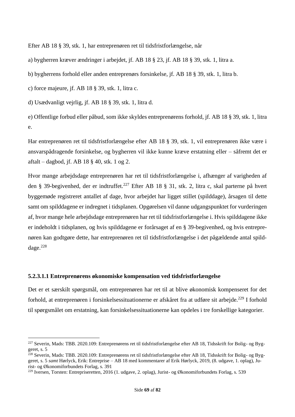Efter AB 18 § 39, stk. 1, har entreprenøren ret til tidsfristforlængelse, når

a) bygherren kræver ændringer i arbejdet, jf. AB 18 § 23, jf. AB 18 § 39, stk. 1, litra a.

b) bygherrens forhold eller anden entreprenørs forsinkelse, jf. AB 18 § 39, stk. 1, litra b.

c) force majeure, jf. AB 18 § 39, stk. 1, litra c.

d) Usædvanligt vejrlig, jf. AB 18 § 39, stk. 1, litra d.

e) Offentlige forbud eller påbud, som ikke skyldes entreprenørens forhold, jf. AB 18 § 39, stk. 1, litra e.

Har entreprenøren ret til tidsfristforlængelse efter AB 18 § 39, stk. 1, vil entreprenøren ikke være i ansvarspådragende forsinkelse, og bygherren vil ikke kunne kræve erstatning eller – såfremt det er aftalt – dagbod, jf. AB 18 § 40, stk. 1 og 2.

Hvor mange arbejdsdage entreprenøren har ret til tidsfristforlængelse i, afhænger af varigheden af den § 39-begivenhed, der er indtruffet.<sup>227</sup> Efter AB 18 § 31, stk. 2, litra c, skal parterne på hvert byggemøde registreret antallet af dage, hvor arbejdet har ligget stillet (spilddage), årsagen til dette samt om spilddagene er indregnet i tidsplanen. Opgørelsen vil danne udgangspunktet for vurderingen af, hvor mange hele arbejdsdage entreprenøren har ret til tidsfristforlængelse i. Hvis spilddagene ikke er indeholdt i tidsplanen, og hvis spilddagene er forårsaget af en § 39-begivenhed, og hvis entreprenøren kan godtgøre dette, har entreprenøren ret til tidsfristforlængelse i det pågældende antal spilddage.<sup>228</sup>

#### **5.2.3.1.1 Entreprenørens økonomiske kompensation ved tidsfristforlængelse**

Det er et særskilt spørgsmål, om entreprenøren har ret til at blive økonomisk kompenseret for det forhold, at entreprenøren i forsinkelsessituationerne er afskåret fra at udføre sit arbejde.<sup>229</sup> I forhold til spørgsmålet om erstatning, kan forsinkelsessituationerne kan opdeles i tre forskellige kategorier.

<sup>227</sup> Severin, Mads: TBB. 2020.109: Entreprenørens ret til tidsfristforlængelse efter AB 18, Tidsskrift for Bolig- og Byggeret, s. 5

 $^{228}$  Severin, Mads: TBB. 2020.109: Entreprenørens ret til tidsfristforlængelse efter AB 18, Tidsskrift for Bolig- og Byggeret, s. 5 *samt* Hørlyck, Erik: Entreprise – AB 18 med kommentarer af Erik Hørlyck, 2019, (8. udgave, 1. oplag), Jurist- og Økonomiforbundets Forlag, s. 391

<sup>229</sup> Iversen, Torsten: Entrepriseretten, 2016 (1. udgave, 2. oplag), Jurist- og Økonomiforbundets Forlag, s. 539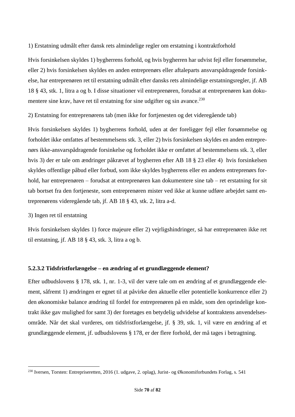1) Erstatning udmålt efter dansk rets almindelige regler om erstatning i kontraktforhold

Hvis forsinkelsen skyldes 1) bygherrens forhold, og hvis bygherren har udvist fejl eller forsømmelse, eller 2) hvis forsinkelsen skyldes en anden entreprenørs eller aftaleparts ansvarspådragende forsinkelse, har entreprenøren ret til erstatning udmålt efter dansks rets almindelige erstatningsregler, jf. AB 18 § 43, stk. 1, litra a og b. I disse situationer vil entreprenøren, forudsat at entreprenøren kan dokumentere sine krav, have ret til erstatning for sine udgifter og sin avance.<sup>230</sup>

2) Erstatning for entreprenørens tab (men ikke for fortjenesten og det videregående tab)

Hvis forsinkelsen skyldes 1) bygherrens forhold, uden at der foreligger fejl eller forsømmelse og forholdet ikke omfattes af bestemmelsens stk. 3, eller 2) hvis forsinkelsen skyldes en anden entreprenørs ikke-ansvarspådragende forsinkelse og forholdet ikke er omfattet af bestemmelsens stk. 3, eller hvis 3) der er tale om ændringer påkrævet af bygherren efter AB 18 § 23 eller 4) hvis forsinkelsen skyldes offentlige påbud eller forbud, som ikke skyldes bygherrens eller en andens entreprenørs forhold, har entreprenøren – forudsat at entreprenøren kan dokumentere sine tab – ret erstatning for sit tab bortset fra den fortjeneste, som entreprenøren mister ved ikke at kunne udføre arbejdet samt entreprenørens videregående tab, jf. AB 18 § 43, stk. 2, litra a-d.

#### 3) Ingen ret til erstatning

Hvis forsinkelsen skyldes 1) force majeure eller 2) vejrligshindringer, så har entreprenøren ikke ret til erstatning, jf. AB 18 § 43, stk. 3, litra a og b.

# **5.2.3.2 Tidsfristforlængelse – en ændring af et grundlæggende element?**

Efter udbudslovens § 178, stk. 1, nr. 1-3, vil der være tale om en ændring af et grundlæggende element, såfremt 1) ændringen er egnet til at påvirke den aktuelle eller potentielle konkurrence eller 2) den økonomiske balance ændring til fordel for entreprenøren på en måde, som den oprindelige kontrakt ikke gav mulighed for samt 3) der foretages en betydelig udvidelse af kontraktens anvendelsesområde. Når det skal vurderes, om tidsfristforlængelse, jf. § 39, stk. 1, vil være en ændring af et grundlæggende element, jf. udbudslovens § 178, er der flere forhold, der må tages i betragtning.

<sup>230</sup> Iversen, Torsten: Entrepriseretten, 2016 (1. udgave, 2. oplag), Jurist- og Økonomiforbundets Forlag, s. 541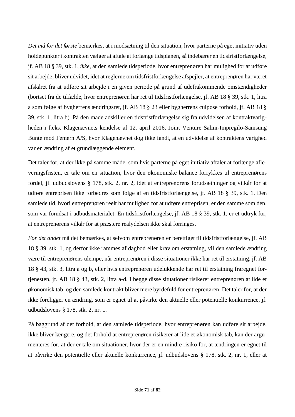*Det må for det første* bemærkes, at i modsætning til den situation, hvor parterne på eget initiativ uden holdepunkter i kontrakten vælger at aftale at forlænge tidsplanen, så indebærer en tidsfristforlængelse, jf. AB 18 § 39, stk. 1, *ikke*, at den samlede tidsperiode, hvor entreprenøren har mulighed for at udføre sit arbejde, bliver udvidet, idet at reglerne om tidsfristforlængelse afspejler, at entreprenøren har været afskåret fra at udføre sit arbejde i en given periode på grund af udefrakommende omstændigheder (bortset fra de tilfælde, hvor entreprenøren har ret til tidsfristforlængelse, jf. AB 18 § 39, stk. 1, litra a som følge af bygherrens ændringsret, jf. AB 18 § 23 eller bygherrens culpøse forhold, jf. AB 18 § 39, stk. 1, litra b). På den måde adskiller en tidsfristforlængelse sig fra udvidelsen af kontraktvarigheden i f.eks. Klagenævnets kendelse af 12. april 2016, Joint Venture Salini-Impregilo-Samsung Bunte mod Femern A/S, hvor Klagenævnet dog ikke fandt, at en udvidelse af kontraktens varighed var en ændring af et grundlæggende element.

Det taler for, at der ikke på samme måde, som hvis parterne på eget initiativ aftaler at forlænge afleveringsfristen, er tale om en situation, hvor den økonomiske balance forrykkes til entreprenørens fordel, jf. udbudslovens § 178, stk. 2, nr. 2, idet at entreprenørens forudsætninger og vilkår for at udføre entreprisen ikke forbedres som følge af en tidsfristforlængelse, jf. AB 18 § 39, stk. 1. Den samlede tid, hvori entreprenøren reelt har mulighed for at udføre entreprisen, er den samme som den, som var forudsat i udbudsmaterialet. En tidsfristforlængelse, jf. AB 18 § 39, stk. 1, er et udtryk for, at entreprenørens vilkår for at præstere realydelsen ikke skal forringes.

*For det andet* må det bemærkes, at selvom entreprenøren er berettiget til tidsfristforlængelse, jf. AB 18 § 39, stk. 1, og derfor ikke rammes af dagbod eller krav om erstatning, vil den samlede ændring være til entreprenørens ulempe, når entreprenøren i disse situationer ikke har ret til erstatning, jf. AB 18 § 43, stk. 3, litra a og b, eller hvis entreprenøren udelukkende har ret til erstatning fraregnet fortjenesten, jf. AB 18 § 43, stk. 2, litra a-d. I begge disse situationer risikerer entreprenøren at lide et økonomisk tab, og den samlede kontrakt bliver mere byrdefuld for entreprenøren. Det taler for, at der ikke foreligger en ændring, som er egnet til at påvirke den aktuelle eller potentielle konkurrence, jf. udbudslovens § 178, stk. 2, nr. 1.

På baggrund af det forhold, at den samlede tidsperiode, hvor entreprenøren kan udføre sit arbejde, ikke bliver længere, og det forhold at entreprenøren risikerer at lide et økonomisk tab, kan der argumenteres for, at der er tale om situationer, hvor der er en mindre risiko for, at ændringen er egnet til at påvirke den potentielle eller aktuelle konkurrence, jf. udbudslovens § 178, stk. 2, nr. 1, eller at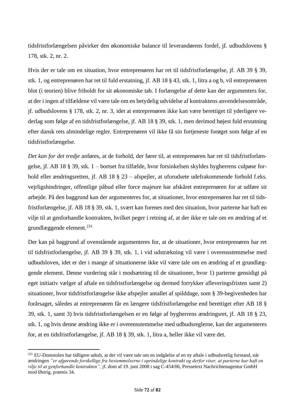tidsfristforlængelsen påvirker den økonomiske balance til leverandørens fordel, jf. udbudslovens § 178, stk. 2, nr. 2.

Hvis der er tale om en situation, hvor entreprenøren har ret til tidsfristforlængelse, jf. AB 39 § 39, stk. 1, og entreprenøren har ret til fuld erstatning, jf. AB 18 § 43, stk. 1, litra a og b, vil entreprenøren blot (i teorien) blive friholdt for sit økonomiske tab. I forlængelse af dette kan der argumenters for, at der i ingen af tilfældene vil være tale om en betydelig udvidelse af kontraktens anvendelsesområde, jf. udbudslovens § 178, stk. 2, nr. 3, idet at entreprenøren ikke kan være berettiget til yderligere vederlag som følge af en tidsfristforlængelse, jf. AB 18 § 39, stk. 1, men derimod højest fuld erstatning efter dansk rets almindelige regler. Entreprenøren vil ikke få sin fortjeneste forøget som følge af en tidsfristforlængelse.

*Det kan for det tredje* anføres, at de forhold, der fører til, at entreprenøren har ret til tidsfristforlængelse, jf. AB 18 § 39, stk. 1 – bortset fra tilfælde, hvor forsinkelsen skyldes bygherrens culpøse forhold eller ændringsretten, jf. AB 18 § 23 – afspejler, at uforudsete udefrakommende forhold f.eks. vejrligshindringer, offentlige påbud eller force majeure har afskåret entreprenøren for at udføre sit arbejde. På den baggrund kan der argumenteres for, at situationer, hvor entreprenøren har ret til tidsfristforlængelse, jf. AB 18 § 39, stk. 1, svært kan forenes med den situation, hvor parterne har haft en vilje til at genforhandle kontrakten, hvilket peger i retning af, at der ikke er tale om en ændring af et grundlæggende element.<sup>231</sup>

Der kan på baggrund af ovenstående argumenteres for, at de situationer, hvor entreprenøren har ret til tidsfristforlængelse, jf. AB 39 § 39, stk. 1, i vid udstrækning vil være i overensstemmelse med udbudsloven, idet er der i mange af situationerne ikke vil være tale om en ændring af et grundlæggende element. Denne vurdering står i modsætning til de situationer, hvor 1) parterne gensidigt på eget initiativ vælger af aftale en tidsfristforlængelse og dermed forrykker afleveringsfristen samt 2) situationer, hvor tidsfristforlængelse ikke afspejler antallet af spilddage, som § 39-begivenheden har forårsaget, således at entreprenøren får en længere tidsfristforlængelse end berettiget efter AB 18 § 39, stk. 1, samt 3) hvis tidsfristforlængelsen er en følge af bygherrens ændringsret, jf. AB 18 § 23, stk. 1, og hvis denne ændring ikke er i overensstemmelse med udbudsreglerne, kan der argumenteres for, at en tidsfristforlængelse, jf. AB 18 § 39, stk. 1, litra a, heller ikke vil være det.

<sup>&</sup>lt;sup>231</sup> EU-Domstolen har tidligere udtalt, at der vil være tale om en indgåelse af en ny aftale i udbudsretlig forstand, når ændringen *"er afgørende forskellige fra bestemmelserne i oprindelige kontrakt og derfor viser, at parterne har haft en vilje til at genforhandle kontrakten",* jf. dom af 19. juni 2008 i sag C-454/06, Pressetext Nachrichtenagentur GmbH mod Østrig, præmis 34.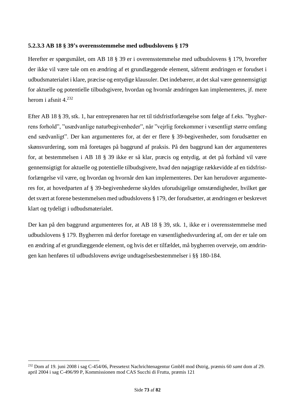#### **5.2.3.3 AB 18 § 39's overensstemmelse med udbudslovens § 179**

Herefter er spørgsmålet, om AB 18 § 39 er i overensstemmelse med udbudslovens § 179, hvorefter der ikke vil være tale om en ændring af et grundlæggende element, såfremt ændringen er forudset i udbudsmaterialet i klare, præcise og entydige klausuler. Det indebærer, at det skal være gennemsigtigt for aktuelle og potentielle tilbudsgivere, hvordan og hvornår ændringen kan implementeres, jf. mere herom i afsnit 4.<sup>232</sup>

Efter AB 18 § 39, stk. 1, har entreprenøren har ret til tidsfristforlængelse som følge af f.eks. "bygherrens forhold", "usædvanlige naturbegivenheder", når "vejrlig forekommer i væsentligt større omfang end sædvanligt". Der kan argumenteres for, at der er flere § 39-begivenheder, som forudsætter en skønsvurdering, som må foretages på baggrund af praksis. På den baggrund kan der argumenteres for, at bestemmelsen i AB 18 § 39 ikke er så klar, præcis og entydig, at det på forhånd vil være gennemsigtigt for aktuelle og potentielle tilbudsgivere, hvad den nøjagtige rækkevidde af en tidsfristforlængelse vil være, og hvordan og hvornår den kan implementeres. Der kan herudover argumenteres for, at hovedparten af § 39-begivenhederne skyldes uforudsigelige omstændigheder, hvilket gør det svært at forene bestemmelsen med udbudslovens § 179, der forudsætter, at ændringen er beskrevet klart og tydeligt i udbudsmaterialet.

Der kan på den baggrund argumenteres for, at AB 18 § 39, stk. 1, ikke er i overensstemmelse med udbudslovens § 179. Bygherren må derfor foretage en væsentlighedsvurdering af, om der er tale om en ændring af et grundlæggende element, og hvis det er tilfældet, må bygherren overveje, om ændringen kan henføres til udbudslovens øvrige undtagelsesbestemmelser i §§ 180-184.

<sup>232</sup> Dom af 19. juni 2008 i sag C-454/06, Pressetext Nachrichtenagentur GmbH mod Østrig, præmis 60 *samt* dom af 29. april 2004 i sag C-496/99 P, Kommissionen mod CAS Succhi di Frutta, præmis 121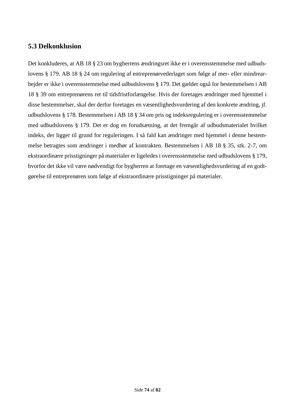### **5.3 Delkonklusion**

Det konkluderes, at AB 18 § 23 om bygherrens ændringsret ikke er i overensstemmelse med udbudslovens § 179. AB 18 § 24 om regulering af entreprenørvederlaget som følge af mer- eller mindrearbejder er ikke i overensstemmelse med udbudslovens § 179. Det gælder også for bestemmelsen i AB 18 § 39 om entreprenørens ret til tidsfristforlængelse. Hvis der foretages ændringer med hjemmel i disse bestemmelser, skal der derfor foretages en væsentlighedsvurdering af den konkrete ændring, jf. udbudslovens § 178. Bestemmelsen i AB 18 § 34 om pris og indeksregulering er i overensstemmelse med udbudslovens § 179. Det er dog en forudsætning, at det fremgår af udbudsmaterialet hvilket indeks, der ligger til grund for reguleringen. I så fald kan ændringer med hjemmel i denne bestemmelse betragtes som ændringer i medhør af kontrakten. Bestemmelsen i AB 18 § 35, stk. 2-7, om ekstraordinære prisstigninger på materialer er ligeledes i overensstemmelse med udbudslovens § 179, hvorfor det ikke vil være nødvendigt for bygherren at foretage en væsentlighedsvurdering af en godtgørelse til entreprenøren som følge af ekstraordinære prisstigninger på materialer.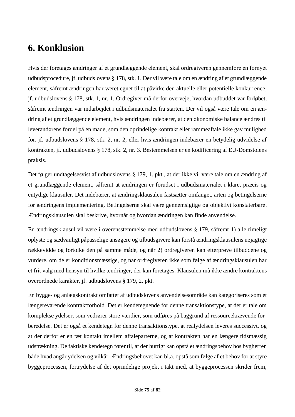# **6. Konklusion**

Hvis der foretages ændringer af et grundlæggende element, skal ordregiveren gennemføre en fornyet udbudsprocedure, jf. udbudslovens § 178, stk. 1. Der vil være tale om en ændring af et grundlæggende element, såfremt ændringen har været egnet til at påvirke den aktuelle eller potentielle konkurrence, jf. udbudslovens § 178, stk. 1, nr. 1. Ordregiver må derfor overveje, hvordan udbuddet var forløbet, såfremt ændringen var indarbejdet i udbudsmaterialet fra starten. Der vil også være tale om en ændring af et grundlæggende element, hvis ændringen indebærer, at den økonomiske balance ændres til leverandørens fordel på en måde, som den oprindelige kontrakt eller rammeaftale ikke gav mulighed for, jf. udbudslovens § 178, stk. 2, nr. 2, eller hvis ændringen indebærer en betydelig udvidelse af kontrakten, jf. udbudslovens § 178, stk. 2, nr. 3. Bestemmelsen er en kodificering af EU-Domstolens praksis.

Det følger undtagelsesvist af udbudslovens § 179, 1. pkt., at der ikke vil være tale om en ændring af et grundlæggende element, såfremt at ændringen er forudset i udbudsmaterialet i klare, præcis og entydige klausuler. Det indebærer, at ændringsklausulen fastsætter omfanget, arten og betingelserne for ændringens implementering. Betingelserne skal være gennemsigtige og objektivt konstaterbare. Ændringsklausulen skal beskrive, hvornår og hvordan ændringen kan finde anvendelse.

En ændringsklausul vil være i overensstemmelse med udbudslovens § 179, såfremt 1) alle rimeligt oplyste og sædvanligt påpasselige ansøgere og tilbudsgivere kan forstå ændringsklausulens nøjagtige rækkevidde og fortolke den på samme måde, og når 2) ordregiveren kan efterprøve tilbuddene og vurdere, om de er konditionsmæssige, og når ordregiveren ikke som følge af ændringsklausulen har et frit valg med hensyn til hvilke ændringer, der kan foretages. Klausulen må ikke ændre kontraktens overordnede karakter, jf. udbudslovens § 179, 2. pkt.

En bygge- og anlægskontrakt omfattet af udbudslovens anvendelsesområde kan kategoriseres som et længerevarende kontraktforhold. Det er kendetegnende for denne transaktionstype, at der er tale om komplekse ydelser, som vedrører store værdier, som udføres på baggrund af ressourcekrævende forberedelse. Det er også et kendetegn for denne transaktionstype, at realydelsen leveres successivt, og at der derfor er en tæt kontakt imellem aftaleparterne, og at kontrakten har en længere tidsmæssig udstrækning. De faktiske kendetegn fører til, at der hurtigt kan opstå et ændringsbehov hos bygherren både hvad angår ydelsen og vilkår. Ændringsbehovet kan bl.a. opstå som følge af et behov for at styre byggeprocessen, fortrydelse af det oprindelige projekt i takt med, at byggeprocessen skrider frem,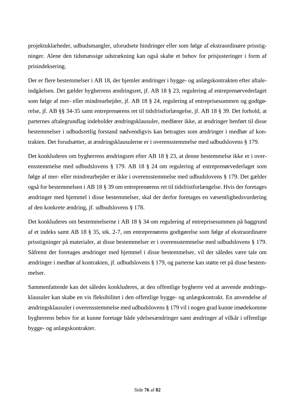projektuklarheder, udbudsmangler, uforudsete hindringer eller som følge af ekstraordinære prisstigninger. Alene den tidsmæssige udstrækning kan også skabe et behov for prisjusteringer i form af prisindeksering.

Der er flere bestemmelser i AB 18, der hjemler ændringer i bygge- og anlægskontrakten efter aftaleindgåelsen. Det gælder bygherrens ændringsret, jf. AB 18 § 23, regulering af entreprenørvederlaget som følge af mer- eller mindrearbejder, jf. AB 18 § 24, regulering af entreprisesummen og godtgørelse, jf. AB §§ 34-35 samt entreprenørens ret til tidsfristforlængelse, jf. AB 18 § 39. Det forhold, at parternes aftalegrundlag indeholder ændringsklausuler, medfører ikke, at ændringer henført til disse bestemmelser i udbudsretlig forstand nødvendigvis kan betragtes som ændringer i medhør af kontrakten. Det forudsætter, at ændringsklausulerne er i overensstemmelse med udbudslovens § 179.

Det konkluderes om bygherrens ændringsret efter AB 18 § 23, at denne bestemmelse ikke er i overensstemmelse med udbudslovens § 179. AB 18 § 24 om regulering af entreprenørvederlaget som følge af mer- eller mindrearbejder er ikke i overensstemmelse med udbudslovens § 179. Det gælder også for bestemmelsen i AB 18 § 39 om entreprenørens ret til tidsfristforlængelse. Hvis der foretages ændringer med hjemmel i disse bestemmelser, skal der derfor foretages en væsentlighedsvurdering af den konkrete ændring, jf. udbudslovens § 178.

Det konkluderes om bestemmelserne i AB 18 § 34 om regulering af entreprisesummen på baggrund af et indeks samt AB 18 § 35, stk. 2-7, om entreprenørens godtgørelse som følge af ekstraordinære prisstigninger på materialer, at disse bestemmelser er i overensstemmelse med udbudslovens § 179. Såfremt der foretages ændringer med hjemmel i disse bestemmelser, vil der således være tale om ændringer i medhør af kontrakten, jf. udbudslovens § 179, og parterne kan støtte ret på disse bestemmelser.

Sammenfattende kan det således konkluderes, at den offentlige bygherre ved at anvende ændringsklausuler kan skabe en vis fleksibilitet i den offentlige bygge- og anlægskontrakt. En anvendelse af ændringsklausuler i overensstemmelse med udbudslovens § 179 vil i nogen grad kunne imødekomme bygherrens behov for at kunne foretage både ydelsesændringer samt ændringer af vilkår i offentlige bygge- og anlægskontrakter.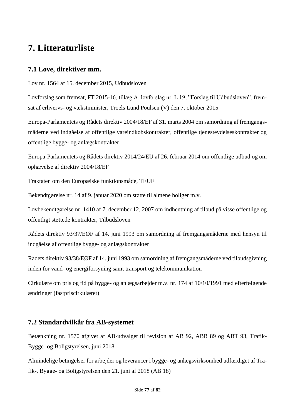# **7. Litteraturliste**

## **7.1 Love, direktiver mm.**

Lov nr. 1564 af 15. december 2015, Udbudsloven

Lovforslag som fremsat, FT 2015-16, tillæg A, lovforslag nr. L 19, "Forslag til Udbudsloven", fremsat af erhvervs- og vækstminister, Troels Lund Poulsen (V) den 7. oktober 2015

Europa-Parlamentets og Rådets direktiv 2004/18/EF af 31. marts 2004 om samordning af fremgangsmåderne ved indgåelse af offentlige vareindkøbskontrakter, offentlige tjenesteydelseskontrakter og offentlige bygge- og anlægskontrakter

Europa-Parlamentets og Rådets direktiv 2014/24/EU af 26. februar 2014 om offentlige udbud og om ophævelse af direktiv 2004/18/EF

Traktaten om den Europæiske funktionsmåde, TEUF

Bekendtgørelse nr. 14 af 9. januar 2020 om støtte til almene boliger m.v.

Lovbekendtgørelse nr. 1410 af 7. december 12, 2007 om indhentning af tilbud på visse offentlige og offentligt støttede kontrakter, Tilbudsloven

Rådets direktiv 93/37/EØF af 14. juni 1993 om samordning af fremgangsmåderne med hensyn til indgåelse af offentlige bygge- og anlægskontrakter

Rådets direktiv 93/38/EØF af 14. juni 1993 om samordning af fremgangsmåderne ved tilbudsgivning inden for vand- og energiforsyning samt transport og telekommunikation

Cirkulære om pris og tid på bygge- og anlægsarbejder m.v. nr. 174 af 10/10/1991 med efterfølgende ændringer (fastpriscirkulæret)

## **7.2 Standardvilkår fra AB-systemet**

Betænkning nr. 1570 afgivet af AB-udvalget til revision af AB 92, ABR 89 og ABT 93, Trafik-Bygge- og Boligstyrelsen, juni 2018

Almindelige betingelser for arbejder og leverancer i bygge- og anlægsvirksomhed udfærdiget af Trafik-, Bygge- og Boligstyrelsen den 21. juni af 2018 (AB 18)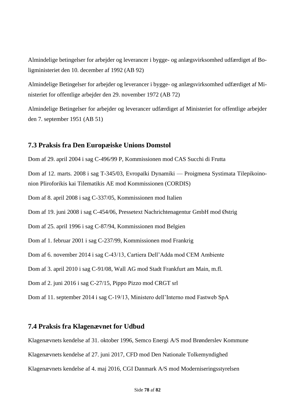Almindelige betingelser for arbejder og leverancer i bygge- og anlægsvirksomhed udfærdiget af Boligministeriet den 10. december af 1992 (AB 92)

Almindelige Betingelser for arbejder og leverancer i bygge- og anlægsvirksomhed udfærdiget af Ministeriet for offentlige arbejder den 29. november 1972 (AB 72)

Almindelige Betingelser for arbejder og leverancer udfærdiget af Ministeriet for offentlige arbejder den 7. september 1951 (AB 51)

### **7.3 Praksis fra Den Europæiske Unions Domstol**

Dom af 29. april 2004 i sag C-496/99 P, Kommissionen mod CAS Succhi di Frutta

Dom af 12. marts. 2008 i sag T-345/03, Evropaïki Dynamiki — Proigmena Systimata Tilepikoinonion Pliroforikis kai Tilematikis AE mod Kommissionen (CORDIS)

Dom af 8. april 2008 i sag C-337/05, Kommissionen mod Italien

Dom af 19. juni 2008 i sag C-454/06, Pressetext Nachrichtenagentur GmbH mod Østrig

Dom af 25. april 1996 i sag C-87/94, Kommissionen mod Belgien

Dom af 1. februar 2001 i sag C-237/99, Kommissionen mod Frankrig

Dom af 6. november 2014 i sag C-43/13, Cartiera Dell'Adda mod CEM Ambiente

Dom af 3. april 2010 i sag C-91/08, Wall AG mod Stadt Frankfurt am Main, m.fl.

Dom af 2. juni 2016 i sag C-27/15, Pippo Pizzo mod CRGT srl

Dom af 11. september 2014 i sag C-19/13, Ministero dell'Interno mod Fastweb SpA

#### **7.4 Praksis fra Klagenævnet for Udbud**

Klagenævnets kendelse af 31. oktober 1996, Semco Energi A/S mod Brønderslev Kommune

Klagenævnets kendelse af 27. juni 2017, CFD mod Den Nationale Tolkemyndighed

Klagenævnets kendelse af 4. maj 2016, CGI Danmark A/S mod Moderniseringsstyrelsen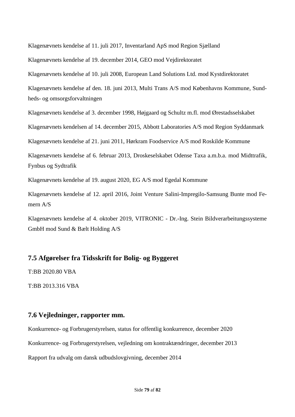Klagenævnets kendelse af 11. juli 2017, Inventarland ApS mod Region Sjælland

Klagenævnets kendelse af 19. december 2014, GEO mod Vejdirektoratet

Klagenævnets kendelse af 10. juli 2008, European Land Solutions Ltd. mod Kystdirektoratet

Klagenævnets kendelse af den. 18. juni 2013, Multi Trans A/S mod Københavns Kommune, Sundheds- og omsorgsforvaltningen

Klagenævnets kendelse af 3. december 1998, Højgaard og Schultz m.fl. mod Ørestadsselskabet

Klagenævnets kendelsen af 14. december 2015, Abbott Laboratories A/S mod Region Syddanmark

Klagenævnets kendelse af 21. juni 2011, Hørkram Foodservice A/S mod Roskilde Kommune

Klagenævnets kendelse af 6. februar 2013, Droskeselskabet Odense Taxa a.m.b.a. mod Midttrafik, Fynbus og Sydtrafik

Klagenævnets kendelse af 19. august 2020, EG A/S mod Egedal Kommune

Klagenævnets kendelse af 12. april 2016, Joint Venture Salini-Impregilo-Samsung Bunte mod Femern A/S

Klagenævnets kendelse af 4. oktober 2019, VITRONIC - Dr.-Ing. Stein Bildverarbeitungssysteme GmbH mod Sund & Bælt Holding A/S

## **7.5 Afgørelser fra Tidsskrift for Bolig- og Byggeret**

T:BB 2020.80 VBA

T:BB 2013.316 VBA

#### **7.6 Vejledninger, rapporter mm.**

Konkurrence- og Forbrugerstyrelsen, status for offentlig konkurrence, december 2020 Konkurrence- og Forbrugerstyrelsen, vejledning om kontraktændringer, december 2013 Rapport fra udvalg om dansk udbudslovgivning, december 2014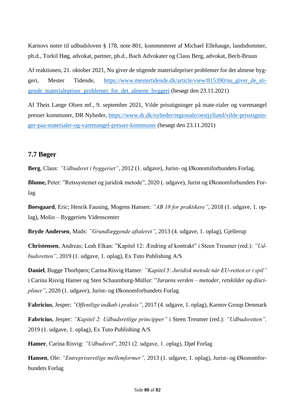Karnovs noter til udbudsloven § 178, note 801, kommenteret af Michael Ellehauge, landsdommer, ph.d., Torkil Høg, advokat, partner, ph.d., Bach Advokater og Claus Berg, advokat, Bech-Bruun

Af reaktionen, 21. oktober 2021, Nu giver de stigende materialepriser problemer for det almene byggeri, Mester Tidende, [https://www.mestertidende.dk/article/view/815390/nu\\_giver\\_de\\_sti](https://www.mestertidende.dk/article/view/815390/nu_giver_de_stigende_materialepriser_problemer_for_det_almene_byggeri)gende materialepriser problemer for det almene byggeri (besøgt den 23.11.2021)

Af Theis Lange Olsen mf., 9. september 2021, Vilde prisstigninger på mate-rialer og varemangel presser kommuner, DR Nyheder, [https://www.dr.dk/nyheder/regionale/oestjylland/vilde-prisstignin](https://www.dr.dk/nyheder/regionale/oestjylland/vilde-prisstigninger-paa-materialer-og-varemangel-presser-kommuner)[ger-paa-materialer-og-varemangel-presser-kommuner](https://www.dr.dk/nyheder/regionale/oestjylland/vilde-prisstigninger-paa-materialer-og-varemangel-presser-kommuner) (besøgt den 23.11.2021)

### **7.7 Bøger**

**Berg**, Claus: *"Udbudsret i byggeriet"*, 2012 (1. udgave), Jurist- og Økonomiforbundets Forlag.

**Blume,** Peter: "Retssystemet og juridisk metode", 2020 (. udgave), Jurist og Økonomforbundets Forlag

**Boesgaard**, Eric; Henrik Fausing, Mogens Hansen: *"AB 18 for praktikere"*, 2018 (1. udgave, 1. oplag), Molio – Byggeriets Videnscenter

**Bryde Andersen**, Mads: *"Grundlæggende aftaleret"*, 2013 (4. udgave, 1. oplag), Gjellerup

**Christensen**, Andreas; Leah Elkan: "Kapitel 12: Ændring af kontrakt" i Steen Treumer (red.): *"Udbudsretten",* 2019 (1. udgave, 1. oplag), Ex Tuto Publishing A/S

**Daniel**, Bugge Thorbjørn; Carina Risvig Hamer*: "Kapitel 5: Juridisk metode når EU-retten er i spil"* i Carina Risvig Hamer og Sten Schaumburg-Müller: "*Juraens verden – metoder, retskilder og discipliner"*, 2020 (1. udgave), Jurist- og Økonomforbundets Forlag

**Fabricius**, Jesper: *"Offentlige indkøb i praksis"*, 2017 (4. udgave, 1. oplag), Karnov Group Denmark

**Fabricius**, Jesper: *"Kapitel 2: Udbudsretlige principper"* i Steen Treumer (red.): *"Udbudsretten",* 2019 (1. udgave, 1. oplag), Ex Tuto Publishing A/S

**Hamer**, Carina Risvig: *"Udbudsret*", 2021 (2. udgave, 1. oplag), Djøf Forlag

**Hansen**, Ole: *"Entrepriseretlige mellemformer",* 2013 (1. udgave, 1. oplag), Jurist- og Økonomforbundets Forlag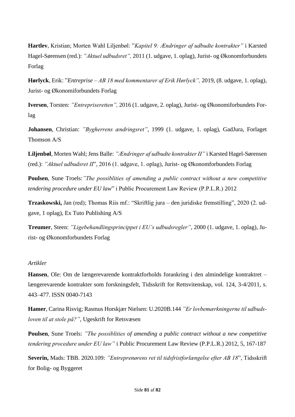**Hartlev**, Kristian; Morten Wahl Liljenbøl: "*Kapitel 9: Ændringer af udbudte kontrakter"* i Karsted Hagel-Sørensen (red.): *"Aktuel udbudsret",* 2011 (1. udgave, 1. oplag), Jurist- og Økonomforbundets Forlag

**Hørlyck**, Erik: "*Entreprise – AB 18 med kommentarer af Erik Hørlyck",* 2019, (8. udgave, 1. oplag), Jurist- og Økonomiforbundets Forlag

**Iversen**, Torsten: *"Entrepriseretten",* 2016 (1. udgave, 2. oplag), Jurist- og Økonomiforbundets Forlag

**Johansen**, Christian: *"Bygherrens ændringsret"*, 1999 (1. udgave, 1. oplag), GadJura, Forlaget Thomson A/S

**Liljenbøl**, Morten Wahl; Jens Balle: *"Ændringer af udbudte kontrakter II"* i Karsted Hagel-Sørensen (red.): *"Aktuel udbudsret II*", 2016 (1. udgave, 1. oplag), Jurist- og Økonomforbundets Forlag

**Poulsen**, Sune Troels:*"The possiblities of amending a public contract without a new competitive tendering procedure under EU law*" i Public Procurement Law Review (P.P.L.R.) 2012

**Trzaskowski,** Jan (red); Thomas Riis mf.: "Skriftlig jura – den juridiske fremstilling", 2020 (2. udgave, 1 oplag), Ex Tuto Publishing A/S

**Treumer**, Steen: *"Ligebehandlingsprincippet i EU's udbudsregler"*, 2000 (1. udgave, 1. oplag), Jurist- og Økonomforbundets Forlag

#### *Artikler*

**Hansen**, Ole: Om de længerevarende kontraktforholds forankring i den almindelige kontraktret – længerevarende kontrakter som forskningsfelt, Tidsskrift for Rettsvitenskap, vol. 124, 3-4/2011, s. 443–477. ISSN 0040-7143

**Hamer**, Carina Risvig; Rasmus Horskjær Nielsen: U.2020B.144 *"Er lovbemærkningerne til udbudsloven til at stole på?"*, Ugeskrift for Retsvæsen

**Poulsen**, Sune Troels: *"The possiblities of amending a public contract without a new competitive tendering procedure under EU law"* i Public Procurement Law Review (P.P.L.R.) 2012, 5, 167-187

**Severin,** Mads: TBB. 2020.109: *"Entreprenørens ret til tidsfristforlængelse efter AB 18*", Tidsskrift for Bolig- og Byggeret